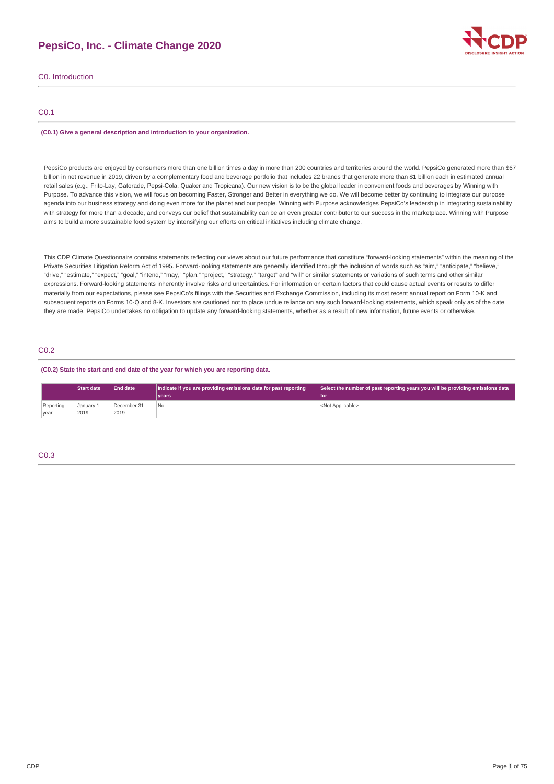# **PepsiCo, Inc. - Climate Change 2020**



C0. Introduction

## C0.1

#### **(C0.1) Give a general description and introduction to your organization.**

PepsiCo products are enjoyed by consumers more than one billion times a day in more than 200 countries and territories around the world. PepsiCo generated more than \$67 billion in net revenue in 2019, driven by a complementary food and beverage portfolio that includes 22 brands that generate more than \$1 billion each in estimated annual retail sales (e.g., Frito-Lay, Gatorade, Pepsi-Cola, Quaker and Tropicana). Our new vision is to be the global leader in convenient foods and beverages by Winning with Purpose. To advance this vision, we will focus on becoming Faster, Stronger and Better in everything we do. We will become better by continuing to integrate our purpose agenda into our business strategy and doing even more for the planet and our people. Winning with Purpose acknowledges PepsiCo's leadership in integrating sustainability with strategy for more than a decade, and conveys our belief that sustainability can be an even greater contributor to our success in the marketplace. Winning with Purpose aims to build a more sustainable food system by intensifying our efforts on critical initiatives including climate change.

This CDP Climate Questionnaire contains statements reflecting our views about our future performance that constitute "forward-looking statements" within the meaning of the Private Securities Litigation Reform Act of 1995. Forward-looking statements are generally identified through the inclusion of words such as "aim," "anticipate," "believe," "drive," "estimate," "expect," "goal," "intend," "may," "plan," "project," "strategy," "target" and "will" or similar statements or variations of such terms and other similar expressions. Forward-looking statements inherently involve risks and uncertainties. For information on certain factors that could cause actual events or results to differ materially from our expectations, please see PepsiCo's filings with the Securities and Exchange Commission, including its most recent annual report on Form 10-K and subsequent reports on Forms 10-Q and 8-K. Investors are cautioned not to place undue reliance on any such forward-looking statements, which speak only as of the date they are made. PepsiCo undertakes no obligation to update any forward-looking statements, whether as a result of new information, future events or otherwise.

## C0.2

### **(C0.2) State the start and end date of the year for which you are reporting data.**

|           | <b>Start date</b> | <b>End date</b> | Indicate if you are providing emissions data for past reporting | Select the number of past reporting years you will be providing emissions data |
|-----------|-------------------|-----------------|-----------------------------------------------------------------|--------------------------------------------------------------------------------|
|           |                   |                 | vears <sup>®</sup>                                              | l for                                                                          |
| Reporting | January 1         | December 31     | I No                                                            | <not applicable=""></not>                                                      |
| vear      | 2019              | 2019            |                                                                 |                                                                                |

## C0.3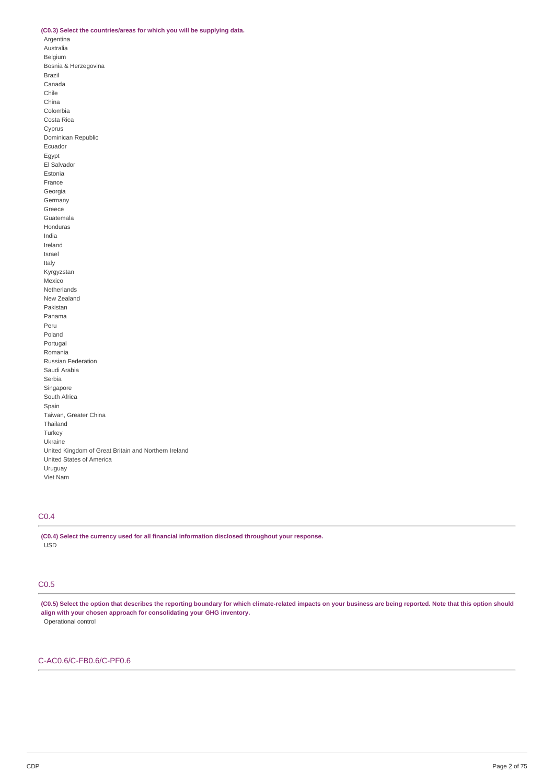## **(C0.3) Select the countries/areas for which you will be supplying data.**

Argentina Australia Belgium Bosnia & Herzegovina Brazil Canada Chile China Colombia Costa Rica Cyprus Dominican Republic Ecuador Egypt El Salvador Estonia France Georgia Germany Greece Guatemala Honduras India Ireland Israel Italy Kyrgyzstan Mexico Netherlands New Zealand Pakistan Panama Peru Poland Portugal Romania Russian Federation Saudi Arabia Serbia Singapore South Africa Spain Taiwan, Greater China Thailand Turkey Ukraine United Kingdom of Great Britain and Northern Ireland United States of America Uruguay Viet Nam

# C0.4

**(C0.4) Select the currency used for all financial information disclosed throughout your response.** USD

## C0.5

(C0.5) Select the option that describes the reporting boundary for which climate-related impacts on your business are being reported. Note that this option should **align with your chosen approach for consolidating your GHG inventory.** Operational control

## C-AC0.6/C-FB0.6/C-PF0.6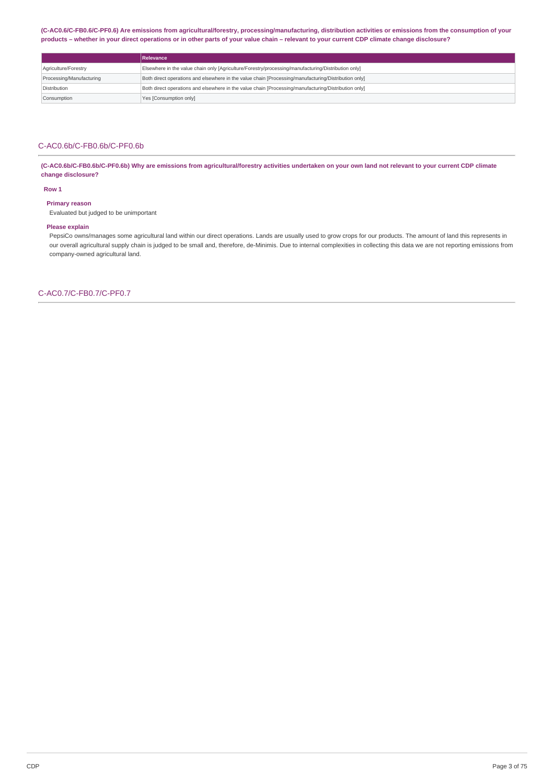(C-AC0.6/C-FB0.6/C-PF0.6) Are emissions from agricultural/forestry, processing/manufacturing, distribution activities or emissions from the consumption of your products - whether in your direct operations or in other parts of your value chain - relevant to your current CDP climate change disclosure?

|                          | Relevance                                                                                            |
|--------------------------|------------------------------------------------------------------------------------------------------|
| Agriculture/Forestry     | Elsewhere in the value chain only [Agriculture/Forestry/processing/manufacturing/Distribution only]  |
| Processing/Manufacturing | Both direct operations and elsewhere in the value chain [Processing/manufacturing/Distribution only] |
| Distribution             | Both direct operations and elsewhere in the value chain [Processing/manufacturing/Distribution only] |
| Consumption              | Yes [Consumption only]                                                                               |

## C-AC0.6b/C-FB0.6b/C-PF0.6b

(C-AC0.6b/C-FB0.6b/C-PF0.6b) Why are emissions from agricultural/forestry activities undertaken on your own land not relevant to your current CDP climate **change disclosure?**

#### **Row 1**

### **Primary reason**

Evaluated but judged to be unimportant

### **Please explain**

PepsiCo owns/manages some agricultural land within our direct operations. Lands are usually used to grow crops for our products. The amount of land this represents in our overall agricultural supply chain is judged to be small and, therefore, de-Minimis. Due to internal complexities in collecting this data we are not reporting emissions from company-owned agricultural land.

C-AC0.7/C-FB0.7/C-PF0.7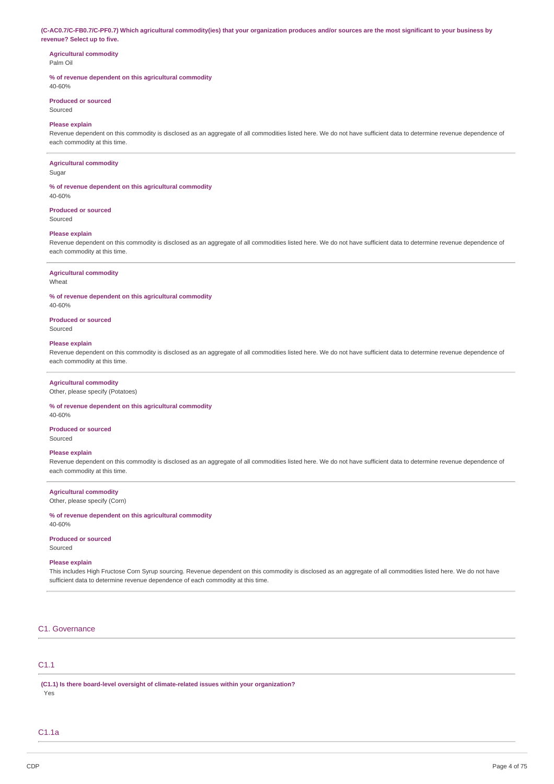(C-AC0.7/C-FB0.7/C-PF0.7) Which agricultural commodity(ies) that your organization produces and/or sources are the most significant to your business by **revenue? Select up to five.**

### **Agricultural commodity** Palm Oil

### **% of revenue dependent on this agricultural commodity**

40-60%

#### **Produced or sourced** Sourced

## **Please explain**

Revenue dependent on this commodity is disclosed as an aggregate of all commodities listed here. We do not have sufficient data to determine revenue dependence of each commodity at this time.

### **Agricultural commodity**

Sugar

#### **% of revenue dependent on this agricultural commodity** 40-60%

**Produced or sourced** Sourced

#### **Please explain**

Revenue dependent on this commodity is disclosed as an aggregate of all commodities listed here. We do not have sufficient data to determine revenue dependence of each commodity at this time.

#### **Agricultural commodity**

Wheat

### **% of revenue dependent on this agricultural commodity**

40-60%

## **Produced or sourced**

Sourced

#### **Please explain**

Revenue dependent on this commodity is disclosed as an aggregate of all commodities listed here. We do not have sufficient data to determine revenue dependence of each commodity at this time.

### **Agricultural commodity**

Other, please specify (Potatoes)

#### **% of revenue dependent on this agricultural commodity**

40-60%

#### **Produced or sourced** Sourced

#### **Please explain**

Revenue dependent on this commodity is disclosed as an aggregate of all commodities listed here. We do not have sufficient data to determine revenue dependence of each commodity at this time.

## **Agricultural commodity**

Other, please specify (Corn)

#### **% of revenue dependent on this agricultural commodity** 40-60%

## **Produced or sourced**

Sourced

#### **Please explain**

This includes High Fructose Corn Syrup sourcing. Revenue dependent on this commodity is disclosed as an aggregate of all commodities listed here. We do not have sufficient data to determine revenue dependence of each commodity at this time.

### C1. Governance

## C1.1

**(C1.1) Is there board-level oversight of climate-related issues within your organization?**

Yes

## C1.1a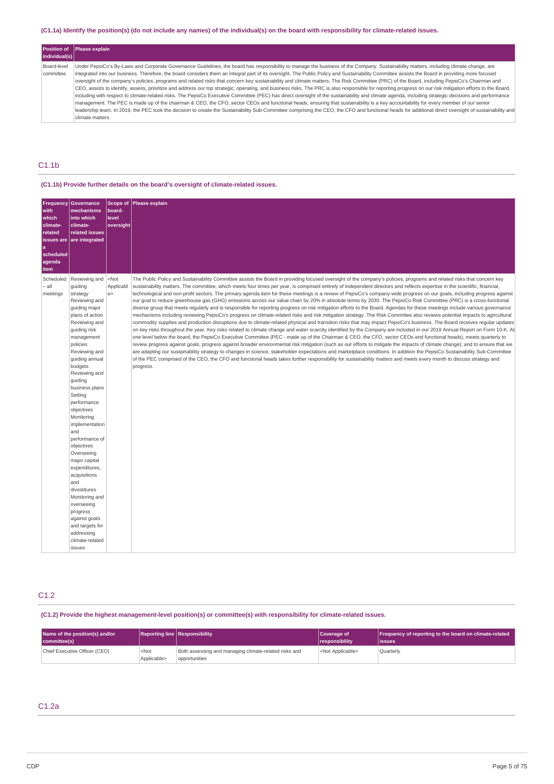## (C1.1a) Identify the position(s) (do not include any names) of the individual(s) on the board with responsibility for climate-related issues.

| individual(s)            | Position of Please explain                                                                                                                                                                                                                                                                                                                                                                                                                                                                                                                                                                                                                                                                                                                                                                                                                                                                                                                                                                                                                                                                                                                                                                                                                                                                                                                                                                                                          |
|--------------------------|-------------------------------------------------------------------------------------------------------------------------------------------------------------------------------------------------------------------------------------------------------------------------------------------------------------------------------------------------------------------------------------------------------------------------------------------------------------------------------------------------------------------------------------------------------------------------------------------------------------------------------------------------------------------------------------------------------------------------------------------------------------------------------------------------------------------------------------------------------------------------------------------------------------------------------------------------------------------------------------------------------------------------------------------------------------------------------------------------------------------------------------------------------------------------------------------------------------------------------------------------------------------------------------------------------------------------------------------------------------------------------------------------------------------------------------|
| Board-level<br>committee | Under PepsiCo's By-Laws and Corporate Governance Guidelines, the board has responsibility to manage the business of the Company. Sustainability matters, including climate change, are<br>integrated into our business. Therefore, the board considers them an integral part of its oversight. The Public Policy and Sustainability Committee assists the Board in providing more focused<br>oversight of the company's policies, programs and related risks that concern key sustainability and climate matters. The Risk Committee (PRC) of the Board, including PepsiCo's Chairman and<br>CEO, assists to identify, assess, prioritize and address our top strategic, operating, and business risks. The PRC is also responsible for reporting progress on our risk mitigation efforts to the Board,<br>including with respect to climate-related risks. The PepsiCo Executive Committee (PEC) has direct oversight of the sustainability and climate agenda, including strategic decisions and performance<br>management. The PEC is made up of the chairman & CEO, the CFO, sector CEOs and functional heads, ensuring that sustainability is a key accountability for every member of our senior<br>leadership team. In 2019, the PEC took the decision to create the Sustainability Sub-Committee comprising the CEO, the CFO and functional heads for additional direct oversight of sustainability and<br>climate matters. |

## C1.1b

## **(C1.1b) Provide further details on the board's oversight of climate-related issues.**

| <b>Frequency</b><br><b>with</b><br>which<br>climate-<br>related<br>$\mathbf{a}$<br>scheduled<br>agenda<br>item | Governance<br>mechanisms<br>into which<br>climate-<br>related issues<br>issues are are integrated                                                                                                                                                                                                                                                                                                                                                                                                                                                                                 | board-<br>level<br>oversight | Scope of Please explain                                                                                                                                                                                                                                                                                                                                                                                                                                                                                                                                                                                                                                                                                                                                                                                                                                                                                                                                                                                                                                                                                                                                                                                                                                                                                                                                                                                                                                                                                                                                                                                                                                                                                                                                                                                                                                                                                                                                                                                                                                                                                                                            |
|----------------------------------------------------------------------------------------------------------------|-----------------------------------------------------------------------------------------------------------------------------------------------------------------------------------------------------------------------------------------------------------------------------------------------------------------------------------------------------------------------------------------------------------------------------------------------------------------------------------------------------------------------------------------------------------------------------------|------------------------------|----------------------------------------------------------------------------------------------------------------------------------------------------------------------------------------------------------------------------------------------------------------------------------------------------------------------------------------------------------------------------------------------------------------------------------------------------------------------------------------------------------------------------------------------------------------------------------------------------------------------------------------------------------------------------------------------------------------------------------------------------------------------------------------------------------------------------------------------------------------------------------------------------------------------------------------------------------------------------------------------------------------------------------------------------------------------------------------------------------------------------------------------------------------------------------------------------------------------------------------------------------------------------------------------------------------------------------------------------------------------------------------------------------------------------------------------------------------------------------------------------------------------------------------------------------------------------------------------------------------------------------------------------------------------------------------------------------------------------------------------------------------------------------------------------------------------------------------------------------------------------------------------------------------------------------------------------------------------------------------------------------------------------------------------------------------------------------------------------------------------------------------------------|
| Scheduled<br>- all<br>meetings                                                                                 | Reviewing and<br>guiding<br>strategy<br>Reviewing and<br>guiding major<br>plans of action<br>Reviewing and<br>guiding risk<br>management<br>policies<br>Reviewing and<br>guiding annual<br>budgets<br>Reviewing and<br>guiding<br>business plans<br>Setting<br>performance<br>objectives<br>Monitoring<br>implementation<br>and<br>performance of<br>objectives<br>Overseeing<br>major capital<br>expenditures,<br>acquisitions<br>and<br>divestitures<br>Monitoring and<br>overseeing<br>progress<br>against goals<br>and targets for<br>addressing<br>climate-related<br>issues | $<$ Not<br>Applicabl<br>e    | The Public Policy and Sustainability Committee assists the Board in providing focused oversight of the company's policies, programs and related risks that concern key<br>sustainability matters. The committee, which meets four times per year, is comprised entirely of independent directors and reflects expertise in the scientific, financial,<br>technological and non-profit sectors. The primary agenda item for these meetings is a review of PepsiCo's company-wide progress on our goals, including progress against<br>our goal to reduce greenhouse gas (GHG) emissions across our value chain by 20% in absolute terms by 2030. The PepsiCo Risk Committee (PRC) is a cross-functional<br>diverse group that meets regularly and is responsible for reporting progress on risk mitigation efforts to the Board. Agendas for these meetings include various governance<br>mechanisms including reviewing PepsiCo's progress on climate-related risks and risk mitigation strategy. The Risk Committee also reviews potential impacts to agricultural<br>commodity supplies and production disruptions due to climate-related physical and transition risks that may impact PepsiCo's business. The Board receives regular updates<br>on key risks throughout the year. Key risks related to climate change and water scarcity identified by the Company are included in our 2019 Annual Report on Form 10-K. At<br>one level below the board, the PepsiCo Executive Committee (PEC - made up of the Chairman & CEO, the CFO, sector CEOs and functional heads), meets quarterly to<br>review progress against goals; progress against broader environmental risk mitigation (such as our efforts to mitigate the impacts of climate change); and to ensure that we<br>are adapting our sustainability strategy to changes in science, stakeholder expectations and marketplace conditions. In addition the PepsiCo Sustainability Sub-Committee<br>of the PEC comprised of the CEO, the CFO and functional heads takes further responsibility for sustainability matters and meets every month to discuss strategy and<br>progress. |

# C1.2

## **(C1.2) Provide the highest management-level position(s) or committee(s) with responsibility for climate-related issues.**

| Name of the position(s) and/or<br>committee(s) |                                 | <b>Reporting line Responsibility</b>                                   | Coverage of<br><i><u><b>Iresponsibility</b></u></i> | Frequency of reporting to the board on climate-related<br>lissues |
|------------------------------------------------|---------------------------------|------------------------------------------------------------------------|-----------------------------------------------------|-------------------------------------------------------------------|
| Chief Executive Officer (CEO)                  | <not<br>Applicable&gt;</not<br> | Both assessing and managing climate-related risks and<br>opportunities | <not applicable=""></not>                           | <b>Quarterly</b>                                                  |

## C1.2a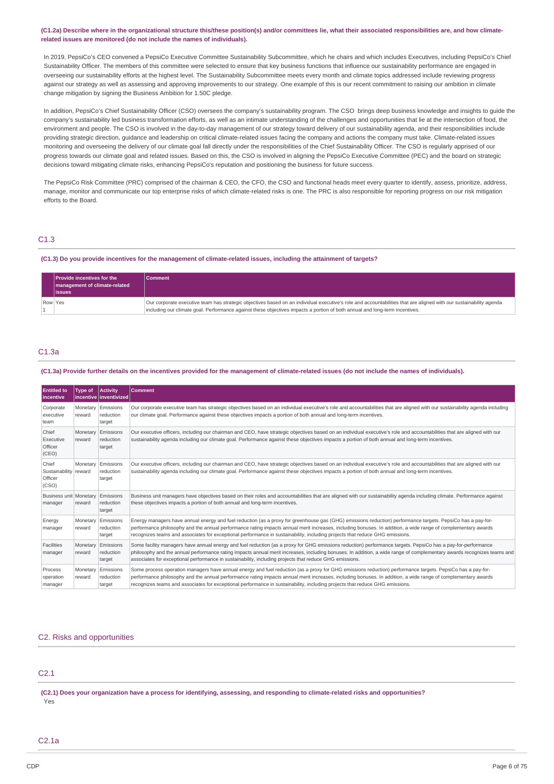### (C1.2a) Describe where in the organizational structure this/these position(s) and/or committees lie, what their associated responsibilities are, and how climate**related issues are monitored (do not include the names of individuals).**

In 2019, PepsiCo's CEO convened a PepsiCo Executive Committee Sustainability Subcommittee, which he chairs and which includes Executives, including PepsiCo's Chief Sustainability Officer. The members of this committee were selected to ensure that key business functions that influence our sustainability performance are engaged in overseeing our sustainability efforts at the highest level. The Sustainability Subcommittee meets every month and climate topics addressed include reviewing progress against our strategy as well as assessing and approving improvements to our strategy. One example of this is our recent commitment to raising our ambition in climate change mitigation by signing the Business Ambition for 1.50C pledge.

In addition, PepsiCo's Chief Sustainability Officer (CSO) oversees the company's sustainability program. The CSO brings deep business knowledge and insights to guide the company's sustainability led business transformation efforts, as well as an intimate understanding of the challenges and opportunities that lie at the intersection of food, the environment and people. The CSO is involved in the day-to-day management of our strategy toward delivery of our sustainability agenda, and their responsibilities include providing strategic direction, guidance and leadership on critical climate-related issues facing the company and actions the company must take. Climate-related issues monitoring and overseeing the delivery of our climate goal fall directly under the responsibilities of the Chief Sustainability Officer. The CSO is regularly apprised of our progress towards our climate goal and related issues. Based on this, the CSO is involved in aligning the PepsiCo Executive Committee (PEC) and the board on strategic decisions toward mitigating climate risks, enhancing PepsiCo's reputation and positioning the business for future success.

The PepsiCo Risk Committee (PRC) comprised of the chairman & CEO, the CFO, the CSO and functional heads meet every quarter to identify, assess, prioritize, address, manage, monitor and communicate our top enterprise risks of which climate-related risks is one. The PRC is also responsible for reporting progress on our risk mitigation efforts to the Board.

## C1.3

### (C1.3) Do you provide incentives for the management of climate-related issues, including the attainment of targets?

|         | <b>Provide incentives for the</b><br>management of climate-related | <b>Comment</b>                                                                                                                                                                                                                                                                                    |
|---------|--------------------------------------------------------------------|---------------------------------------------------------------------------------------------------------------------------------------------------------------------------------------------------------------------------------------------------------------------------------------------------|
|         | <i>issues</i>                                                      |                                                                                                                                                                                                                                                                                                   |
| Row Yes |                                                                    | Our corporate executive team has strategic objectives based on an individual executive's role and accountabilities that are aligned with our sustainability agenda<br>including our climate goal. Performance against these objectives impacts a portion of both annual and long-term incentives. |

## C1.3a

### (C1.3a) Provide further details on the incentives provided for the management of climate-related issues (do not include the names of individuals).

| <b>Entitled to</b><br>incentive             | Type of            | <b>Activity</b><br>incentive inventivized | <b>Comment</b>                                                                                                                                                                                                                                                                                                                                                                                                                                               |
|---------------------------------------------|--------------------|-------------------------------------------|--------------------------------------------------------------------------------------------------------------------------------------------------------------------------------------------------------------------------------------------------------------------------------------------------------------------------------------------------------------------------------------------------------------------------------------------------------------|
| Corporate<br>executive<br>team              | Monetary<br>reward | Emissions<br>reduction<br>target          | Our corporate executive team has strategic objectives based on an individual executive's role and accountabilities that are aligned with our sustainability agenda including<br>our climate goal. Performance against these objectives impacts a portion of both annual and long-term incentives.                                                                                                                                                            |
| Chief<br>Executive<br>Officer<br>(CEO)      | Monetary<br>reward | Emissions<br>reduction<br>target          | Our executive officers, including our chairman and CEO, have strategic objectives based on an individual executive's role and accountabilities that are aligned with our<br>sustainability agenda including our climate goal. Performance against these objectives impacts a portion of both annual and long-term incentives.                                                                                                                                |
| Chief<br>Sustainability<br>Officer<br>(CSO) | Monetary<br>reward | Emissions<br>reduction<br>target          | Our executive officers, including our chairman and CEO, have strategic objectives based on an individual executive's role and accountabilities that are aligned with our<br>sustainability agenda including our climate goal. Performance against these objectives impacts a portion of both annual and long-term incentives.                                                                                                                                |
| Business unit Monetary<br>manager           | reward             | Emissions<br>reduction<br>target          | Business unit managers have objectives based on their roles and accountabilities that are aligned with our sustainability agenda including climate. Performance against<br>these objectives impacts a portion of both annual and long-term incentives.                                                                                                                                                                                                       |
| Energy<br>manager                           | Monetary<br>reward | Emissions<br>reduction<br>target          | Energy managers have annual energy and fuel reduction (as a proxy for greenhouse gas (GHG) emissions reduction) performance targets. PepsiCo has a pay-for-<br>performance philosophy and the annual performance rating impacts annual merit increases, including bonuses. In addition, a wide range of complementary awards<br>recognizes teams and associates for exceptional performance in sustainability, including projects that reduce GHG emissions. |
| Facilities<br>manager                       | Monetary<br>reward | Emissions<br>reduction<br>target          | Some facility managers have annual energy and fuel reduction (as a proxy for GHG emissions reduction) performance targets. PepsiCo has a pay-for-performance<br>philosophy and the annual performance rating impacts annual merit increases, including bonuses. In addition, a wide range of complementary awards recognizes teams and<br>associates for exceptional performance in sustainability, including projects that reduce GHG emissions.            |
| Process<br>operation<br>manager             | Monetary<br>reward | Emissions<br>reduction<br>target          | Some process operation managers have annual energy and fuel reduction (as a proxy for GHG emissions reduction) performance targets. PepsiCo has a pay-for-<br>performance philosophy and the annual performance rating impacts annual merit increases, including bonuses. In addition, a wide range of complementary awards<br>recognizes teams and associates for exceptional performance in sustainability, including projects that reduce GHG emissions.  |

## C2. Risks and opportunities

## C2.1

(C2.1) Does your organization have a process for identifying, assessing, and responding to climate-related risks and opportunities? Yes

## C2.1a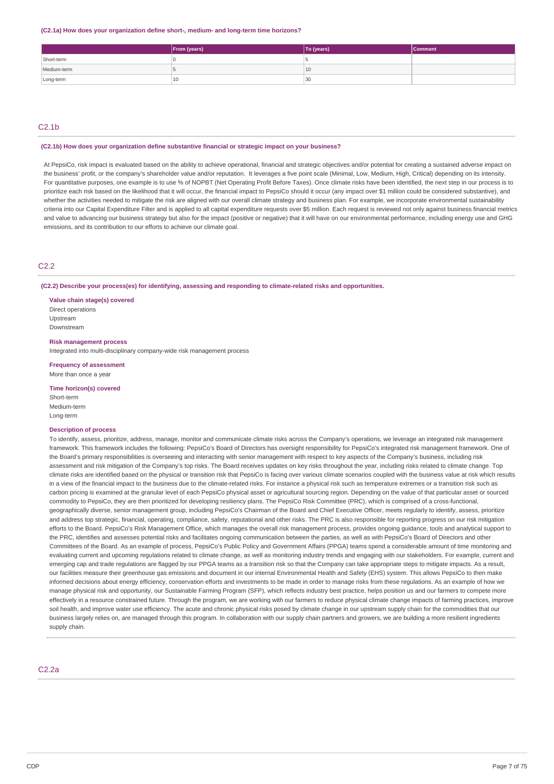**(C2.1a) How does your organization define short-, medium- and long-term time horizons?**

|             | From (years) | To (years) | <b>Comment</b> |
|-------------|--------------|------------|----------------|
| Short-term  |              |            |                |
| Medium-term |              | 10         |                |
| Long-term   | 10           | 30         |                |

## $C<sub>2</sub>1h$

### **(C2.1b) How does your organization define substantive financial or strategic impact on your business?**

At PepsiCo, risk impact is evaluated based on the ability to achieve operational, financial and strategic objectives and/or potential for creating a sustained adverse impact on the business' profit, or the company's shareholder value and/or reputation. It leverages a five point scale (Minimal, Low, Medium, High, Critical) depending on its intensity. For quantitative purposes, one example is to use % of NOPBT (Net Operating Profit Before Taxes). Once climate risks have been identified, the next step in our process is to prioritize each risk based on the likelihood that it will occur, the financial impact to PepsiCo should it occur (any impact over \$1 million could be considered substantive), and whether the activities needed to mitigate the risk are aligned with our overall climate strategy and business plan. For example, we incorporate environmental sustainability criteria into our Capital Expenditure Filter and is applied to all capital expenditure requests over \$5 million. Each request is reviewed not only against business financial metrics and value to advancing our business strategy but also for the impact (positive or negative) that it will have on our environmental performance, including energy use and GHG emissions, and its contribution to our efforts to achieve our climate goal.

## C2.2

#### **(C2.2) Describe your process(es) for identifying, assessing and responding to climate-related risks and opportunities.**

**Value chain stage(s) covered** Direct operations Upstream Downstream

## **Risk management process**

Integrated into multi-disciplinary company-wide risk management process

**Frequency of assessment** More than once a year

**Time horizon(s) covered**

Short-term Medium-term Long-term

#### **Description of process**

To identify, assess, prioritize, address, manage, monitor and communicate climate risks across the Company's operations, we leverage an integrated risk management framework. This framework includes the following: PepsiCo's Board of Directors has oversight responsibility for PepsiCo's integrated risk management framework. One of the Board's primary responsibilities is overseeing and interacting with senior management with respect to key aspects of the Company's business, including risk assessment and risk mitigation of the Company's top risks. The Board receives updates on key risks throughout the year, including risks related to climate change. Top climate risks are identified based on the physical or transition risk that PepsiCo is facing over various climate scenarios coupled with the business value at risk which results in a view of the financial impact to the business due to the climate-related risks. For instance a physical risk such as temperature extremes or a transition risk such as carbon pricing is examined at the granular level of each PepsiCo physical asset or agricultural sourcing region. Depending on the value of that particular asset or sourced commodity to PepsiCo, they are then prioritized for developing resiliency plans. The PepsiCo Risk Committee (PRC), which is comprised of a cross-functional, geographically diverse, senior management group, including PepsiCo's Chairman of the Board and Chief Executive Officer, meets regularly to identify, assess, prioritize and address top strategic, financial, operating, compliance, safety, reputational and other risks. The PRC is also responsible for reporting progress on our risk mitigation efforts to the Board. PepsiCo's Risk Management Office, which manages the overall risk management process, provides ongoing guidance, tools and analytical support to the PRC, identifies and assesses potential risks and facilitates ongoing communication between the parties, as well as with PepsiCo's Board of Directors and other Committees of the Board. As an example of process, PepsiCo's Public Policy and Government Affairs (PPGA) teams spend a considerable amount of time monitoring and evaluating current and upcoming regulations related to climate change, as well as monitoring industry trends and engaging with our stakeholders. For example, current and emerging cap and trade regulations are flagged by our PPGA teams as a transition risk so that the Company can take appropriate steps to mitigate impacts. As a result, our facilities measure their greenhouse gas emissions and document in our internal Environmental Health and Safety (EHS) system. This allows PepsiCo to then make informed decisions about energy efficiency, conservation efforts and investments to be made in order to manage risks from these regulations. As an example of how we manage physical risk and opportunity, our Sustainable Farming Program (SFP), which reflects industry best practice, helps position us and our farmers to compete more effectively in a resource constrained future. Through the program, we are working with our farmers to reduce physical climate change impacts of farming practices, improve soil health, and improve water use efficiency. The acute and chronic physical risks posed by climate change in our upstream supply chain for the commodities that our business largely relies on, are managed through this program. In collaboration with our supply chain partners and growers, we are building a more resilient ingredients supply chain.

## C2.2a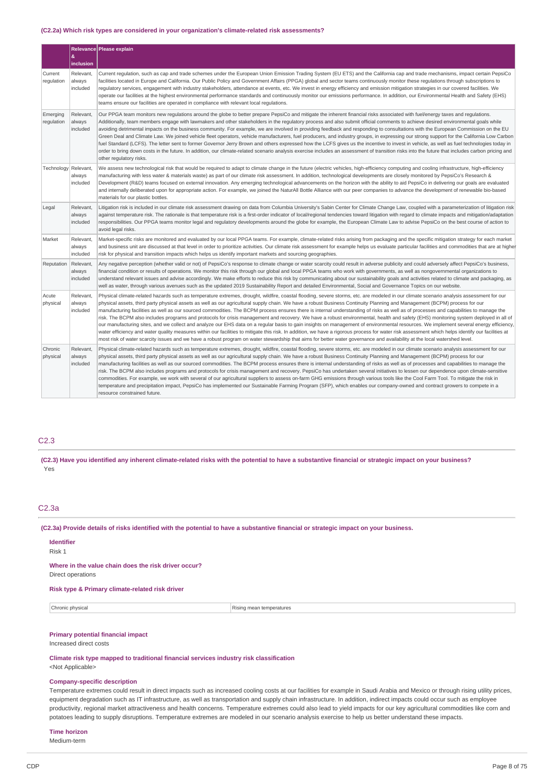#### **(C2.2a) Which risk types are considered in your organization's climate-related risk assessments?**

|                        |                                 | Relevance Please explain                                                                                                                                                                                                                                                                                                                                                                                                                                                                                                                                                                                                                                                                                                                                                                                                                                                                                                                                                                                                                                                                                                                                                                                                                                                                                                           |
|------------------------|---------------------------------|------------------------------------------------------------------------------------------------------------------------------------------------------------------------------------------------------------------------------------------------------------------------------------------------------------------------------------------------------------------------------------------------------------------------------------------------------------------------------------------------------------------------------------------------------------------------------------------------------------------------------------------------------------------------------------------------------------------------------------------------------------------------------------------------------------------------------------------------------------------------------------------------------------------------------------------------------------------------------------------------------------------------------------------------------------------------------------------------------------------------------------------------------------------------------------------------------------------------------------------------------------------------------------------------------------------------------------|
|                        | &<br>inclusion                  |                                                                                                                                                                                                                                                                                                                                                                                                                                                                                                                                                                                                                                                                                                                                                                                                                                                                                                                                                                                                                                                                                                                                                                                                                                                                                                                                    |
| Current<br>regulation  | Relevant,<br>always<br>included | Current regulation, such as cap and trade schemes under the European Union Emission Trading System (EU ETS) and the California cap and trade mechanisms, impact certain PepsiCo<br>facilities located in Europe and California. Our Public Policy and Government Affairs (PPGA) global and sector teams continuously monitor these regulations through subscriptions to<br>requlatory services, engagement with industry stakeholders, attendance at events, etc. We invest in energy efficiency and emission mitigation strategies in our covered facilities. We<br>operate our facilities at the highest environmental performance standards and continuously monitor our emissions performance. In addition, our Environmental Health and Safety (EHS)<br>teams ensure our facilities are operated in compliance with relevant local regulations.                                                                                                                                                                                                                                                                                                                                                                                                                                                                               |
| Emerging<br>regulation | Relevant,<br>always<br>included | Our PPGA team monitors new regulations around the globe to better prepare PepsiCo and mitigate the inherent financial risks associated with fuel/energy taxes and regulations.<br>Additionally, team members engage with lawmakers and other stakeholders in the regulatory process and also submit official comments to achieve desired environmental goals while<br>avoiding detrimental impacts on the business community. For example, we are involved in providing feedback and responding to consultations with the European Commission on the EU<br>Green Deal and Climate Law. We joined vehicle fleet operators, vehicle manufacturers, fuel producers, and industry groups, in expressing our strong support for the California Low Carbon<br>fuel Standard (LCFS). The letter sent to former Governor Jerry Brown and others expressed how the LCFS gives us the incentive to invest in vehicle, as well as fuel technologies today in<br>order to bring down costs in the future. In addition, our climate-related scenario analysis exercise includes an assessment of transition risks into the future that includes carbon pricing and<br>other regulatory risks.                                                                                                                                                   |
| Technology             | Relevant,<br>always<br>included | We assess new technological risk that would be required to adapt to climate change in the future (electric vehicles, high-efficiency computing and cooling infrastructure, high-efficiency<br>manufacturing with less water & materials waste) as part of our climate risk assessment. In addition, technological developments are closely monitored by PepsiCo's Research &<br>Development (R&D) teams focused on external innovation. Any emerging technological advancements on the horizon with the ability to aid PepsiCo in delivering our goals are evaluated<br>and internally deliberated upon for appropriate action. For example, we joined the NaturAll Bottle Alliance with our peer companies to advance the development of renewable bio-based<br>materials for our plastic bottles.                                                                                                                                                                                                                                                                                                                                                                                                                                                                                                                                |
| Legal                  | Relevant,<br>always<br>included | Litigation risk is included in our climate risk assessment drawing on data from Columbia University's Sabin Center for Climate Change Law, coupled with a parameterization of litigation risk<br>against temperature risk. The rationale is that temperature risk is a first-order indicator of local/regional tendencies toward litigation with regard to climate impacts and mitigation/adaptation<br>responsibilities. Our PPGA teams monitor legal and regulatory developments around the globe for example, the European Climate Law to advise PepsiCo on the best course of action to<br>avoid legal risks.                                                                                                                                                                                                                                                                                                                                                                                                                                                                                                                                                                                                                                                                                                                  |
| Market                 | Relevant,<br>always<br>included | Market-specific risks are monitored and evaluated by our local PPGA teams. For example, climate-related risks arising from packaging and the specific mitigation strategy for each market<br>and business unit are discussed at that level in order to prioritize activities. Our climate risk assessment for example helps us evaluate particular facilities and commodities that are at higher<br>risk for physical and transition impacts which helps us identify important markets and sourcing geographies.                                                                                                                                                                                                                                                                                                                                                                                                                                                                                                                                                                                                                                                                                                                                                                                                                   |
| Reputation             | Relevant,<br>always<br>included | Any negative perception (whether valid or not) of PepsiCo's response to climate change or water scarcity could result in adverse publicity and could adversely affect PepsiCo's business,<br>financial condition or results of operations. We monitor this risk through our global and local PPGA teams who work with governments, as well as nongovernmental organizations to<br>understand relevant issues and advise accordingly. We make efforts to reduce this risk by communicating about our sustainability goals and activities related to climate and packaging, as<br>well as water, through various avenues such as the updated 2019 Sustainability Report and detailed Environmental, Social and Governance Topics on our website.                                                                                                                                                                                                                                                                                                                                                                                                                                                                                                                                                                                     |
| Acute<br>physical      | Relevant,<br>always<br>included | Physical climate-related hazards such as temperature extremes, drought, wildfire, coastal flooding, severe storms, etc. are modeled in our climate scenario analysis assessment for our<br>physical assets, third party physical assets as well as our agricultural supply chain. We have a robust Business Continuity Planning and Management (BCPM) process for our<br>manufacturing facilities as well as our sourced commodities. The BCPM process ensures there is internal understanding of risks as well as of processes and capabilities to manage the<br>risk. The BCPM also includes programs and protocols for crisis management and recovery. We have a robust environmental, health and safety (EHS) monitoring system deployed in all of<br>our manufacturing sites, and we collect and analyze our EHS data on a regular basis to gain insights on management of environmental resources. We implement several energy efficiency,<br>water efficiency and water quality measures within our facilities to mitigate this risk. In addition, we have a rigorous process for water risk assessment which helps identify our facilities at<br>most risk of water scarcity issues and we have a robust program on water stewardship that aims for better water governance and availability at the local watershed level. |
| Chronic<br>physical    | Relevant,<br>always<br>included | Physical climate-related hazards such as temperature extremes, drought, wildfire, coastal flooding, severe storms, etc. are modeled in our climate scenario analysis assessment for our<br>physical assets, third party physical assets as well as our agricultural supply chain. We have a robust Business Continuity Planning and Management (BCPM) process for our<br>manufacturing facilities as well as our sourced commodities. The BCPM process ensures there is internal understanding of risks as well as of processes and capabilities to manage the<br>risk. The BCPM also includes programs and protocols for crisis management and recovery. PepsiCo has undertaken several initiatives to lessen our dependence upon climate-sensitive<br>commodities. For example, we work with several of our agricultural suppliers to assess on-farm GHG emissions through various tools like the Cool Farm Tool. To mitigate the risk in<br>temperature and precipitation impact, PepsiCo has implemented our Sustainable Farming Program (SFP), which enables our company-owned and contract growers to compete in a<br>resource constrained future.                                                                                                                                                                           |

## C2.3

(C2.3) Have you identified any inherent climate-related risks with the potential to have a substantive financial or strategic impact on your business? Yes

## C2.3a

(C2.3a) Provide details of risks identified with the potential to have a substantive financial or strategic impact on your business.

#### **Identifier** Risk 1

**Where in the value chain does the risk driver occur?** Direct operations

### **Risk type & Primary climate-related risk driver**

Chronic physical **Rising mean temperatures** 

#### **Primary potential financial impact**

Increased direct costs

**Climate risk type mapped to traditional financial services industry risk classification** <Not Applicable>

#### **Company-specific description**

Temperature extremes could result in direct impacts such as increased cooling costs at our facilities for example in Saudi Arabia and Mexico or through rising utility prices, equipment degradation such as IT infrastructure, as well as transportation and supply chain infrastructure. In addition, indirect impacts could occur such as employee productivity, regional market attractiveness and health concerns. Temperature extremes could also lead to yield impacts for our key agricultural commodities like corn and potatoes leading to supply disruptions. Temperature extremes are modeled in our scenario analysis exercise to help us better understand these impacts.

### **Time horizon**

Medium-term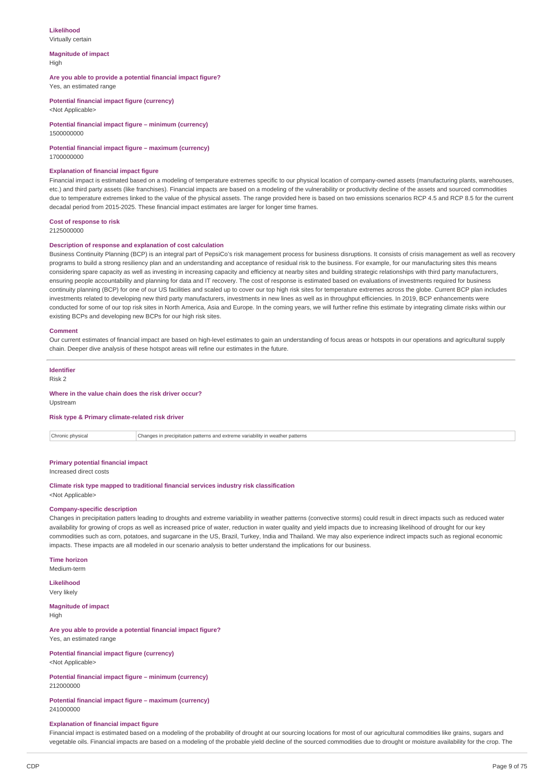### **Likelihood**

Virtually certain

#### **Magnitude of impact** High

## **Are you able to provide a potential financial impact figure?**

Yes, an estimated range

**Potential financial impact figure (currency)** <Not Applicable>

**Potential financial impact figure – minimum (currency)** 1500000000

## **Potential financial impact figure – maximum (currency)**

1700000000

#### **Explanation of financial impact figure**

Financial impact is estimated based on a modeling of temperature extremes specific to our physical location of company-owned assets (manufacturing plants, warehouses, etc.) and third party assets (like franchises). Financial impacts are based on a modeling of the vulnerability or productivity decline of the assets and sourced commodities due to temperature extremes linked to the value of the physical assets. The range provided here is based on two emissions scenarios RCP 4.5 and RCP 8.5 for the current decadal period from 2015-2025. These financial impact estimates are larger for longer time frames.

#### **Cost of response to risk**

2125000000

#### **Description of response and explanation of cost calculation**

Business Continuity Planning (BCP) is an integral part of PepsiCo's risk management process for business disruptions. It consists of crisis management as well as recovery programs to build a strong resiliency plan and an understanding and acceptance of residual risk to the business. For example, for our manufacturing sites this means considering spare capacity as well as investing in increasing capacity and efficiency at nearby sites and building strategic relationships with third party manufacturers, ensuring people accountability and planning for data and IT recovery. The cost of response is estimated based on evaluations of investments required for business continuity planning (BCP) for one of our US facilities and scaled up to cover our top high risk sites for temperature extremes across the globe. Current BCP plan includes investments related to developing new third party manufacturers, investments in new lines as well as in throughput efficiencies. In 2019, BCP enhancements were conducted for some of our top risk sites in North America, Asia and Europe. In the coming years, we will further refine this estimate by integrating climate risks within our existing BCPs and developing new BCPs for our high risk sites.

#### **Comment**

Our current estimates of financial impact are based on high-level estimates to gain an understanding of focus areas or hotspots in our operations and agricultural supply chain. Deeper dive analysis of these hotspot areas will refine our estimates in the future.

## **Identifier**

Risk 2

#### **Where in the value chain does the risk driver occur?**

Upstream

#### **Risk type & Primary climate-related risk driver**

Chronic physical Changes in precipitation patterns and extreme variability in weather patterns

**Primary potential financial impact** Increased direct costs

## **Climate risk type mapped to traditional financial services industry risk classification**

<Not Applicable>

#### **Company-specific description**

Changes in precipitation patters leading to droughts and extreme variability in weather patterns (convective storms) could result in direct impacts such as reduced water availability for growing of crops as well as increased price of water, reduction in water quality and yield impacts due to increasing likelihood of drought for our key commodities such as corn, potatoes, and sugarcane in the US, Brazil, Turkey, India and Thailand. We may also experience indirect impacts such as regional economic impacts. These impacts are all modeled in our scenario analysis to better understand the implications for our business.

**Time horizon** Medium-term

# **Likelihood**

Very likely

**Magnitude of impact** High

### **Are you able to provide a potential financial impact figure?** Yes, an estimated range

**Potential financial impact figure (currency)** <Not Applicable>

### **Potential financial impact figure – minimum (currency)** 212000000

**Potential financial impact figure – maximum (currency)** 241000000

#### **Explanation of financial impact figure**

Financial impact is estimated based on a modeling of the probability of drought at our sourcing locations for most of our agricultural commodities like grains, sugars and vegetable oils. Financial impacts are based on a modeling of the probable yield decline of the sourced commodities due to drought or moisture availability for the crop. The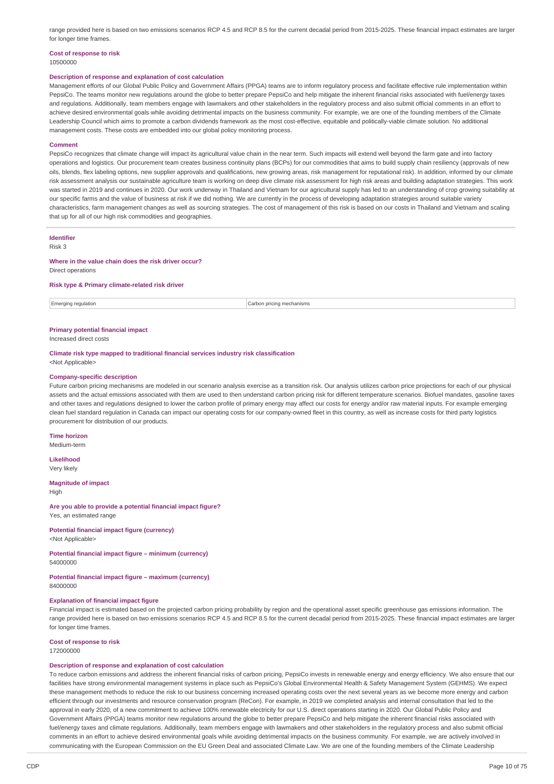range provided here is based on two emissions scenarios RCP 4.5 and RCP 8.5 for the current decadal period from 2015-2025. These financial impact estimates are larger for longer time frames.

#### **Cost of response to risk** 10500000

### **Description of response and explanation of cost calculation**

Management efforts of our Global Public Policy and Government Affairs (PPGA) teams are to inform regulatory process and facilitate effective rule implementation within PepsiCo. The teams monitor new regulations around the globe to better prepare PepsiCo and help mitigate the inherent financial risks associated with fuel/energy taxes and regulations. Additionally, team members engage with lawmakers and other stakeholders in the regulatory process and also submit official comments in an effort to achieve desired environmental goals while avoiding detrimental impacts on the business community. For example, we are one of the founding members of the Climate Leadership Council which aims to promote a carbon dividends framework as the most cost-effective, equitable and politically-viable climate solution. No additional management costs. These costs are embedded into our global policy monitoring process.

#### **Comment**

PepsiCo recognizes that climate change will impact its agricultural value chain in the near term. Such impacts will extend well beyond the farm gate and into factory operations and logistics. Our procurement team creates business continuity plans (BCPs) for our commodities that aims to build supply chain resiliency (approvals of new oils, blends, flex labeling options, new supplier approvals and qualifications, new growing areas, risk management for reputational risk). In addition, informed by our climate risk assessment analysis our sustainable agriculture team is working on deep dive climate risk assessment for high risk areas and building adaptation strategies. This work was started in 2019 and continues in 2020. Our work underway in Thailand and Vietnam for our agricultural supply has led to an understanding of crop growing suitability at our specific farms and the value of business at risk if we did nothing. We are currently in the process of developing adaptation strategies around suitable variety characteristics, farm management changes as well as sourcing strategies. The cost of management of this risk is based on our costs in Thailand and Vietnam and scaling that up for all of our high risk commodities and geographies.

### **Identifier**

Risk 3

#### **Where in the value chain does the risk driver occur?**

Direct operations

## **Risk type & Primary climate-related risk driver**

**Emerging regulation** Carbon pricing mechanisms

# **Primary potential financial impact**

Increased direct costs

#### **Climate risk type mapped to traditional financial services industry risk classification** <Not Applicable>

**Company-specific description**

Future carbon pricing mechanisms are modeled in our scenario analysis exercise as a transition risk. Our analysis utilizes carbon price projections for each of our physical assets and the actual emissions associated with them are used to then understand carbon pricing risk for different temperature scenarios. Biofuel mandates, gasoline taxes and other taxes and regulations designed to lower the carbon profile of primary energy may affect our costs for energy and/or raw material inputs. For example emerging clean fuel standard regulation in Canada can impact our operating costs for our company-owned fleet in this country, as well as increase costs for third party logistics procurement for distribution of our products.

#### **Time horizon**

Medium-term

**Likelihood** Very likely

## **Magnitude of impact**

High

#### **Are you able to provide a potential financial impact figure?** Yes, an estimated range

**Potential financial impact figure (currency)** <Not Applicable>

**Potential financial impact figure – minimum (currency)** 54000000

**Potential financial impact figure – maximum (currency)** 84000000

#### **Explanation of financial impact figure**

Financial impact is estimated based on the projected carbon pricing probability by region and the operational asset specific greenhouse gas emissions information. The range provided here is based on two emissions scenarios RCP 4.5 and RCP 8.5 for the current decadal period from 2015-2025. These financial impact estimates are larger for longer time frames.

#### **Cost of response to risk** 172000000

#### **Description of response and explanation of cost calculation**

To reduce carbon emissions and address the inherent financial risks of carbon pricing, PepsiCo invests in renewable energy and energy efficiency. We also ensure that our facilities have strong environmental management systems in place such as PepsiCo's Global Environmental Health & Safety Management System (GEHMS). We expect these management methods to reduce the risk to our business concerning increased operating costs over the next several years as we become more energy and carbon efficient through our investments and resource conservation program (ReCon). For example, in 2019 we completed analysis and internal consultation that led to the approval in early 2020, of a new commitment to achieve 100% renewable electricity for our U.S. direct operations starting in 2020. Our Global Public Policy and Government Affairs (PPGA) teams monitor new regulations around the globe to better prepare PepsiCo and help mitigate the inherent financial risks associated with fuel/energy taxes and climate regulations. Additionally, team members engage with lawmakers and other stakeholders in the regulatory process and also submit official comments in an effort to achieve desired environmental goals while avoiding detrimental impacts on the business community. For example, we are actively involved in communicating with the European Commission on the EU Green Deal and associated Climate Law. We are one of the founding members of the Climate Leadership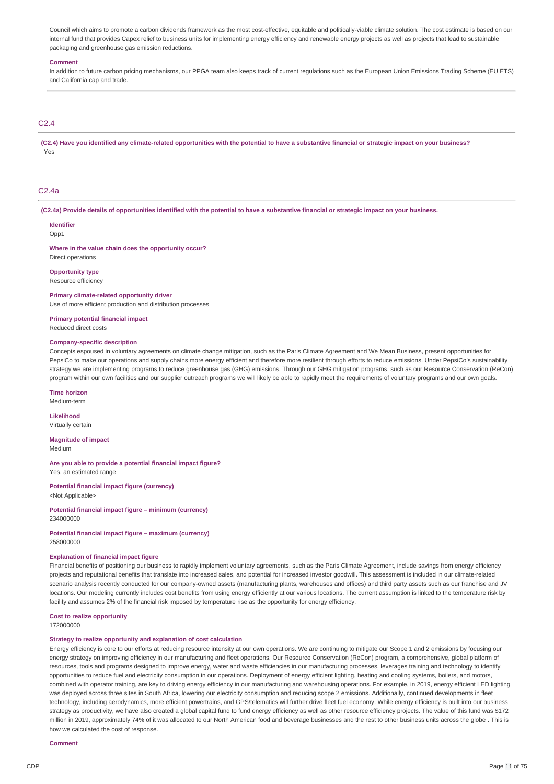Council which aims to promote a carbon dividends framework as the most cost-effective, equitable and politically-viable climate solution. The cost estimate is based on our internal fund that provides Capex relief to business units for implementing energy efficiency and renewable energy projects as well as projects that lead to sustainable packaging and greenhouse gas emission reductions.

#### **Comment**

In addition to future carbon pricing mechanisms, our PPGA team also keeps track of current regulations such as the European Union Emissions Trading Scheme (EU ETS) and California cap and trade.

## C2.4

(C2.4) Have you identified any climate-related opportunities with the potential to have a substantive financial or strategic impact on your business? Yes

## C2.4a

(C2.4a) Provide details of opportunities identified with the potential to have a substantive financial or strategic impact on your business.

#### **Identifier**

 $Onn1$ 

**Where in the value chain does the opportunity occur?**

## Direct operations **Opportunity type**

Resource efficiency

#### **Primary climate-related opportunity driver**

Use of more efficient production and distribution processes

**Primary potential financial impact**

Reduced direct costs

### **Company-specific description**

Concepts espoused in voluntary agreements on climate change mitigation, such as the Paris Climate Agreement and We Mean Business, present opportunities for PepsiCo to make our operations and supply chains more energy efficient and therefore more resilient through efforts to reduce emissions. Under PepsiCo's sustainability strategy we are implementing programs to reduce greenhouse gas (GHG) emissions. Through our GHG mitigation programs, such as our Resource Conservation (ReCon) program within our own facilities and our supplier outreach programs we will likely be able to rapidly meet the requirements of voluntary programs and our own goals.

**Time horizon**

Medium-term

**Likelihood**

Virtually certain

**Magnitude of impact** Medium

**Are you able to provide a potential financial impact figure?** Yes, an estimated range

**Potential financial impact figure (currency)** <Not Applicable>

**Potential financial impact figure – minimum (currency)** 234000000

**Potential financial impact figure – maximum (currency)** 258000000

## **Explanation of financial impact figure**

Financial benefits of positioning our business to rapidly implement voluntary agreements, such as the Paris Climate Agreement, include savings from energy efficiency projects and reputational benefits that translate into increased sales, and potential for increased investor goodwill. This assessment is included in our climate-related scenario analysis recently conducted for our company-owned assets (manufacturing plants, warehouses and offices) and third party assets such as our franchise and JV locations. Our modeling currently includes cost benefits from using energy efficiently at our various locations. The current assumption is linked to the temperature risk by facility and assumes 2% of the financial risk imposed by temperature rise as the opportunity for energy efficiency.

### **Cost to realize opportunity**

172000000

### **Strategy to realize opportunity and explanation of cost calculation**

Energy efficiency is core to our efforts at reducing resource intensity at our own operations. We are continuing to mitigate our Scope 1 and 2 emissions by focusing our energy strategy on improving efficiency in our manufacturing and fleet operations. Our Resource Conservation (ReCon) program, a comprehensive, global platform of resources, tools and programs designed to improve energy, water and waste efficiencies in our manufacturing processes, leverages training and technology to identify opportunities to reduce fuel and electricity consumption in our operations. Deployment of energy efficient lighting, heating and cooling systems, boilers, and motors, combined with operator training, are key to driving energy efficiency in our manufacturing and warehousing operations. For example, in 2019, energy efficient LED lighting was deployed across three sites in South Africa, lowering our electricity consumption and reducing scope 2 emissions. Additionally, continued developments in fleet technology, including aerodynamics, more efficient powertrains, and GPS/telematics will further drive fleet fuel economy. While energy efficiency is built into our business strategy as productivity, we have also created a global capital fund to fund energy efficiency as well as other resource efficiency projects. The value of this fund was \$172 million in 2019, approximately 74% of it was allocated to our North American food and beverage businesses and the rest to other business units across the globe . This is how we calculated the cost of response.

**Comment**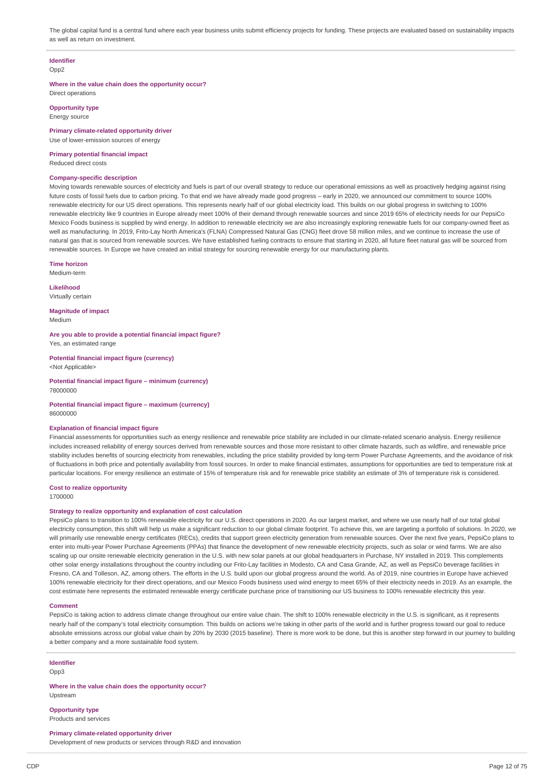The global capital fund is a central fund where each year business units submit efficiency projects for funding. These projects are evaluated based on sustainability impacts as well as return on investment.

### **Identifier**

Opp<sub>2</sub>

**Where in the value chain does the opportunity occur?** Direct operations

**Opportunity type** Energy source

**Primary climate-related opportunity driver** Use of lower-emission sources of energy

**Primary potential financial impact** Reduced direct costs

### **Company-specific description**

Moving towards renewable sources of electricity and fuels is part of our overall strategy to reduce our operational emissions as well as proactively hedging against rising future costs of fossil fuels due to carbon pricing. To that end we have already made good progress – early in 2020, we announced our commitment to source 100% renewable electricity for our US direct operations. This represents nearly half of our global electricity load. This builds on our global progress in switching to 100% renewable electricity like 9 countries in Europe already meet 100% of their demand through renewable sources and since 2019 65% of electricity needs for our PepsiCo Mexico Foods business is supplied by wind energy. In addition to renewable electricity we are also increasingly exploring renewable fuels for our company-owned fleet as well as manufacturing. In 2019, Frito-Lay North America's (FLNA) Compressed Natural Gas (CNG) fleet drove 58 million miles, and we continue to increase the use of natural gas that is sourced from renewable sources. We have established fueling contracts to ensure that starting in 2020, all future fleet natural gas will be sourced from renewable sources. In Europe we have created an initial strategy for sourcing renewable energy for our manufacturing plants.

#### **Time horizon**

Medium-term

**Likelihood**

Virtually certain

**Magnitude of impact** Medium

**Are you able to provide a potential financial impact figure?** Yes, an estimated range

**Potential financial impact figure (currency)** <Not Applicable>

**Potential financial impact figure – minimum (currency)** 78000000

**Potential financial impact figure – maximum (currency)** 86000000

#### **Explanation of financial impact figure**

Financial assessments for opportunities such as energy resilience and renewable price stability are included in our climate-related scenario analysis. Energy resilience includes increased reliability of energy sources derived from renewable sources and those more resistant to other climate hazards, such as wildfire, and renewable price stability includes benefits of sourcing electricity from renewables, including the price stability provided by long-term Power Purchase Agreements, and the avoidance of risk of fluctuations in both price and potentially availability from fossil sources. In order to make financial estimates, assumptions for opportunities are tied to temperature risk at particular locations. For energy resilience an estimate of 15% of temperature risk and for renewable price stability an estimate of 3% of temperature risk is considered.

#### **Cost to realize opportunity**

1700000

## **Strategy to realize opportunity and explanation of cost calculation**

PepsiCo plans to transition to 100% renewable electricity for our U.S. direct operations in 2020. As our largest market, and where we use nearly half of our total global electricity consumption, this shift will help us make a significant reduction to our global climate footprint. To achieve this, we are targeting a portfolio of solutions. In 2020, we will primarily use renewable energy certificates (RECs), credits that support green electricity generation from renewable sources. Over the next five years, PepsiCo plans to enter into multi-year Power Purchase Agreements (PPAs) that finance the development of new renewable electricity projects, such as solar or wind farms. We are also scaling up our onsite renewable electricity generation in the U.S. with new solar panels at our global headquarters in Purchase, NY installed in 2019. This complements other solar energy installations throughout the country including our Frito-Lay facilities in Modesto, CA and Casa Grande, AZ, as well as PepsiCo beverage facilities in Fresno, CA and Tolleson, AZ, among others. The efforts in the U.S. build upon our global progress around the world. As of 2019, nine countries in Europe have achieved 100% renewable electricity for their direct operations, and our Mexico Foods business used wind energy to meet 65% of their electricity needs in 2019. As an example, the cost estimate here represents the estimated renewable energy certificate purchase price of transitioning our US business to 100% renewable electricity this year.

#### **Comment**

PepsiCo is taking action to address climate change throughout our entire value chain. The shift to 100% renewable electricity in the U.S. is significant, as it represents nearly half of the company's total electricity consumption. This builds on actions we're taking in other parts of the world and is further progress toward our goal to reduce absolute emissions across our global value chain by 20% by 2030 (2015 baseline). There is more work to be done, but this is another step forward in our journey to building a better company and a more sustainable food system.

#### **Identifier**

Opp3

**Where in the value chain does the opportunity occur?** Upstream

**Opportunity type** Products and services

**Primary climate-related opportunity driver** Development of new products or services through R&D and innovation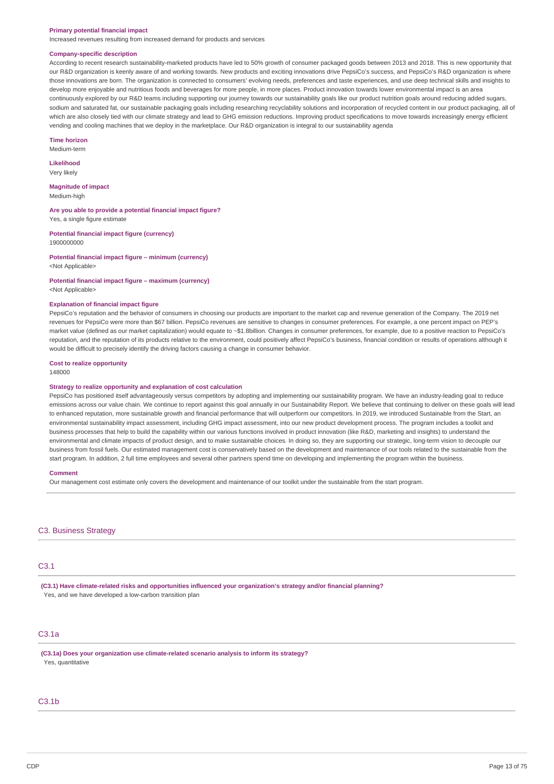#### **Primary potential financial impact**

Increased revenues resulting from increased demand for products and services

#### **Company-specific description**

According to recent research sustainability-marketed products have led to 50% growth of consumer packaged goods between 2013 and 2018. This is new opportunity that our R&D organization is keenly aware of and working towards. New products and exciting innovations drive PepsiCo's success, and PepsiCo's R&D organization is where those innovations are born. The organization is connected to consumers' evolving needs, preferences and taste experiences, and use deep technical skills and insights to develop more enjoyable and nutritious foods and beverages for more people, in more places. Product innovation towards lower environmental impact is an area continuously explored by our R&D teams including supporting our journey towards our sustainability goals like our product nutrition goals around reducing added sugars, sodium and saturated fat, our sustainable packaging goals including researching recyclability solutions and incorporation of recycled content in our product packaging, all of which are also closely tied with our climate strategy and lead to GHG emission reductions. Improving product specifications to move towards increasingly energy efficient vending and cooling machines that we deploy in the marketplace. Our R&D organization is integral to our sustainability agenda

**Time horizon**

Medium-term

**Likelihood** Very likely

**Magnitude of impact** Medium-high

**Are you able to provide a potential financial impact figure?** Yes, a single figure estimate

**Potential financial impact figure (currency)** 1900000000

**Potential financial impact figure – minimum (currency)**

<Not Applicable>

## **Potential financial impact figure – maximum (currency)**

<Not Applicable>

### **Explanation of financial impact figure**

PepsiCo's reputation and the behavior of consumers in choosing our products are important to the market cap and revenue generation of the Company. The 2019 net revenues for PepsiCo were more than \$67 billion. PepsiCo revenues are sensitive to changes in consumer preferences. For example, a one percent impact on PEP's market value (defined as our market capitalization) would equate to ~\$1.8billion. Changes in consumer preferences, for example, due to a positive reaction to PepsiCo's reputation, and the reputation of its products relative to the environment, could positively affect PepsiCo's business, financial condition or results of operations although it would be difficult to precisely identify the driving factors causing a change in consumer behavior.

# **Cost to realize opportunity**

148000

#### **Strategy to realize opportunity and explanation of cost calculation**

PepsiCo has positioned itself advantageously versus competitors by adopting and implementing our sustainability program. We have an industry-leading goal to reduce emissions across our value chain. We continue to report against this goal annually in our Sustainability Report. We believe that continuing to deliver on these goals will lead to enhanced reputation, more sustainable growth and financial performance that will outperform our competitors. In 2019, we introduced Sustainable from the Start, an environmental sustainability impact assessment, including GHG impact assessment, into our new product development process. The program includes a toolkit and business processes that help to build the capability within our various functions involved in product innovation (like R&D, marketing and insights) to understand the environmental and climate impacts of product design, and to make sustainable choices. In doing so, they are supporting our strategic, long-term vision to decouple our business from fossil fuels. Our estimated management cost is conservatively based on the development and maintenance of our tools related to the sustainable from the start program. In addition, 2 full time employees and several other partners spend time on developing and implementing the program within the business.

### **Comment**

Our management cost estimate only covers the development and maintenance of our toolkit under the sustainable from the start program.

## C3. Business Strategy

## C3.1

**(C3.1) Have climate-related risks and opportunities influenced your organization's strategy and/or financial planning?** Yes, and we have developed a low-carbon transition plan

## C3.1a

**(C3.1a) Does your organization use climate-related scenario analysis to inform its strategy?** Yes, quantitative

## $C3.1h$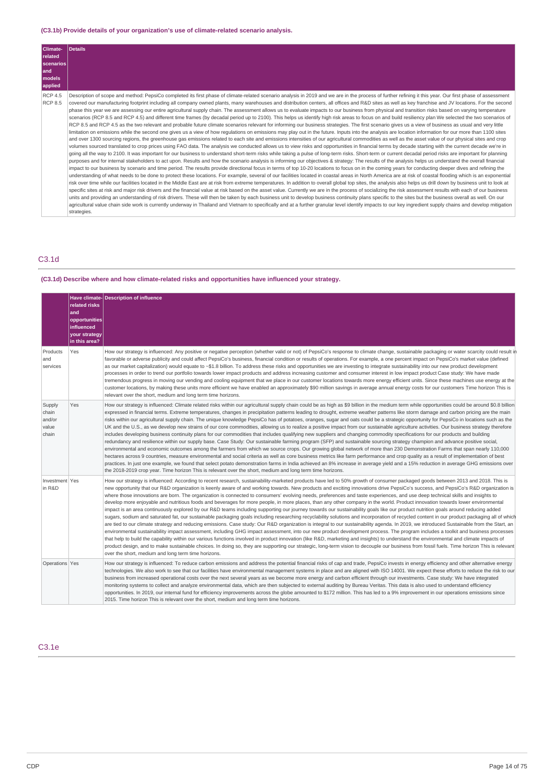## **(C3.1b) Provide details of your organization's use of climate-related scenario analysis.**

| Climate-<br>related<br><b>scenarios</b><br>land<br>models<br>applied | Details                                                                                                                                                                                                                                                                                                                                                                                                                                                                                                                                                                                                                                                                                                                                                                                                                                                                                                                                                                                                                                                                                                                                                                                                                                                                                                                                                                                                                                                                                                                                                                                                                                                                                                                                                                                                                                                                                                                                                                                                                                                                                                                                                                                                                                                                                                                                                                                                                                                                                                                                                                                                                                                                                                                                                                                                                                                                                                                                                                                                                                                                                                                                                                                                                                                                                                                                                                                                    |
|----------------------------------------------------------------------|------------------------------------------------------------------------------------------------------------------------------------------------------------------------------------------------------------------------------------------------------------------------------------------------------------------------------------------------------------------------------------------------------------------------------------------------------------------------------------------------------------------------------------------------------------------------------------------------------------------------------------------------------------------------------------------------------------------------------------------------------------------------------------------------------------------------------------------------------------------------------------------------------------------------------------------------------------------------------------------------------------------------------------------------------------------------------------------------------------------------------------------------------------------------------------------------------------------------------------------------------------------------------------------------------------------------------------------------------------------------------------------------------------------------------------------------------------------------------------------------------------------------------------------------------------------------------------------------------------------------------------------------------------------------------------------------------------------------------------------------------------------------------------------------------------------------------------------------------------------------------------------------------------------------------------------------------------------------------------------------------------------------------------------------------------------------------------------------------------------------------------------------------------------------------------------------------------------------------------------------------------------------------------------------------------------------------------------------------------------------------------------------------------------------------------------------------------------------------------------------------------------------------------------------------------------------------------------------------------------------------------------------------------------------------------------------------------------------------------------------------------------------------------------------------------------------------------------------------------------------------------------------------------------------------------------------------------------------------------------------------------------------------------------------------------------------------------------------------------------------------------------------------------------------------------------------------------------------------------------------------------------------------------------------------------------------------------------------------------------------------------------------------------|
| <b>RCP 4.5</b><br><b>RCP 8.5</b>                                     | Description of scope and method: PepsiCo completed its first phase of climate-related scenario analysis in 2019 and we are in the process of further refining it this year. Our first phase of assessment<br>covered our manufacturing footprint including all company owned plants, many warehouses and distribution centers, all offices and R&D sites as well as key franchise and JV locations. For the second<br>phase this year we are assessing our entire agricultural supply chain. The assessment allows us to evaluate impacts to our business from physical and transition risks based on varying temperature<br>scenarios (RCP 8.5 and RCP 4.5) and different time frames (by decadal period up to 2100). This helps us identify high risk areas to focus on and build resiliency plan We selected the two scenarios of<br>RCP 8.5 and RCP 4.5 as the two relevant and probable future climate scenarios relevant for informing our business strategies. The first scenario gives us a view of business as usual and very little<br>limitation on emissions while the second one gives us a view of how regulations on emissions may play out in the future. Inputs into the analysis are location information for our more than 1100 sites<br>and over 1300 sourcing regions, the greenhouse gas emissions related to each site and emissions intensities of our agricultural commodities as well as the asset value of our physical sites and crop<br>volumes sourced translated to crop prices using FAO data. The analysis we conducted allows us to view risks and opportunities in financial terms by decade starting with the current decade we're in<br>going all the way to 2100. It was important for our business to understand short-term risks while taking a pulse of long-term risks. Short-term or current decadal period risks are important for planning<br>purposes and for internal stakeholders to act upon. Results and how the scenario analysis is informing our objectives & strategy: The results of the analysis helps us understand the overall financial<br>impact to our business by scenario and time period. The results provide directional focus in terms of top 10-20 locations to focus on in the coming years for conducting deeper dives and refining the<br>understanding of what needs to be done to protect these locations. For example, several of our facilities located in coastal areas in North America are at risk of coastal flooding which is an exponential<br>risk over time while our facilities located in the Middle East are at risk from extreme temperatures. In addition to overall global top sites, the analysis also helps us drill down by business unit to look at<br>specific sites at risk and major risk drivers and the financial value at risk based on the asset value. Currently we are in the process of socializing the risk assessment results with each of our business<br>units and providing an understanding of risk drivers. These will then be taken by each business unit to develop business continuity plans specific to the sites but the business overall as well. On our<br>agricultural value chain side work is currently underway in Thailand and Vietnam to specifically and at a further granular level identify impacts to our key ingredient supply chains and develop mitigation<br>strategies. |

## C3.1d

## **(C3.1d) Describe where and how climate-related risks and opportunities have influenced your strategy.**

|                                             | related risks<br>and<br>opportunities<br>influenced<br>your strategy<br>in this area? | Have climate-Description of influence                                                                                                                                                                                                                                                                                                                                                                                                                                                                                                                                                                                                                                                                                                                                                                                                                                                                                                                                                                                                                                                                                                                                                                                                                                                                                                                                                                                                                                                                                                                                                                                                                                                                                                                                                                                                                                                                                                                           |
|---------------------------------------------|---------------------------------------------------------------------------------------|-----------------------------------------------------------------------------------------------------------------------------------------------------------------------------------------------------------------------------------------------------------------------------------------------------------------------------------------------------------------------------------------------------------------------------------------------------------------------------------------------------------------------------------------------------------------------------------------------------------------------------------------------------------------------------------------------------------------------------------------------------------------------------------------------------------------------------------------------------------------------------------------------------------------------------------------------------------------------------------------------------------------------------------------------------------------------------------------------------------------------------------------------------------------------------------------------------------------------------------------------------------------------------------------------------------------------------------------------------------------------------------------------------------------------------------------------------------------------------------------------------------------------------------------------------------------------------------------------------------------------------------------------------------------------------------------------------------------------------------------------------------------------------------------------------------------------------------------------------------------------------------------------------------------------------------------------------------------|
| Products<br>and<br>services                 | Yes                                                                                   | How our strategy is influenced: Any positive or negative perception (whether valid or not) of PepsiCo's response to climate change, sustainable packaging or water scarcity could result in<br>favorable or adverse publicity and could affect PepsiCo's business, financial condition or results of operations. For example, a one percent impact on PepsiCo's market value (defined<br>as our market capitalization) would equate to ~\$1.8 billion. To address these risks and opportunities we are investing to integrate sustainability into our new product development<br>processes in order to trend our portfolio towards lower impact products and address increasing customer and consumer interest in low impact product Case study: We have made<br>tremendous progress in moving our vending and cooling equipment that we place in our customer locations towards more energy efficient units. Since these machines use energy at the<br>customer locations, by making these units more efficient we have enabled an approximately \$90 million savings in average annual energy costs for our customers Time horizon This is<br>relevant over the short, medium and long term time horizons.                                                                                                                                                                                                                                                                                                                                                                                                                                                                                                                                                                                                                                                                                                                                                    |
| Supply<br>chain<br>and/or<br>value<br>chain | Yes                                                                                   | How our strategy is influenced: Climate related risks within our agricultural supply chain could be as high as \$9 billion in the medium term while opportunities could be around \$0.8 billion<br>expressed in financial terms. Extreme temperatures, changes in precipitation patterns leading to drought, extreme weather patterns like storm damage and carbon pricing are the main<br>risks within our agricultural supply chain. The unique knowledge PepsiCo has of potatoes, oranges, sugar and oats could be a strategic opportunity for PepsiCo in locations such as the<br>UK and the U.S., as we develop new strains of our core commodities, allowing us to realize a positive impact from our sustainable agriculture activities. Our business strategy therefore<br>includes developing business continuity plans for our commodities that includes qualifying new suppliers and changing commodity specifications for our products and building<br>redundancy and resilience within our supply base. Case Study: Our sustainable farming program (SFP) and sustainable sourcing strategy champion and advance positive social,<br>environmental and economic outcomes among the farmers from which we source crops. Our growing global network of more than 230 Demonstration Farms that span nearly 110,000<br>hectares across 9 countries, measure environmental and social criteria as well as core business metrics like farm performance and crop quality as a result of implementation of best<br>practices. In just one example, we found that select potato demonstration farms in India achieved an 8% increase in average yield and a 15% reduction in average GHG emissions over<br>the 2018-2019 crop year. Time horizon This is relevant over the short, medium and long term time horizons.                                                                                                                                       |
| Investment Yes<br>in R&D                    |                                                                                       | How our strategy is influenced: According to recent research, sustainability-marketed products have led to 50% growth of consumer packaged goods between 2013 and 2018. This is<br>new opportunity that our R&D organization is keenly aware of and working towards. New products and exciting innovations drive PepsiCo's success, and PepsiCo's R&D organization is<br>where those innovations are born. The organization is connected to consumers' evolving needs, preferences and taste experiences, and use deep technical skills and insights to<br>develop more enjoyable and nutritious foods and beverages for more people, in more places, than any other company in the world. Product innovation towards lower environmental<br>impact is an area continuously explored by our R&D teams including supporting our journey towards our sustainability goals like our product nutrition goals around reducing added<br>sugars, sodium and saturated fat, our sustainable packaging goals including researching recyclability solutions and incorporation of recycled content in our product packaging all of which<br>are tied to our climate strategy and reducing emissions. Case study: Our R&D organization is integral to our sustainability agenda. In 2019, we introduced Sustainable from the Start, an<br>environmental sustainability impact assessment, including GHG impact assessment, into our new product development process. The program includes a toolkit and business processes<br>that help to build the capability within our various functions involved in product innovation (like R&D, marketing and insights) to understand the environmental and climate impacts of<br>product design, and to make sustainable choices. In doing so, they are supporting our strategic, long-term vision to decouple our business from fossil fuels. Time horizon This is relevant<br>over the short, medium and long term time horizons. |
| Operations Yes                              |                                                                                       | How our strategy is influenced: To reduce carbon emissions and address the potential financial risks of cap and trade, PepsiCo invests in energy efficiency and other alternative energy<br>technologies. We also work to see that our facilities have environmental management systems in place and are aligned with ISO 14001. We expect these efforts to reduce the risk to our<br>business from increased operational costs over the next several years as we become more energy and carbon efficient through our investments. Case study: We have integrated<br>monitoring systems to collect and analyze environmental data, which are then subjected to external auditing by Bureau Veritas. This data is also used to understand efficiency<br>opportunities. In 2019, our internal fund for efficiency improvements across the globe amounted to \$172 million. This has led to a 9% improvement in our operations emissions since<br>2015. Time horizon This is relevant over the short, medium and long term time horizons.                                                                                                                                                                                                                                                                                                                                                                                                                                                                                                                                                                                                                                                                                                                                                                                                                                                                                                                          |

# C3.1e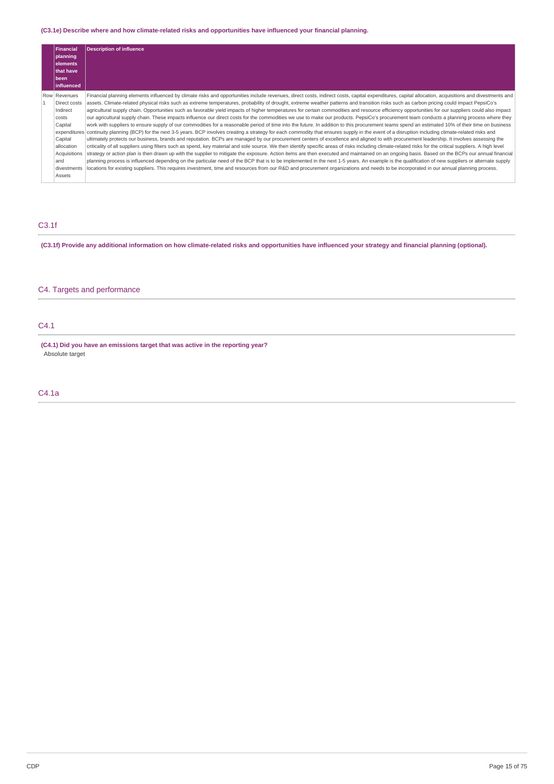## **(C3.1e) Describe where and how climate-related risks and opportunities have influenced your financial planning.**

| Financial<br>planning | <b>Description of influence</b>                                                                                                                                                                           |
|-----------------------|-----------------------------------------------------------------------------------------------------------------------------------------------------------------------------------------------------------|
| elements              |                                                                                                                                                                                                           |
| that have             |                                                                                                                                                                                                           |
| been                  |                                                                                                                                                                                                           |
| influenced            |                                                                                                                                                                                                           |
| Row Revenues          | Financial planning elements influenced by climate risks and opportunities include revenues, direct costs, indirect costs, capital expenditures, capital allocation, acquisitions and divestments and      |
| Direct costs          | assets. Climate-related physical risks such as extreme temperatures, probability of drought, extreme weather patterns and transition risks such as carbon pricing could impact PepsiCo's                  |
| Indirect              | agricultural supply chain. Opportunities such as favorable yield impacts of higher temperatures for certain commodities and resource efficiency opportunities for our suppliers could also impact         |
| costs                 | our agricultural supply chain. These impacts influence our direct costs for the commodities we use to make our products. PepsiCo's procurement team conducts a planning process where they                |
| Capital               | work with suppliers to ensure supply of our commodities for a reasonable period of time into the future. In addition to this procurement teams spend an estimated 10% of their time on business           |
|                       | expenditures continuity planning (BCP) for the next 3-5 years. BCP involves creating a strategy for each commodity that ensures supply in the event of a disruption including climate-related risks and   |
| Capital               | ultimately protects our business, brands and reputation. BCPs are managed by our procurement centers of excellence and aligned to with procurement leadership. It involves assessing the                  |
| allocation            | criticality of all suppliers using filters such as spend, key material and sole source. We then identify specific areas of risks including climate-related risks for the critical suppliers. A high level |
| Acquisitions          | strategy or action plan is then drawn up with the supplier to mitigate the exposure. Action items are then executed and maintained on an ongoing basis. Based on the BCPs our annual financial            |
| and                   | planning process is influenced depending on the particular need of the BCP that is to be implemented in the next 1-5 years. An example is the qualification of new suppliers or alternate supply          |
| divestments           | locations for existing suppliers. This requires investment, time and resources from our R&D and procurement organizations and needs to be incorporated in our annual planning process.                    |
| Assets                |                                                                                                                                                                                                           |

## C3.1f

(C3.1f) Provide any additional information on how climate-related risks and opportunities have influenced your strategy and financial planning (optional).

## C4. Targets and performance

# C4.1

**(C4.1) Did you have an emissions target that was active in the reporting year?** Absolute target

## C4.1a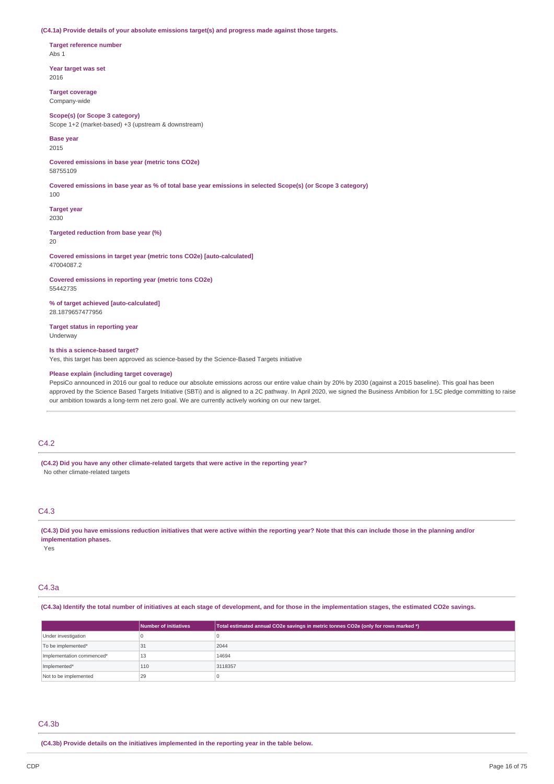#### **(C4.1a) Provide details of your absolute emissions target(s) and progress made against those targets.**

**Target reference number** Abs 1

**Year target was set** 2016

**Target coverage** Company-wide

### **Scope(s) (or Scope 3 category)**

Scope 1+2 (market-based) +3 (upstream & downstream)

## **Base year**

2015

**Covered emissions in base year (metric tons CO2e)** 58755109

Covered emissions in base year as % of total base year emissions in selected Scope(s) (or Scope 3 category)

**Target year**

100

2030

**Targeted reduction from base year (%)** 20

**Covered emissions in target year (metric tons CO2e) [auto-calculated]** 47004087.2

**Covered emissions in reporting year (metric tons CO2e)** 55442735

**% of target achieved [auto-calculated]** 28.1879657477956

**Target status in reporting year** Underway

**Is this a science-based target?**

Yes, this target has been approved as science-based by the Science-Based Targets initiative

## **Please explain (including target coverage)**

PepsiCo announced in 2016 our goal to reduce our absolute emissions across our entire value chain by 20% by 2030 (against a 2015 baseline). This goal has been approved by the Science Based Targets Initiative (SBTi) and is aligned to a 2C pathway. In April 2020, we signed the Business Ambition for 1.5C pledge committing to raise our ambition towards a long-term net zero goal. We are currently actively working on our new target.

## C4.2

**(C4.2) Did you have any other climate-related targets that were active in the reporting year?** No other climate-related targets

## C4.3

(C4.3) Did you have emissions reduction initiatives that were active within the reporting year? Note that this can include those in the planning and/or **implementation phases.**

Yes

## C4.3a

(C4.3a) Identify the total number of initiatives at each stage of development, and for those in the implementation stages, the estimated CO2e savings.

|                           | <b>Number of initiatives</b> | Total estimated annual CO2e savings in metric tonnes CO2e (only for rows marked *) |
|---------------------------|------------------------------|------------------------------------------------------------------------------------|
| Under investigation       |                              |                                                                                    |
| To be implemented*        | 31                           | 2044                                                                               |
| Implementation commenced* | 13                           | 14694                                                                              |
| Implemented*              | 110                          | 3118357                                                                            |
| Not to be implemented     | 29                           |                                                                                    |

### C4.3b

**(C4.3b) Provide details on the initiatives implemented in the reporting year in the table below.**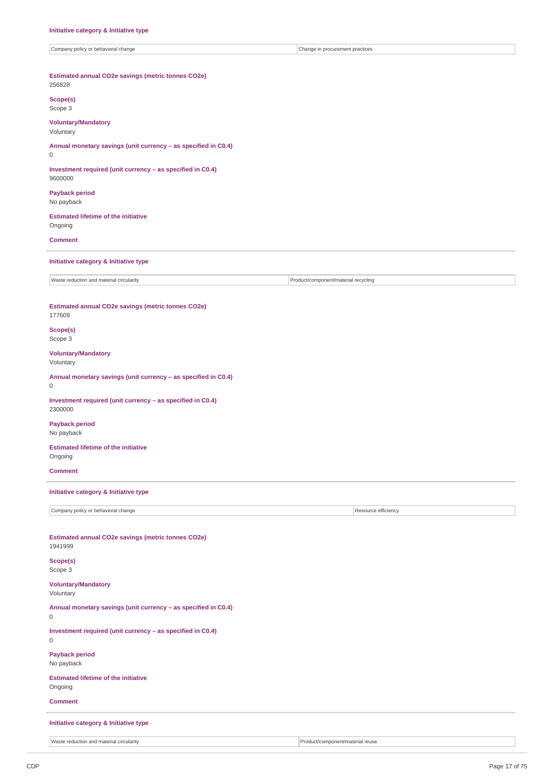| Initiative category & Initiative type                                       |                                      |
|-----------------------------------------------------------------------------|--------------------------------------|
| Company policy or behavioral change                                         | Change in procurement practices      |
| Estimated annual CO2e savings (metric tonnes CO2e)                          |                                      |
| 256828<br>Scope(s)                                                          |                                      |
| Scope 3<br><b>Voluntary/Mandatory</b>                                       |                                      |
| Voluntary<br>Annual monetary savings (unit currency - as specified in C0.4) |                                      |
| 0                                                                           |                                      |
| Investment required (unit currency - as specified in C0.4)<br>9600000       |                                      |
| <b>Payback period</b><br>No payback                                         |                                      |
| <b>Estimated lifetime of the initiative</b><br>Ongoing                      |                                      |
| <b>Comment</b>                                                              |                                      |
| Initiative category & Initiative type                                       |                                      |
| Waste reduction and material circularity                                    | Product/component/material recycling |
| Estimated annual CO2e savings (metric tonnes CO2e)<br>177609                |                                      |
| Scope(s)<br>Scope 3                                                         |                                      |
| <b>Voluntary/Mandatory</b><br>Voluntary                                     |                                      |
| Annual monetary savings (unit currency - as specified in C0.4)<br>0         |                                      |
| Investment required (unit currency - as specified in C0.4)<br>2300000       |                                      |
| <b>Payback period</b><br>No payback                                         |                                      |
| <b>Estimated lifetime of the initiative</b><br>Ongoing                      |                                      |
| <b>Comment</b>                                                              |                                      |
| Initiative category & Initiative type                                       |                                      |
| Company policy or behavioral change                                         | Resource efficiency                  |
| Estimated annual CO2e savings (metric tonnes CO2e)<br>1941999               |                                      |
| Scope(s)<br>Scope 3                                                         |                                      |
| <b>Voluntary/Mandatory</b><br>Voluntary                                     |                                      |
| Annual monetary savings (unit currency - as specified in C0.4)<br>0         |                                      |
| Investment required (unit currency - as specified in C0.4)<br>0             |                                      |
| <b>Payback period</b><br>No payback                                         |                                      |
| <b>Estimated lifetime of the initiative</b><br>Ongoing                      |                                      |

**Comment**

# **Initiative category & Initiative type**

| Wast<br>. cırcularıtv<br>material<br>querion and<br>r. c. 1 | oduct/component/material reuse |
|-------------------------------------------------------------|--------------------------------|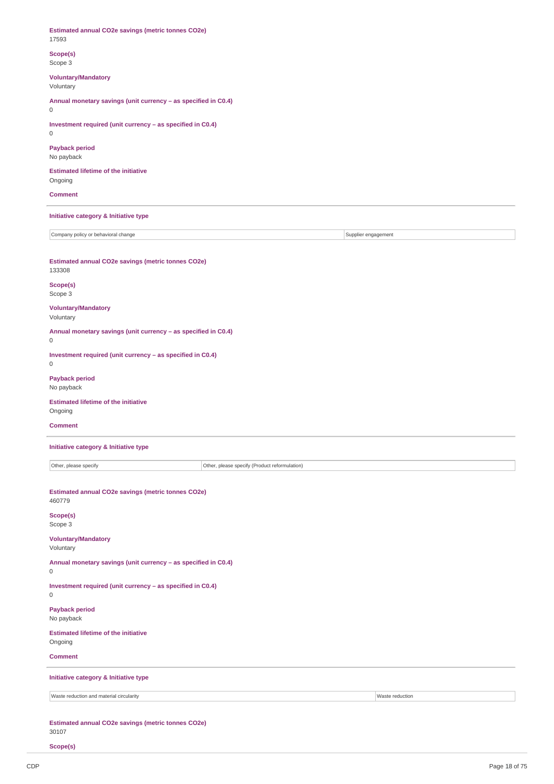| Estimated annual CO2e savings (metric tonnes CO2e)<br>17593                           |                     |
|---------------------------------------------------------------------------------------|---------------------|
| Scope(s)<br>Scope 3                                                                   |                     |
| <b>Voluntary/Mandatory</b><br>Voluntary                                               |                     |
| Annual monetary savings (unit currency - as specified in C0.4)<br>$\mathsf{O}\xspace$ |                     |
| Investment required (unit currency - as specified in C0.4)<br>0                       |                     |
| <b>Payback period</b><br>No payback                                                   |                     |
| <b>Estimated lifetime of the initiative</b><br>Ongoing                                |                     |
| <b>Comment</b>                                                                        |                     |
| Initiative category & Initiative type                                                 |                     |
| Company policy or behavioral change                                                   | Supplier engagement |
| Estimated annual CO2e savings (metric tonnes CO2e)<br>133308                          |                     |
| Scope(s)<br>Scope 3                                                                   |                     |
| <b>Voluntary/Mandatory</b><br>Voluntary                                               |                     |
| Annual monetary savings (unit currency - as specified in C0.4)<br>$\mathsf{O}\xspace$ |                     |
| Investment required (unit currency - as specified in C0.4)<br>$\mathsf 0$             |                     |
| <b>Payback period</b><br>No payback                                                   |                     |
| <b>Estimated lifetime of the initiative</b><br>Ongoing                                |                     |
| <b>Comment</b>                                                                        |                     |
| Initiative category & Initiative type                                                 |                     |
| Other, please specify<br>Other, please specify (Product reformulation)                |                     |
| Estimated annual CO2e savings (metric tonnes CO2e)<br>460779                          |                     |
| Scope(s)<br>Scope 3                                                                   |                     |
| <b>Voluntary/Mandatory</b><br>Voluntary                                               |                     |
| Annual monetary savings (unit currency - as specified in C0.4)<br>0                   |                     |
| Investment required (unit currency - as specified in C0.4)<br>$\mathsf 0$             |                     |
| <b>Payback period</b><br>No payback                                                   |                     |
| <b>Estimated lifetime of the initiative</b><br>Ongoing                                |                     |
| <b>Comment</b>                                                                        |                     |
| Initiative category & Initiative type                                                 |                     |
| Waste reduction and material circularity                                              | Waste reduction     |
| Estimated annual CO2e savings (metric tonnes CO2e)<br>30107                           |                     |

**Scope(s)**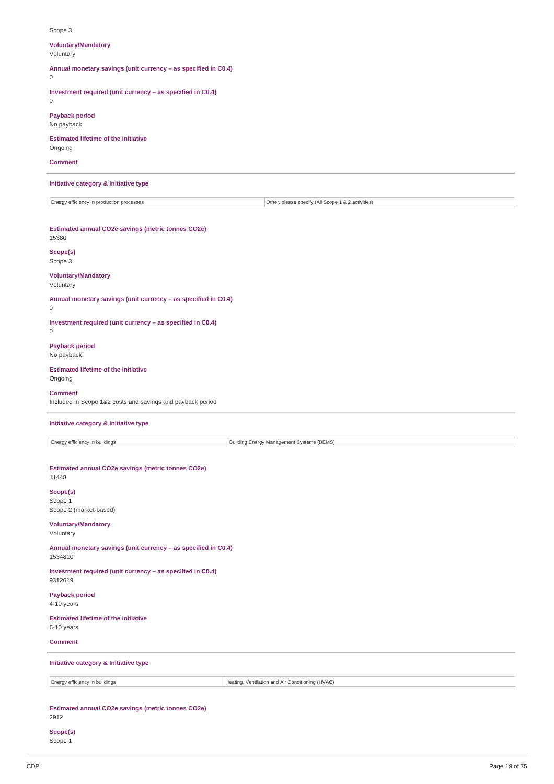| Scope 3                                                                               |                                                    |
|---------------------------------------------------------------------------------------|----------------------------------------------------|
| <b>Voluntary/Mandatory</b><br>Voluntary                                               |                                                    |
| Annual monetary savings (unit currency - as specified in C0.4)<br>0                   |                                                    |
| Investment required (unit currency - as specified in C0.4)<br>$\mathsf 0$             |                                                    |
| <b>Payback period</b><br>No payback                                                   |                                                    |
| <b>Estimated lifetime of the initiative</b><br>Ongoing                                |                                                    |
| <b>Comment</b>                                                                        |                                                    |
| Initiative category & Initiative type                                                 |                                                    |
| Energy efficiency in production processes                                             | Other, please specify (All Scope 1 & 2 activities) |
| Estimated annual CO2e savings (metric tonnes CO2e)<br>15380                           |                                                    |
| Scope(s)<br>Scope 3                                                                   |                                                    |
| <b>Voluntary/Mandatory</b><br>Voluntary                                               |                                                    |
| Annual monetary savings (unit currency - as specified in C0.4)<br>$\mathsf{O}\xspace$ |                                                    |
| Investment required (unit currency - as specified in C0.4)<br>0                       |                                                    |
| <b>Payback period</b><br>No payback                                                   |                                                    |
| <b>Estimated lifetime of the initiative</b><br>Ongoing                                |                                                    |
| <b>Comment</b><br>Included in Scope 1&2 costs and savings and payback period          |                                                    |
| Initiative category & Initiative type                                                 |                                                    |
| Energy efficiency in buildings                                                        | Building Energy Management Systems (BEMS)          |
| Estimated annual CO2e savings (metric tonnes CO2e)<br>11448                           |                                                    |
| Scope(s)<br>Scope 1<br>Scope 2 (market-based)                                         |                                                    |
| <b>Voluntary/Mandatory</b><br>Voluntary                                               |                                                    |
| Annual monetary savings (unit currency - as specified in C0.4)<br>1534810             |                                                    |
| Investment required (unit currency - as specified in C0.4)<br>9312619                 |                                                    |
| <b>Payback period</b><br>4-10 years                                                   |                                                    |
| <b>Estimated lifetime of the initiative</b><br>6-10 years                             |                                                    |
| <b>Comment</b>                                                                        |                                                    |
| Initiative category & Initiative type                                                 |                                                    |
| Energy efficiency in buildings                                                        | Heating, Ventilation and Air Conditioning (HVAC)   |
| Estimated annual CO2e savings (metric tonnes CO2e)<br>2912                            |                                                    |
| Scope(s)                                                                              |                                                    |

Scope 1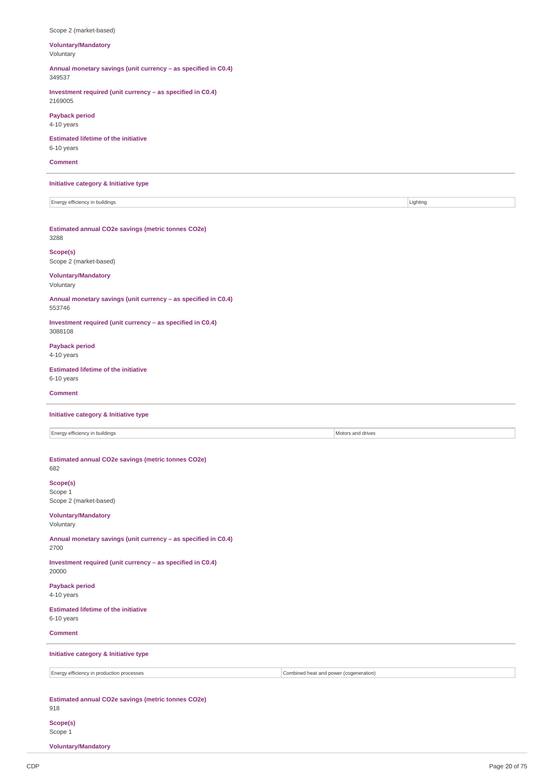| Scope 2 (market-based)                                                   |                                        |
|--------------------------------------------------------------------------|----------------------------------------|
| <b>Voluntary/Mandatory</b><br>Voluntary                                  |                                        |
| Annual monetary savings (unit currency - as specified in C0.4)<br>349537 |                                        |
| Investment required (unit currency - as specified in C0.4)<br>2169005    |                                        |
| <b>Payback period</b><br>4-10 years                                      |                                        |
| <b>Estimated lifetime of the initiative</b><br>6-10 years                |                                        |
| <b>Comment</b>                                                           |                                        |
| Initiative category & Initiative type                                    |                                        |
| Energy efficiency in buildings                                           | Lighting                               |
| Estimated annual CO2e savings (metric tonnes CO2e)<br>3288               |                                        |
| Scope(s)<br>Scope 2 (market-based)                                       |                                        |
| <b>Voluntary/Mandatory</b><br>Voluntary                                  |                                        |
| Annual monetary savings (unit currency - as specified in C0.4)<br>553746 |                                        |
| Investment required (unit currency - as specified in C0.4)<br>3088108    |                                        |
| <b>Payback period</b><br>4-10 years                                      |                                        |
| <b>Estimated lifetime of the initiative</b><br>6-10 years                |                                        |
| <b>Comment</b>                                                           |                                        |
| Initiative category & Initiative type                                    |                                        |
| Energy efficiency in buildings                                           | Motors and drives                      |
| Estimated annual CO2e savings (metric tonnes CO2e)<br>682                |                                        |
| Scope(s)<br>Scope 1<br>Scope 2 (market-based)                            |                                        |
| <b>Voluntary/Mandatory</b><br>Voluntary                                  |                                        |
| Annual monetary savings (unit currency - as specified in C0.4)<br>2700   |                                        |
| Investment required (unit currency - as specified in C0.4)<br>20000      |                                        |
| <b>Payback period</b><br>4-10 years                                      |                                        |
| <b>Estimated lifetime of the initiative</b><br>6-10 years                |                                        |
| <b>Comment</b>                                                           |                                        |
| Initiative category & Initiative type                                    |                                        |
| Energy efficiency in production processes                                | Combined heat and power (cogeneration) |
|                                                                          |                                        |
| Estimated annual CO2e savings (metric tonnes CO2e)<br>918                |                                        |

**Voluntary/Mandatory**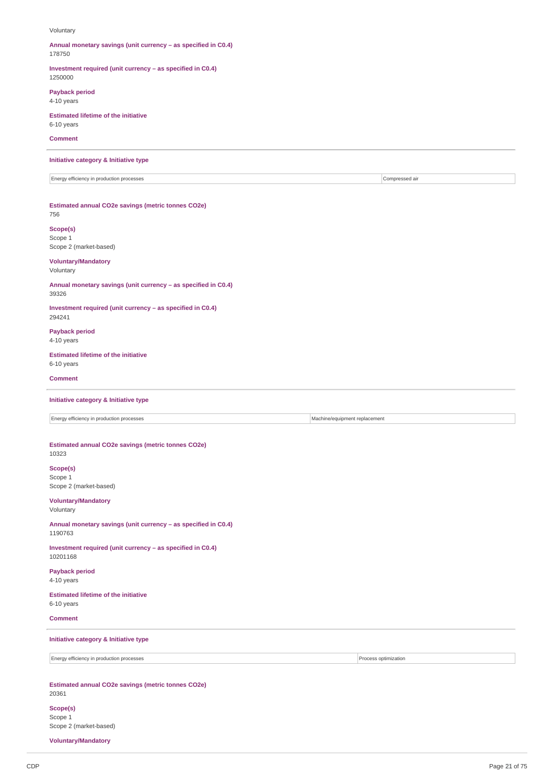#### Voluntary

**Annual monetary savings (unit currency – as specified in C0.4)** 178750

**Investment required (unit currency – as specified in C0.4)** 1250000

**Payback period**

4-10 years

**Estimated lifetime of the initiative** 6-10 years

**Comment**

**Initiative category & Initiative type**

Energy efficiency in production processes Compressed air compressed air compressed air

**Estimated annual CO2e savings (metric tonnes CO2e)**

756

**Scope(s)** Scope 1

Scope 2 (market-based)

**Voluntary/Mandatory** Voluntary

**Annual monetary savings (unit currency – as specified in C0.4)** 39326

**Investment required (unit currency – as specified in C0.4)** 294241

**Payback period** 4-10 years

**Estimated lifetime of the initiative** 6-10 years

**Comment**

**Initiative category & Initiative type**

Energy efficiency in production processes Machine/equipment replacement

**Estimated annual CO2e savings (metric tonnes CO2e)** 10323

**Scope(s)** Scope 1 Scope 2 (market-based)

**Voluntary/Mandatory**

Voluntary

**Annual monetary savings (unit currency – as specified in C0.4)** 1190763

**Investment required (unit currency – as specified in C0.4)** 10201168

**Payback period** 4-10 years

**Estimated lifetime of the initiative** 6-10 years

**Comment**

**Initiative category & Initiative type**

Energy efficiency in production processes Process optimization

**Estimated annual CO2e savings (metric tonnes CO2e)** 20361

**Scope(s)** Scope 1 Scope 2 (market-based)

**Voluntary/Mandatory**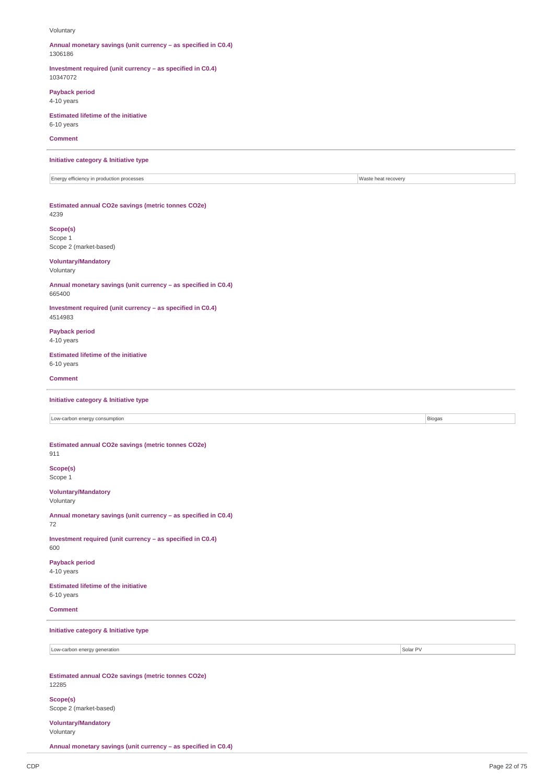#### Voluntary

**Annual monetary savings (unit currency – as specified in C0.4)** 1306186

**Investment required (unit currency – as specified in C0.4)** 10347072

**Payback period**

4-10 years **Estimated lifetime of the initiative**

6-10 years

**Comment**

**Initiative category & Initiative type**

Energy efficiency in production processes Waste heat recovery

**Estimated annual CO2e savings (metric tonnes CO2e)** 4239

**Scope(s)** Scope 1

Scope 2 (market-based)

**Voluntary/Mandatory** Voluntary

**Annual monetary savings (unit currency – as specified in C0.4)** 665400

**Investment required (unit currency – as specified in C0.4)** 4514983

**Payback period** 4-10 years

**Estimated lifetime of the initiative** 6-10 years

**Comment**

**Initiative category & Initiative type**

Low-carbon energy consumption **Biogas** 

**Estimated annual CO2e savings (metric tonnes CO2e)** 911

**Scope(s)** Scope 1

**Voluntary/Mandatory** Voluntary

**Annual monetary savings (unit currency – as specified in C0.4)** 72

**Investment required (unit currency – as specified in C0.4)** 600

**Payback period** 4-10 years

**Estimated lifetime of the initiative** 6-10 years

**Comment**

**Initiative category & Initiative type**

Low-carbon energy generation Solar PV and the Contract of the Contract of the Contract of Solar PV solar PV solar PV solar PV solar PV solar PV solar PV solar PV solar PV solar PV solar PV solar PV solar PV solar PV solar

**Estimated annual CO2e savings (metric tonnes CO2e)** 12285

**Scope(s)** Scope 2 (market-based)

**Voluntary/Mandatory** Voluntary

**Annual monetary savings (unit currency – as specified in C0.4)**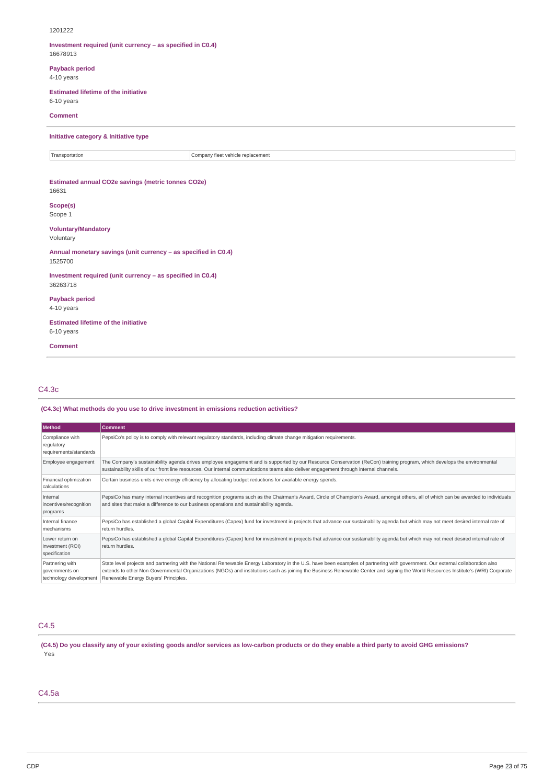#### 1201222

### **Investment required (unit currency – as specified in C0.4)** 16678913

**Payback period**

# 4-10 years

**Estimated lifetime of the initiative** 6-10 years

## **Comment**

**Initiative category & Initiative type**

Transportation **Company fleet vehicle replacement** 

#### **Estimated annual CO2e savings (metric tonnes CO2e)** 16631

**Scope(s)** Scope 1

### **Voluntary/Mandatory** Voluntary

**Annual monetary savings (unit currency – as specified in C0.4)** 1525700

**Investment required (unit currency – as specified in C0.4)** 36263718

**Payback period** 4-10 years

**Estimated lifetime of the initiative** 6-10 years

**Comment**

## C4.3c

## **(C4.3c) What methods do you use to drive investment in emissions reduction activities?**

| Method                                                      | <b>Comment</b>                                                                                                                                                                                                                                                                                                                                                                                               |
|-------------------------------------------------------------|--------------------------------------------------------------------------------------------------------------------------------------------------------------------------------------------------------------------------------------------------------------------------------------------------------------------------------------------------------------------------------------------------------------|
| Compliance with<br>regulatory<br>requirements/standards     | PepsiCo's policy is to comply with relevant regulatory standards, including climate change mitigation reguirements.                                                                                                                                                                                                                                                                                          |
| Employee engagement                                         | The Company's sustainability agenda drives employee engagement and is supported by our Resource Conservation (ReCon) training program, which develops the environmental<br>sustainability skills of our front line resources. Our internal communications teams also deliver engagement through internal channels.                                                                                           |
| Financial optimization<br>calculations                      | Certain business units drive energy efficiency by allocating budget reductions for available energy spends.                                                                                                                                                                                                                                                                                                  |
| Internal<br>incentives/recognition<br>programs              | PepsiCo has many internal incentives and recognition programs such as the Chairman's Award, Circle of Champion's Award, amongst others, all of which can be awarded to individuals<br>and sites that make a difference to our business operations and sustainability agenda.                                                                                                                                 |
| Internal finance<br>mechanisms                              | PepsiCo has established a global Capital Expenditures (Capex) fund for investment in projects that advance our sustainability agenda but which may not meet desired internal rate of<br>return hurdles.                                                                                                                                                                                                      |
| Lower return on<br>investment (ROI)<br>specification        | PepsiCo has established a global Capital Expenditures (Capex) fund for investment in projects that advance our sustainability agenda but which may not meet desired internal rate of<br>return hurdles.                                                                                                                                                                                                      |
| Partnering with<br>governments on<br>technology development | State level projects and partnering with the National Renewable Energy Laboratory in the U.S. have been examples of partnering with government. Our external collaboration also<br>extends to other Non-Governmental Organizations (NGOs) and institutions such as joining the Business Renewable Center and signing the World Resources Institute's (WRI) Corporate<br>Renewable Energy Buyers' Principles. |

## C4.5

(C4.5) Do you classify any of your existing goods and/or services as low-carbon products or do they enable a third party to avoid GHG emissions? Yes

## C4.5a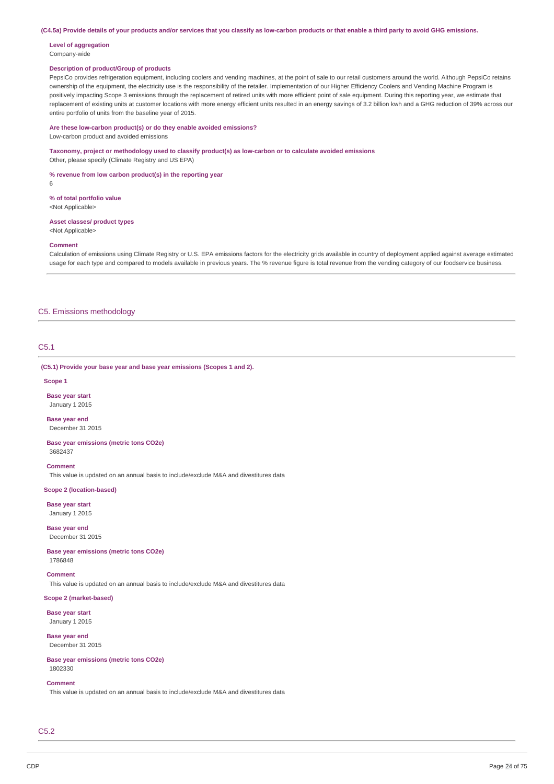(C4.5a) Provide details of your products and/or services that you classify as low-carbon products or that enable a third party to avoid GHG emissions.

#### **Level of aggregation** Company-wide

### **Description of product/Group of products**

PepsiCo provides refrigeration equipment, including coolers and vending machines, at the point of sale to our retail customers around the world. Although PepsiCo retains ownership of the equipment, the electricity use is the responsibility of the retailer. Implementation of our Higher Efficiency Coolers and Vending Machine Program is positively impacting Scope 3 emissions through the replacement of retired units with more efficient point of sale equipment. During this reporting year, we estimate that replacement of existing units at customer locations with more energy efficient units resulted in an energy savings of 3.2 billion kwh and a GHG reduction of 39% across our entire portfolio of units from the baseline year of 2015.

## **Are these low-carbon product(s) or do they enable avoided emissions?**

Low-carbon product and avoided emissions

# **Taxonomy, project or methodology used to classify product(s) as low-carbon or to calculate avoided emissions**

Other, please specify (Climate Registry and US EPA)

## **% revenue from low carbon product(s) in the reporting year**

6

#### **% of total portfolio value** <Not Applicable>

#### **Asset classes/ product types** <Not Applicable>

#### **Comment**

Calculation of emissions using Climate Registry or U.S. EPA emissions factors for the electricity grids available in country of deployment applied against average estimated usage for each type and compared to models available in previous years. The % revenue figure is total revenue from the vending category of our foodservice business.

## C5. Emissions methodology

## C5.1

#### **(C5.1) Provide your base year and base year emissions (Scopes 1 and 2).**

#### **Scope 1**

**Base year start** January 1 2015

#### **Base year end** December 31 2015

**Base year emissions (metric tons CO2e)** 3682437

#### **Comment**

This value is updated on an annual basis to include/exclude M&A and divestitures data

#### **Scope 2 (location-based)**

**Base year start** January 1 2015

**Base year end** December 31 2015

#### **Base year emissions (metric tons CO2e)**

1786848

## **Comment**

This value is updated on an annual basis to include/exclude M&A and divestitures data

## **Scope 2 (market-based)**

**Base year start** January 1 2015

**Base year end** December 31 2015

**Base year emissions (metric tons CO2e)** 1802330

#### **Comment**

This value is updated on an annual basis to include/exclude M&A and divestitures data

## C5.2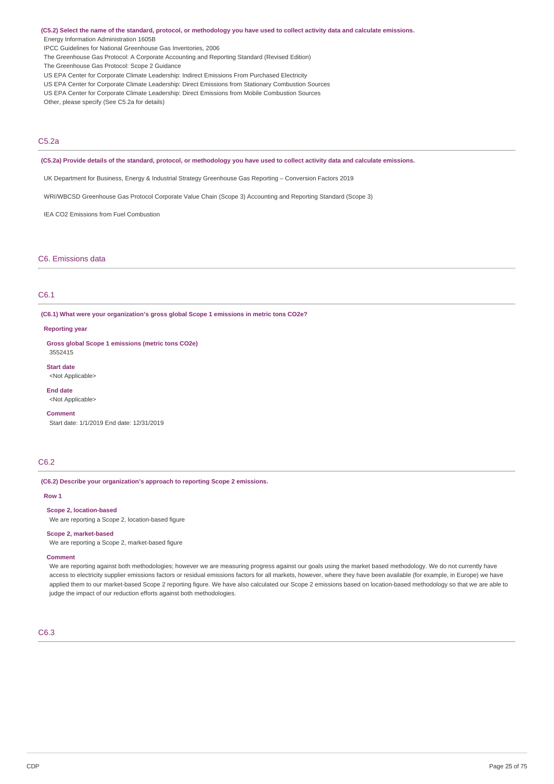(C5.2) Select the name of the standard, protocol, or methodology you have used to collect activity data and calculate emissions.

Energy Information Administration 1605B

IPCC Guidelines for National Greenhouse Gas Inventories, 2006

The Greenhouse Gas Protocol: A Corporate Accounting and Reporting Standard (Revised Edition)

The Greenhouse Gas Protocol: Scope 2 Guidance

US EPA Center for Corporate Climate Leadership: Indirect Emissions From Purchased Electricity

US EPA Center for Corporate Climate Leadership: Direct Emissions from Stationary Combustion Sources

US EPA Center for Corporate Climate Leadership: Direct Emissions from Mobile Combustion Sources

Other, please specify (See C5.2a for details)

## C5.2a

(C5.2a) Provide details of the standard, protocol, or methodology you have used to collect activity data and calculate emissions.

UK Department for Business, Energy & Industrial Strategy Greenhouse Gas Reporting – Conversion Factors 2019

WRI/WBCSD Greenhouse Gas Protocol Corporate Value Chain (Scope 3) Accounting and Reporting Standard (Scope 3)

IEA CO2 Emissions from Fuel Combustion

## C6. Emissions data

### C6.1

**(C6.1) What were your organization's gross global Scope 1 emissions in metric tons CO2e?**

#### **Reporting year**

**Gross global Scope 1 emissions (metric tons CO2e)** 3552415

**Start date**

<Not Applicable>

**End date** <Not Applicable>

#### **Comment**

Start date: 1/1/2019 End date: 12/31/2019

## C6.2

#### **(C6.2) Describe your organization's approach to reporting Scope 2 emissions.**

**Row 1**

#### **Scope 2, location-based**

We are reporting a Scope 2, location-based figure

#### **Scope 2, market-based**

We are reporting a Scope 2, market-based figure

#### **Comment**

We are reporting against both methodologies; however we are measuring progress against our goals using the market based methodology. We do not currently have access to electricity supplier emissions factors or residual emissions factors for all markets, however, where they have been available (for example, in Europe) we have applied them to our market-based Scope 2 reporting figure. We have also calculated our Scope 2 emissions based on location-based methodology so that we are able to judge the impact of our reduction efforts against both methodologies.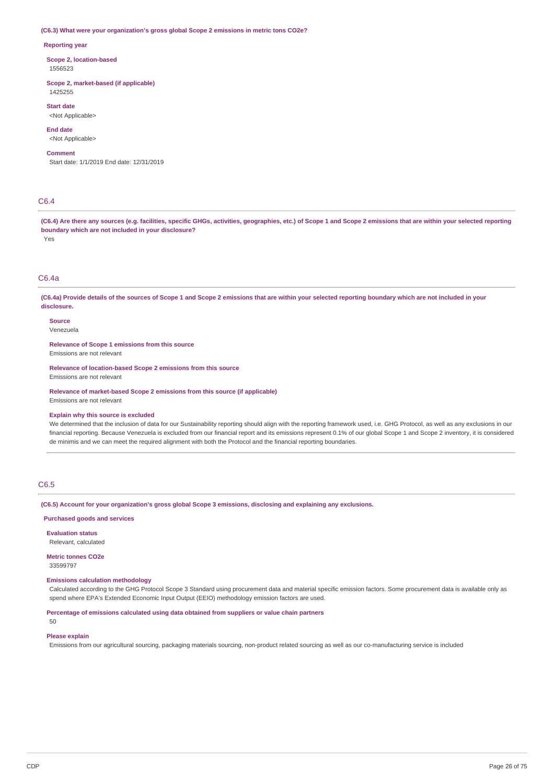#### **(C6.3) What were your organization's gross global Scope 2 emissions in metric tons CO2e?**

#### **Reporting year**

**Scope 2, location-based** 1556523

#### **Scope 2, market-based (if applicable)**

1425255 **Start date**

<Not Applicable>

**End date** <Not Applicable>

# **Comment**

Start date: 1/1/2019 End date: 12/31/2019

## C6.4

(C6.4) Are there any sources (e.g. facilities, specific GHGs, activities, geographies, etc.) of Scope 1 and Scope 2 emissions that are within your selected reporting **boundary which are not included in your disclosure?**

Yes

## C6.4a

(C6.4a) Provide details of the sources of Scope 1 and Scope 2 emissions that are within your selected reporting boundary which are not included in your **disclosure.**

## **Source**

Venezuela

**Relevance of Scope 1 emissions from this source** Emissions are not relevant

**Relevance of location-based Scope 2 emissions from this source**

Emissions are not relevant

**Relevance of market-based Scope 2 emissions from this source (if applicable)**

Emissions are not relevant

## **Explain why this source is excluded**

We determined that the inclusion of data for our Sustainability reporting should align with the reporting framework used, i.e. GHG Protocol, as well as any exclusions in our financial reporting. Because Venezuela is excluded from our financial report and its emissions represent 0.1% of our global Scope 1 and Scope 2 inventory, it is considered de minimis and we can meet the required alignment with both the Protocol and the financial reporting boundaries.

## C6.5

**(C6.5) Account for your organization's gross global Scope 3 emissions, disclosing and explaining any exclusions.**

**Purchased goods and services**

**Evaluation status** Relevant, calculated

**Metric tonnes CO2e** 33599797

#### **Emissions calculation methodology**

Calculated according to the GHG Protocol Scope 3 Standard using procurement data and material specific emission factors. Some procurement data is available only as spend where EPA's Extended Economic Input Output (EEIO) methodology emission factors are used.

**Percentage of emissions calculated using data obtained from suppliers or value chain partners** 50

# **Please explain**

Emissions from our agricultural sourcing, packaging materials sourcing, non-product related sourcing as well as our co-manufacturing service is included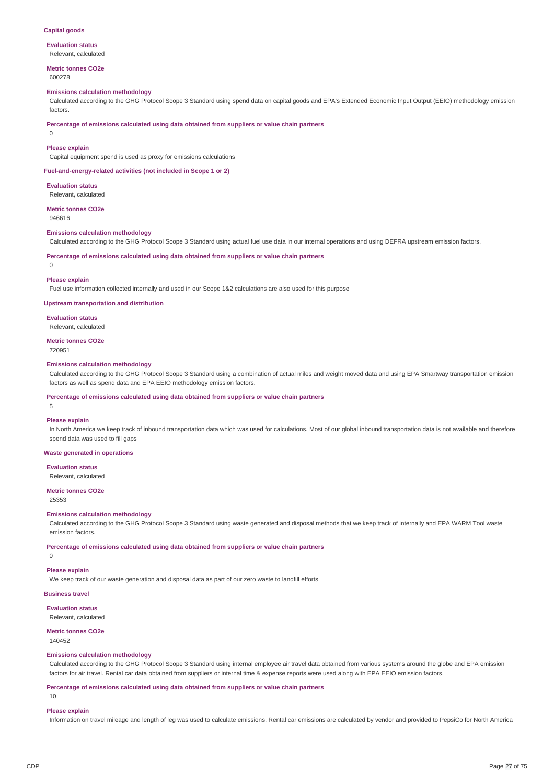#### **Capital goods**

#### **Evaluation status** Relevant, calculated

**Metric tonnes CO2e** 600278

#### **Emissions calculation methodology**

Calculated according to the GHG Protocol Scope 3 Standard using spend data on capital goods and EPA's Extended Economic Input Output (EEIO) methodology emission factors.

**Percentage of emissions calculated using data obtained from suppliers or value chain partners**

0

#### **Please explain**

Capital equipment spend is used as proxy for emissions calculations

**Fuel-and-energy-related activities (not included in Scope 1 or 2)**

**Evaluation status** Relevant, calculated

**Metric tonnes CO2e** 946616

#### **Emissions calculation methodology**

Calculated according to the GHG Protocol Scope 3 Standard using actual fuel use data in our internal operations and using DEFRA upstream emission factors.

**Percentage of emissions calculated using data obtained from suppliers or value chain partners**

 $\Omega$ 

#### **Please explain**

Fuel use information collected internally and used in our Scope 1&2 calculations are also used for this purpose

**Upstream transportation and distribution**

**Evaluation status** Relevant, calculated

**Metric tonnes CO2e**

720951

## **Emissions calculation methodology**

Calculated according to the GHG Protocol Scope 3 Standard using a combination of actual miles and weight moved data and using EPA Smartway transportation emission factors as well as spend data and EPA EEIO methodology emission factors.

**Percentage of emissions calculated using data obtained from suppliers or value chain partners**

## **Please explain**

5

In North America we keep track of inbound transportation data which was used for calculations. Most of our global inbound transportation data is not available and therefore spend data was used to fill gaps

### **Waste generated in operations**

**Evaluation status**

Relevant, calculated

# **Metric tonnes CO2e**

25353

## **Emissions calculation methodology**

Calculated according to the GHG Protocol Scope 3 Standard using waste generated and disposal methods that we keep track of internally and EPA WARM Tool waste emission factors.

#### **Percentage of emissions calculated using data obtained from suppliers or value chain partners**

 $\Omega$ 

### **Please explain**

We keep track of our waste generation and disposal data as part of our zero waste to landfill efforts

## **Business travel**

**Evaluation status** Relevant, calculated

#### **Metric tonnes CO2e**

140452

### **Emissions calculation methodology**

Calculated according to the GHG Protocol Scope 3 Standard using internal employee air travel data obtained from various systems around the globe and EPA emission factors for air travel. Rental car data obtained from suppliers or internal time & expense reports were used along with EPA EEIO emission factors.

**Percentage of emissions calculated using data obtained from suppliers or value chain partners**

## 10

## **Please explain**

Information on travel mileage and length of leg was used to calculate emissions. Rental car emissions are calculated by vendor and provided to PepsiCo for North America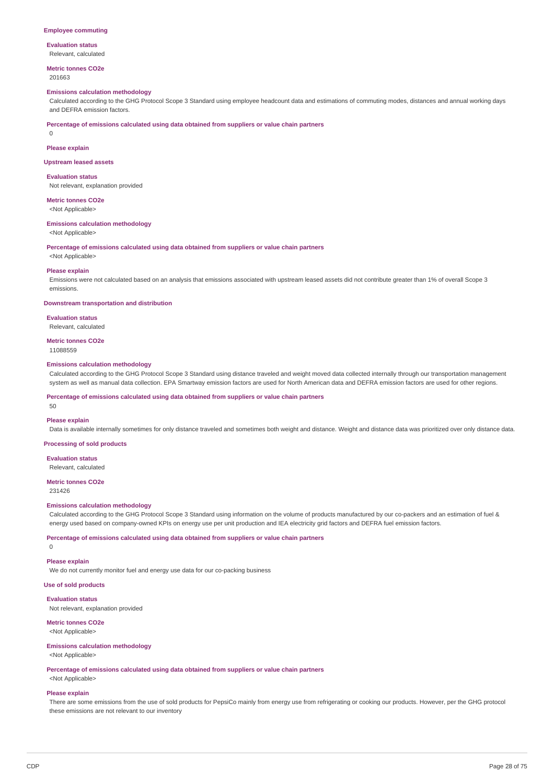#### **Employee commuting**

**Evaluation status** Relevant, calculated

#### **Metric tonnes CO2e** 201663

### **Emissions calculation methodology**

Calculated according to the GHG Protocol Scope 3 Standard using employee headcount data and estimations of commuting modes, distances and annual working days and DEFRA emission factors.

**Percentage of emissions calculated using data obtained from suppliers or value chain partners**

## **Please explain**

0

**Upstream leased assets**

**Evaluation status** Not relevant, explanation provided

## **Metric tonnes CO2e**

<Not Applicable>

#### **Emissions calculation methodology**

<Not Applicable>

**Percentage of emissions calculated using data obtained from suppliers or value chain partners**

# <Not Applicable>

## **Please explain**

Emissions were not calculated based on an analysis that emissions associated with upstream leased assets did not contribute greater than 1% of overall Scope 3 emissions.

#### **Downstream transportation and distribution**

**Evaluation status** Relevant, calculated

## **Metric tonnes CO2e**

11088559

## **Emissions calculation methodology**

Calculated according to the GHG Protocol Scope 3 Standard using distance traveled and weight moved data collected internally through our transportation management system as well as manual data collection. EPA Smartway emission factors are used for North American data and DEFRA emission factors are used for other regions.

**Percentage of emissions calculated using data obtained from suppliers or value chain partners**

## **Please explain**

50

Data is available internally sometimes for only distance traveled and sometimes both weight and distance. Weight and distance data was prioritized over only distance data.

#### **Processing of sold products**

**Evaluation status** Relevant, calculated

# **Metric tonnes CO2e**

231426

## **Emissions calculation methodology**

Calculated according to the GHG Protocol Scope 3 Standard using information on the volume of products manufactured by our co-packers and an estimation of fuel & energy used based on company-owned KPIs on energy use per unit production and IEA electricity grid factors and DEFRA fuel emission factors.

**Percentage of emissions calculated using data obtained from suppliers or value chain partners**

## $\Omega$

## **Please explain**

We do not currently monitor fuel and energy use data for our co-packing business

## **Use of sold products**

**Evaluation status**

Not relevant, explanation provided

# **Metric tonnes CO2e**

<Not Applicable>

## **Emissions calculation methodology**

<Not Applicable>

**Percentage of emissions calculated using data obtained from suppliers or value chain partners**

## <Not Applicable>

## **Please explain**

There are some emissions from the use of sold products for PepsiCo mainly from energy use from refrigerating or cooking our products. However, per the GHG protocol these emissions are not relevant to our inventory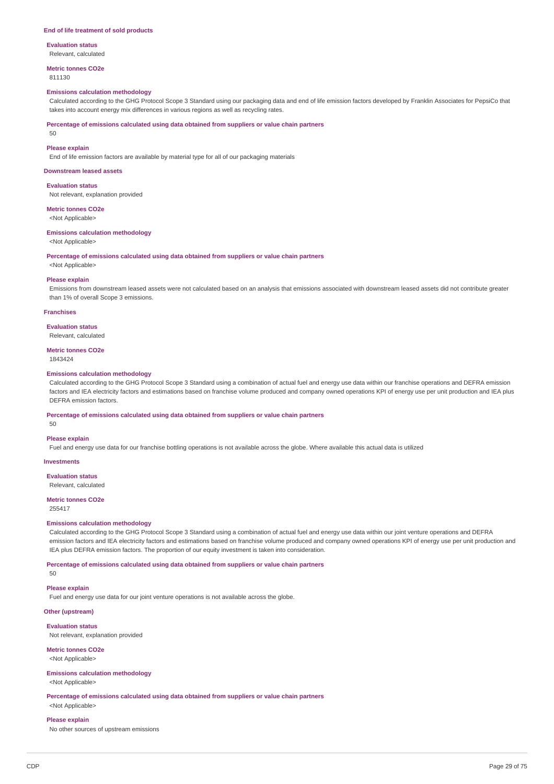#### **End of life treatment of sold products**

**Evaluation status** Relevant, calculated

**Metric tonnes CO2e** 811130

### **Emissions calculation methodology**

Calculated according to the GHG Protocol Scope 3 Standard using our packaging data and end of life emission factors developed by Franklin Associates for PepsiCo that takes into account energy mix differences in various regions as well as recycling rates.

#### **Percentage of emissions calculated using data obtained from suppliers or value chain partners**

50

#### **Please explain**

End of life emission factors are available by material type for all of our packaging materials

#### **Downstream leased assets**

**Evaluation status**

Not relevant, explanation provided

## **Metric tonnes CO2e**

<Not Applicable>

## **Emissions calculation methodology**

<Not Applicable>

**Percentage of emissions calculated using data obtained from suppliers or value chain partners**

<Not Applicable>

#### **Please explain**

Emissions from downstream leased assets were not calculated based on an analysis that emissions associated with downstream leased assets did not contribute greater than 1% of overall Scope 3 emissions.

#### **Franchises**

**Evaluation status**

Relevant, calculated

## **Metric tonnes CO2e**

1843424

#### **Emissions calculation methodology**

Calculated according to the GHG Protocol Scope 3 Standard using a combination of actual fuel and energy use data within our franchise operations and DEFRA emission factors and IEA electricity factors and estimations based on franchise volume produced and company owned operations KPI of energy use per unit production and IEA plus DEFRA emission factors.

#### **Percentage of emissions calculated using data obtained from suppliers or value chain partners**

**Please explain**

50

Fuel and energy use data for our franchise bottling operations is not available across the globe. Where available this actual data is utilized

### **Investments**

**Evaluation status**

Relevant, calculated

## **Metric tonnes CO2e**

255417

### **Emissions calculation methodology**

Calculated according to the GHG Protocol Scope 3 Standard using a combination of actual fuel and energy use data within our joint venture operations and DEFRA emission factors and IEA electricity factors and estimations based on franchise volume produced and company owned operations KPI of energy use per unit production and IEA plus DEFRA emission factors. The proportion of our equity investment is taken into consideration.

**Percentage of emissions calculated using data obtained from suppliers or value chain partners**

 $50$ 

## **Please explain**

Fuel and energy use data for our joint venture operations is not available across the globe.

#### **Other (upstream)**

**Evaluation status** Not relevant, explanation provided

**Metric tonnes CO2e**

<Not Applicable>

### **Emissions calculation methodology**

<Not Applicable>

**Percentage of emissions calculated using data obtained from suppliers or value chain partners** <Not Applicable>

#### **Please explain**

No other sources of upstream emissions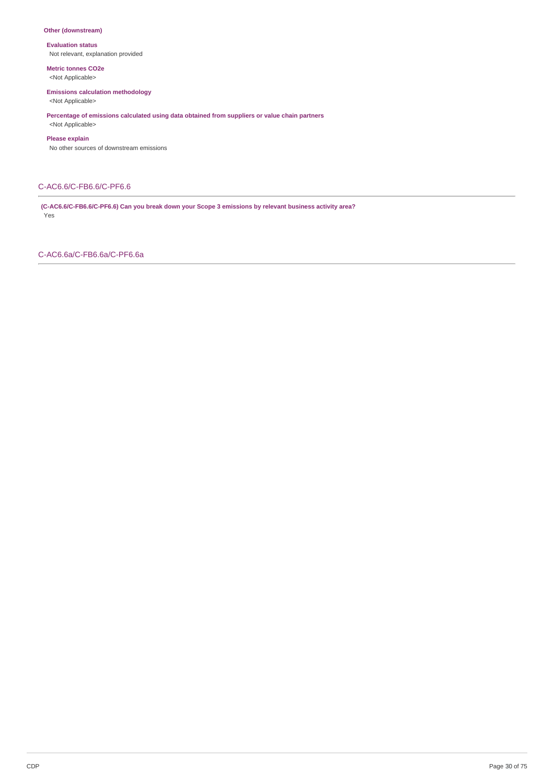## **Other (downstream)**

**Evaluation status** Not relevant, explanation provided

**Metric tonnes CO2e**

<Not Applicable>

# **Emissions calculation methodology**

<Not Applicable>

**Percentage of emissions calculated using data obtained from suppliers or value chain partners** <Not Applicable>

**Please explain**

No other sources of downstream emissions

## C-AC6.6/C-FB6.6/C-PF6.6

**(C-AC6.6/C-FB6.6/C-PF6.6) Can you break down your Scope 3 emissions by relevant business activity area?** Yes

C-AC6.6a/C-FB6.6a/C-PF6.6a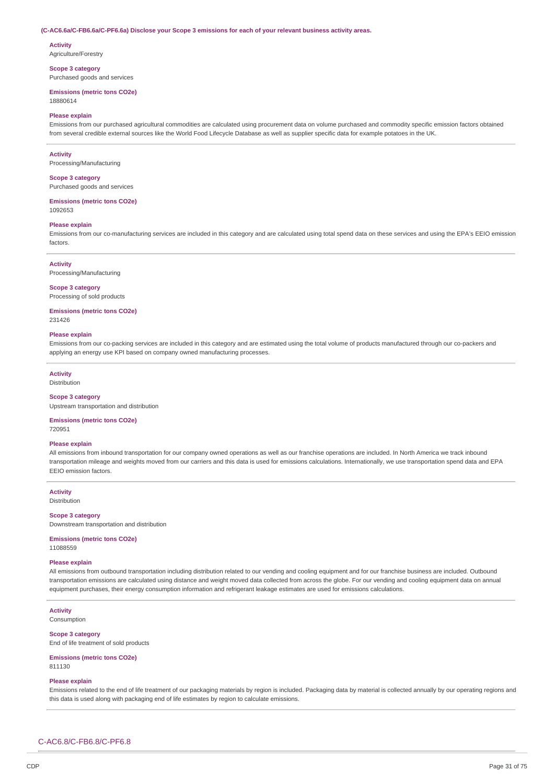#### **(C-AC6.6a/C-FB6.6a/C-PF6.6a) Disclose your Scope 3 emissions for each of your relevant business activity areas.**

### **Activity**

Agriculture/Forestry

## **Scope 3 category**

Purchased goods and services

## **Emissions (metric tons CO2e)**

18880614

## **Please explain**

Emissions from our purchased agricultural commodities are calculated using procurement data on volume purchased and commodity specific emission factors obtained from several credible external sources like the World Food Lifecycle Database as well as supplier specific data for example potatoes in the UK.

#### **Activity**

Processing/Manufacturing

### **Scope 3 category**

Purchased goods and services

## **Emissions (metric tons CO2e)**

1092653

## **Please explain**

Emissions from our co-manufacturing services are included in this category and are calculated using total spend data on these services and using the EPA's EEIO emission factors.

#### **Activity**

Processing/Manufacturing

### **Scope 3 category**

Processing of sold products

#### **Emissions (metric tons CO2e)** 231426

## **Please explain**

Emissions from our co-packing services are included in this category and are estimated using the total volume of products manufactured through our co-packers and applying an energy use KPI based on company owned manufacturing processes.

## **Activity**

Distribution

## **Scope 3 category**

Upstream transportation and distribution

#### **Emissions (metric tons CO2e)** 720951

#### **Please explain**

All emissions from inbound transportation for our company owned operations as well as our franchise operations are included. In North America we track inbound transportation mileage and weights moved from our carriers and this data is used for emissions calculations. Internationally, we use transportation spend data and EPA EEIO emission factors.

### **Activity**

Distribution

### **Scope 3 category**

Downstream transportation and distribution

#### **Emissions (metric tons CO2e)** 11088559

#### **Please explain**

All emissions from outbound transportation including distribution related to our vending and cooling equipment and for our franchise business are included. Outbound transportation emissions are calculated using distance and weight moved data collected from across the globe. For our vending and cooling equipment data on annual equipment purchases, their energy consumption information and refrigerant leakage estimates are used for emissions calculations.

#### **Activity**

Consumption

## **Scope 3 category**

End of life treatment of sold products

#### **Emissions (metric tons CO2e)** 811130

#### **Please explain**

Emissions related to the end of life treatment of our packaging materials by region is included. Packaging data by material is collected annually by our operating regions and this data is used along with packaging end of life estimates by region to calculate emissions.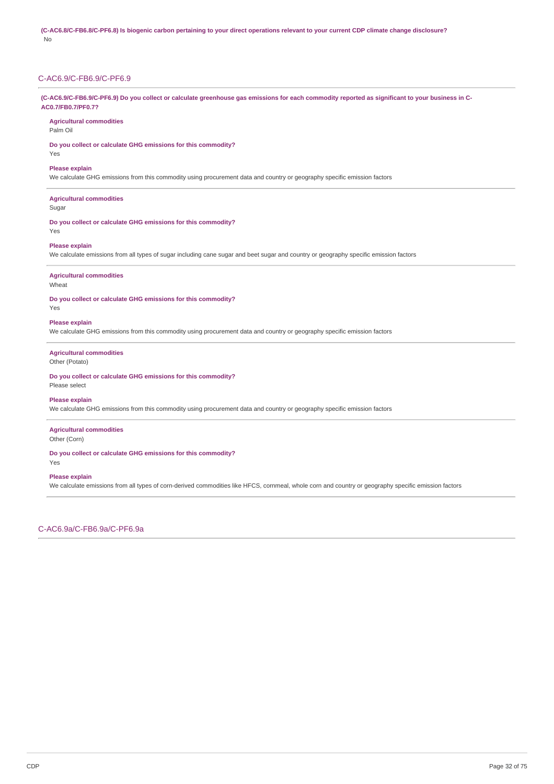(C-AC6.8/C-FB6.8/C-PF6.8) Is biogenic carbon pertaining to your direct operations relevant to your current CDP climate change disclosure? No

## C-AC6.9/C-FB6.9/C-PF6.9

(C-AC6.9/C-FB6.9/C-PF6.9) Do you collect or calculate greenhouse gas emissions for each commodity reported as significant to your business in C-**AC0.7/FB0.7/PF0.7?**

#### **Agricultural commodities**

Palm Oil

**Do you collect or calculate GHG emissions for this commodity?**

Yes

#### **Please explain**

We calculate GHG emissions from this commodity using procurement data and country or geography specific emission factors

#### **Agricultural commodities**

Sugar

**Do you collect or calculate GHG emissions for this commodity?** Yes

#### **Please explain**

We calculate emissions from all types of sugar including cane sugar and beet sugar and country or geography specific emission factors

#### **Agricultural commodities**

Wheat

**Do you collect or calculate GHG emissions for this commodity?** Yes

#### **Please explain**

We calculate GHG emissions from this commodity using procurement data and country or geography specific emission factors

#### **Agricultural commodities**

Other (Potato)

**Do you collect or calculate GHG emissions for this commodity?** Please select

### **Please explain**

We calculate GHG emissions from this commodity using procurement data and country or geography specific emission factors

#### **Agricultural commodities**

Other (Corn)

**Do you collect or calculate GHG emissions for this commodity?** Yes

#### **Please explain**

We calculate emissions from all types of corn-derived commodities like HFCS, cornmeal, whole corn and country or geography specific emission factors

C-AC6.9a/C-FB6.9a/C-PF6.9a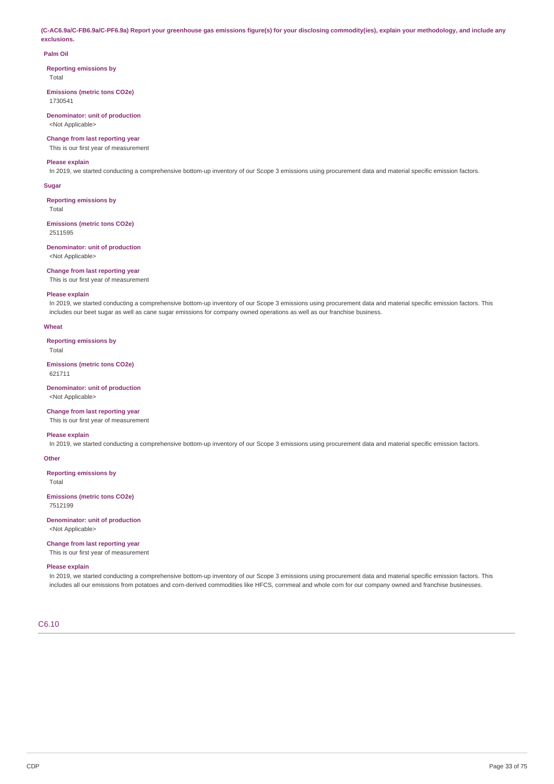(C-AC6.9a/C-FB6.9a/C-PF6.9a) Report your greenhouse gas emissions figure(s) for your disclosing commodity(ies), explain your methodology, and include any **exclusions.**

#### **Palm Oil**

**Reporting emissions by**

## Total

**Emissions (metric tons CO2e)** 1730541

### **Denominator: unit of production** <Not Applicable>

**Change from last reporting year**

This is our first year of measurement

#### **Please explain**

In 2019, we started conducting a comprehensive bottom-up inventory of our Scope 3 emissions using procurement data and material specific emission factors.

#### **Sugar**

**Reporting emissions by** Total

### **Emissions (metric tons CO2e)** 2511595

**Denominator: unit of production**

# <Not Applicable>

**Change from last reporting year**

This is our first year of measurement

### **Please explain**

In 2019, we started conducting a comprehensive bottom-up inventory of our Scope 3 emissions using procurement data and material specific emission factors. This includes our beet sugar as well as cane sugar emissions for company owned operations as well as our franchise business.

#### **Wheat**

**Reporting emissions by** Total

### **Emissions (metric tons CO2e)** 621711

**Denominator: unit of production**

## <Not Applicable>

**Change from last reporting year**

### This is our first year of measurement

### **Please explain**

In 2019, we started conducting a comprehensive bottom-up inventory of our Scope 3 emissions using procurement data and material specific emission factors.

#### **Other**

**Reporting emissions by** Total

# **Emissions (metric tons CO2e)**

7512199

# **Denominator: unit of production**

<Not Applicable>

# **Change from last reporting year**

This is our first year of measurement

## **Please explain**

In 2019, we started conducting a comprehensive bottom-up inventory of our Scope 3 emissions using procurement data and material specific emission factors. This includes all our emissions from potatoes and corn-derived commodities like HFCS, cornmeal and whole corn for our company owned and franchise businesses.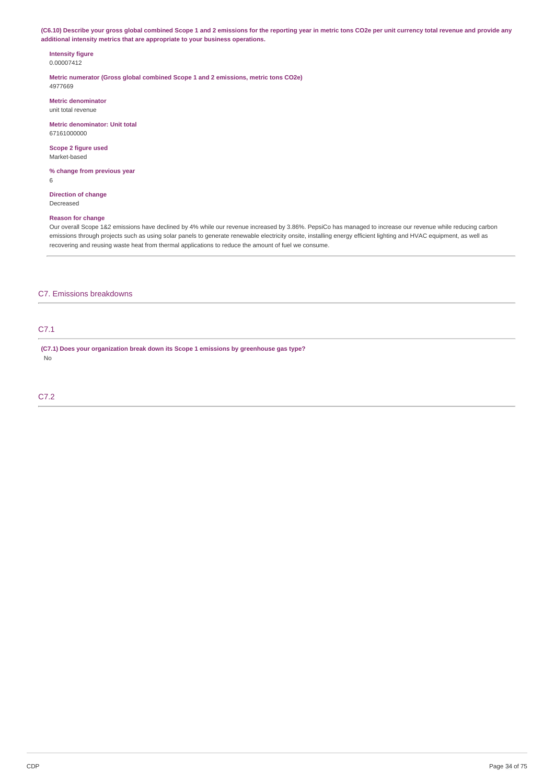(C6.10) Describe your gross global combined Scope 1 and 2 emissions for the reporting year in metric tons CO2e per unit currency total revenue and provide any **additional intensity metrics that are appropriate to your business operations.**

**Intensity figure** 0.00007412

**Metric numerator (Gross global combined Scope 1 and 2 emissions, metric tons CO2e)** 4977669

**Metric denominator** unit total revenue

**Metric denominator: Unit total** 67161000000

**Scope 2 figure used** Market-based

**% change from previous year** 6

**Direction of change** Decreased

## **Reason for change**

Our overall Scope 1&2 emissions have declined by 4% while our revenue increased by 3.86%. PepsiCo has managed to increase our revenue while reducing carbon emissions through projects such as using solar panels to generate renewable electricity onsite, installing energy efficient lighting and HVAC equipment, as well as recovering and reusing waste heat from thermal applications to reduce the amount of fuel we consume.

## C7. Emissions breakdowns

## C7.1

**(C7.1) Does your organization break down its Scope 1 emissions by greenhouse gas type?** No

C7.2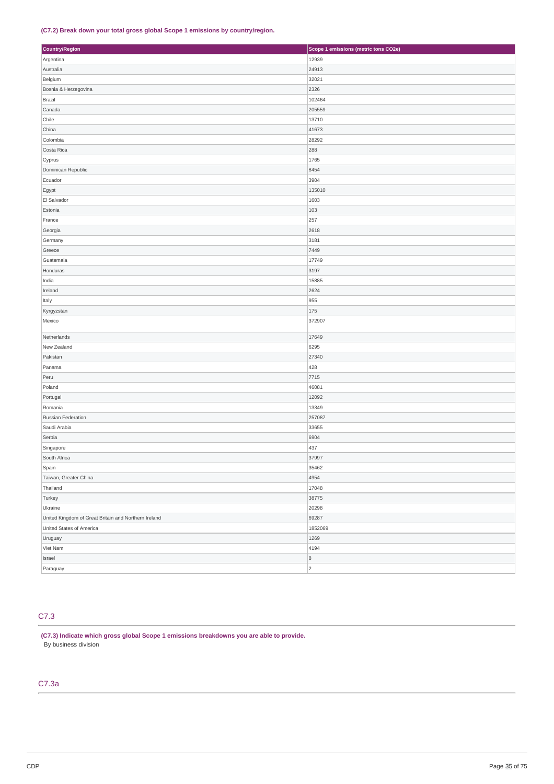## **(C7.2) Break down your total gross global Scope 1 emissions by country/region.**

| Country/Region                                       | Scope 1 emissions (metric tons CO2e) |
|------------------------------------------------------|--------------------------------------|
| Argentina                                            | 12939                                |
| Australia                                            | 24913                                |
| Belgium                                              | 32021                                |
| Bosnia & Herzegovina                                 | 2326                                 |
| Brazil                                               | 102464                               |
| Canada                                               | 205559                               |
| Chile                                                | 13710                                |
| China                                                | 41673                                |
| Colombia                                             | 28292                                |
| Costa Rica                                           | 288                                  |
| Cyprus                                               | 1765                                 |
| Dominican Republic                                   | 8454                                 |
| Ecuador                                              | 3904                                 |
| Egypt                                                | 135010                               |
| El Salvador                                          | 1603                                 |
| Estonia                                              | 103                                  |
| France                                               | 257                                  |
| Georgia                                              | 2618                                 |
| Germany                                              | 3181                                 |
| Greece                                               | 7449                                 |
| Guatemala                                            | 17749                                |
| Honduras                                             | 3197                                 |
| India                                                | 15885                                |
| Ireland                                              | 2624                                 |
| Italy                                                | 955                                  |
| Kyrgyzstan                                           | 175                                  |
| Mexico                                               | 372907                               |
|                                                      |                                      |
| Netherlands                                          | 17649                                |
| New Zealand                                          | 6295                                 |
| Pakistan                                             | 27340                                |
| Panama                                               | 428                                  |
| Peru                                                 | 7715                                 |
| Poland                                               | 46081                                |
| Portugal                                             | 12092                                |
| Romania                                              | 13349                                |
| Russian Federation                                   | 257087                               |
| Saudi Arabia                                         | 33655                                |
| Serbia                                               | 6904                                 |
| Singapore                                            | 437                                  |
| South Africa                                         | 37997                                |
| Spain                                                | 35462                                |
| Taiwan, Greater China                                | 4954                                 |
| Thailand                                             | 17048                                |
| Turkey                                               | 38775                                |
| Ukraine                                              | 20298                                |
| United Kingdom of Great Britain and Northern Ireland | 69287                                |
| United States of America                             | 1852069                              |
| Uruguay                                              | 1269                                 |
| Viet Nam                                             | 4194                                 |
| Israel                                               | 8                                    |
| Paraguay                                             | $\overline{c}$                       |

# C7.3

**(C7.3) Indicate which gross global Scope 1 emissions breakdowns you are able to provide.** By business division

## C7.3a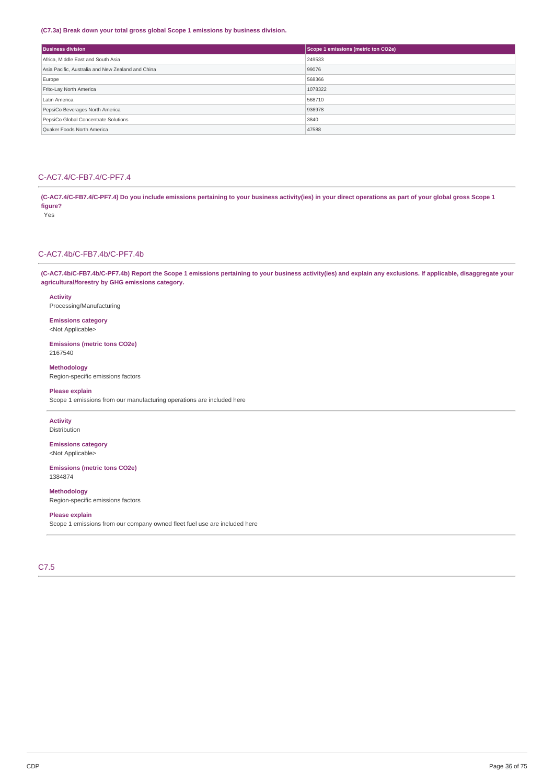## **(C7.3a) Break down your total gross global Scope 1 emissions by business division.**

| <b>Business division</b>                          | Scope 1 emissions (metric ton CO2e) |
|---------------------------------------------------|-------------------------------------|
| Africa, Middle East and South Asia                | 249533                              |
| Asia Pacific, Australia and New Zealand and China | 99076                               |
| Europe                                            | 568366                              |
| Frito-Lay North America                           | 1078322                             |
| Latin America                                     | 568710                              |
| PepsiCo Beverages North America                   | 936978                              |
| PepsiCo Global Concentrate Solutions              | 3840                                |
| Quaker Foods North America                        | 47588                               |

## C-AC7.4/C-FB7.4/C-PF7.4

(C-AC7.4/C-FB7.4/C-PF7.4) Do you include emissions pertaining to your business activity(ies) in your direct operations as part of your global gross Scope 1 **figure?**

Yes

## C-AC7.4b/C-FB7.4b/C-PF7.4b

(C-AC7.4b/C-FB7.4b/C-PF7.4b) Report the Scope 1 emissions pertaining to your business activity(ies) and explain any exclusions. If applicable, disaggregate your **agricultural/forestry by GHG emissions category.**

**Activity**

Processing/Manufacturing

**Emissions category** <Not Applicable>

**Emissions (metric tons CO2e)** 2167540

**Methodology** Region-specific emissions factors

#### **Please explain**

Scope 1 emissions from our manufacturing operations are included here

**Activity** Distribution

**Emissions category** <Not Applicable>

**Emissions (metric tons CO2e)** 1384874

**Methodology**

Region-specific emissions factors

# **Please explain**

Scope 1 emissions from our company owned fleet fuel use are included here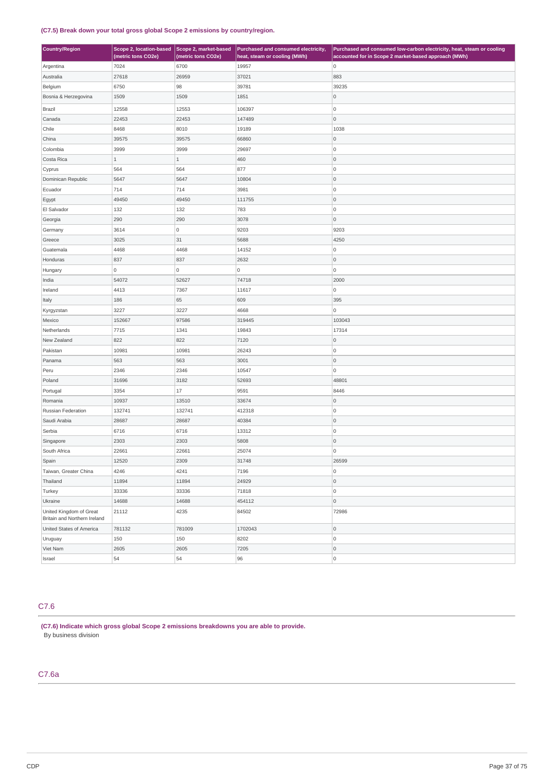# **(C7.5) Break down your total gross global Scope 2 emissions by country/region.**

| Country/Region                                          | Scope 2, location-based Scope 2, market-based<br>(metric tons CO2e) | (metric tons CO2e) | Purchased and consumed electricity,<br>heat, steam or cooling (MWh) | Purchased and consumed low-carbon electricity, heat, steam or cooling<br>accounted for in Scope 2 market-based approach (MWh) |
|---------------------------------------------------------|---------------------------------------------------------------------|--------------------|---------------------------------------------------------------------|-------------------------------------------------------------------------------------------------------------------------------|
| Argentina                                               | 7024                                                                | 6700               | 19957                                                               | O                                                                                                                             |
| Australia                                               | 27618                                                               | 26959              | 37021                                                               | 883                                                                                                                           |
| Belgium                                                 | 6750                                                                | 98                 | 39781                                                               | 39235                                                                                                                         |
| Bosnia & Herzegovina                                    | 1509                                                                | 1509               | 1851                                                                | 0                                                                                                                             |
| Brazil                                                  | 12558                                                               | 12553              | 106397                                                              | 0                                                                                                                             |
| Canada                                                  | 22453                                                               | 22453              | 147489                                                              | $\overline{0}$                                                                                                                |
| Chile                                                   | 8468                                                                | 8010               | 19189                                                               | 1038                                                                                                                          |
| China                                                   | 39575                                                               | 39575              | 66860                                                               | 0                                                                                                                             |
| Colombia                                                | 3999                                                                | 3999               | 29697                                                               | O                                                                                                                             |
| Costa Rica                                              | $\,1\,$                                                             | $\,1$              | 460                                                                 | 0                                                                                                                             |
| Cyprus                                                  | 564                                                                 | 564                | 877                                                                 | 0                                                                                                                             |
| Dominican Republic                                      | 5647                                                                | 5647               | 10804                                                               | $\overline{0}$                                                                                                                |
| Ecuador                                                 | 714                                                                 | 714                | 3981                                                                | 0                                                                                                                             |
| Egypt                                                   | 49450                                                               | 49450              | 111755                                                              | 0                                                                                                                             |
| El Salvador                                             | 132                                                                 | 132                | 783                                                                 | 0                                                                                                                             |
| Georgia                                                 | 290                                                                 | 290                | 3078                                                                | $\overline{0}$                                                                                                                |
| Germany                                                 | 3614                                                                | 0                  | 9203                                                                | 9203                                                                                                                          |
| Greece                                                  | 3025                                                                | 31                 | 5688                                                                | 4250                                                                                                                          |
| Guatemala                                               | 4468                                                                | 4468               | 14152                                                               | O                                                                                                                             |
| Honduras                                                | 837                                                                 | 837                | 2632                                                                | 0                                                                                                                             |
| Hungary                                                 | $\overline{0}$                                                      | 0                  | O                                                                   | 0                                                                                                                             |
| India                                                   | 54072                                                               | 52627              | 74718                                                               | 2000                                                                                                                          |
| Ireland                                                 | 4413                                                                | 7367               | 11617                                                               | 0                                                                                                                             |
| Italy                                                   | 186                                                                 | 65                 | 609                                                                 | 395                                                                                                                           |
| Kyrgyzstan                                              | 3227                                                                | 3227               | 4668                                                                | $\overline{0}$                                                                                                                |
| Mexico                                                  | 152667                                                              | 97586              | 319445                                                              | 103043                                                                                                                        |
| Netherlands                                             | 7715                                                                | 1341               | 19843                                                               | 17314                                                                                                                         |
| New Zealand                                             | 822                                                                 | 822                | 7120                                                                | 0                                                                                                                             |
| Pakistan                                                | 10981                                                               | 10981              | 26243                                                               | 0                                                                                                                             |
| Panama                                                  | 563                                                                 | 563                | 3001                                                                | 0                                                                                                                             |
| Peru                                                    | 2346                                                                | 2346               | 10547                                                               | O                                                                                                                             |
| Poland                                                  | 31696                                                               | 3182               | 52693                                                               | 48801                                                                                                                         |
| Portugal                                                | 3354                                                                | 17                 | 9591                                                                | 8446                                                                                                                          |
| Romania                                                 | 10937                                                               | 13510              | 33674                                                               | 0                                                                                                                             |
| Russian Federation                                      | 132741                                                              | 132741             | 412318                                                              | 0                                                                                                                             |
| Saudi Arabia                                            | 28687                                                               | 28687              | 40384                                                               | $\overline{0}$                                                                                                                |
| Serbia                                                  | 6716                                                                | 6716               | 13312                                                               | O                                                                                                                             |
| Singapore                                               | 2303                                                                | 2303               | 5808                                                                | 0                                                                                                                             |
| South Africa                                            | 22661                                                               | 22661              | 25074                                                               | 0                                                                                                                             |
| Spain                                                   | 12520                                                               | 2309               | 31748                                                               | 26599                                                                                                                         |
| Taiwan, Greater China                                   | 4246                                                                | 4241               | 7196                                                                | 0                                                                                                                             |
| Thailand                                                | 11894                                                               | 11894              | 24929                                                               | 0                                                                                                                             |
| Turkey                                                  | 33336                                                               | 33336              | 71818                                                               | O                                                                                                                             |
| Ukraine                                                 | 14688                                                               | 14688              | 454112                                                              | 0                                                                                                                             |
| United Kingdom of Great<br>Britain and Northern Ireland | 21112                                                               | 4235               | 84502                                                               | 72986                                                                                                                         |
| United States of America                                | 781132                                                              | 781009             | 1702043                                                             | 0                                                                                                                             |
| Uruguay                                                 | 150                                                                 | 150                | 8202                                                                | O                                                                                                                             |
| Viet Nam                                                | 2605                                                                | 2605               | 7205                                                                | $\overline{0}$                                                                                                                |
| Israel                                                  | 54                                                                  | 54                 | 96                                                                  | O                                                                                                                             |

# C7.6

**(C7.6) Indicate which gross global Scope 2 emissions breakdowns you are able to provide.** By business division

# C7.6a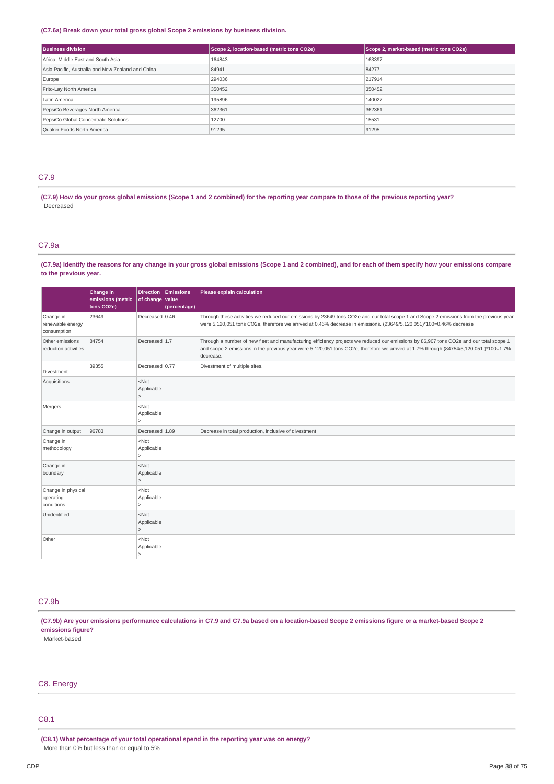### **(C7.6a) Break down your total gross global Scope 2 emissions by business division.**

| <b>Business division</b>                          | Scope 2, location-based (metric tons CO2e) | Scope 2, market-based (metric tons CO2e) |
|---------------------------------------------------|--------------------------------------------|------------------------------------------|
| Africa, Middle East and South Asia                | 164843                                     | 163397                                   |
| Asia Pacific, Australia and New Zealand and China | 84941                                      | 84277                                    |
| Europe                                            | 294036                                     | 217914                                   |
| Frito-Lay North America                           | 350452                                     | 350452                                   |
| Latin America                                     | 195896                                     | 140027                                   |
| PepsiCo Beverages North America                   | 362361                                     | 362361                                   |
| PepsiCo Global Concentrate Solutions              | 12700                                      | 15531                                    |
| Quaker Foods North America                        | 91295                                      | 91295                                    |

# C7.9

(C7.9) How do your gross global emissions (Scope 1 and 2 combined) for the reporting year compare to those of the previous reporting year? Decreased

# C7.9a

(C7.9a) Identify the reasons for any change in your gross global emissions (Scope 1 and 2 combined), and for each of them specify how your emissions compare **to the previous year.**

|                                               | Change in<br>emissions (metric<br>tons CO2e) | <b>Direction</b><br>of change value   | Emissions<br>(percentage) | Please explain calculation                                                                                                                                                                                                                                                                  |
|-----------------------------------------------|----------------------------------------------|---------------------------------------|---------------------------|---------------------------------------------------------------------------------------------------------------------------------------------------------------------------------------------------------------------------------------------------------------------------------------------|
| Change in<br>renewable energy<br>consumption  | 23649                                        | Decreased 0.46                        |                           | Through these activities we reduced our emissions by 23649 tons CO2e and our total scope 1 and Scope 2 emissions from the previous year<br>were 5,120,051 tons CO2e, therefore we arrived at 0.46% decrease in emissions. (23649/5,120,051)*100=0.46% decrease                              |
| Other emissions<br>reduction activities       | 84754                                        | Decreased 1.7                         |                           | Through a number of new fleet and manufacturing efficiency projects we reduced our emissions by 86,907 tons CO2e and our total scope 1<br>and scope 2 emissions in the previous year were 5,120,051 tons CO2e, therefore we arrived at 1.7% through (84754/5,120,051)*100=1.7%<br>decrease. |
| Divestment                                    | 39355                                        | Decreased 0.77                        |                           | Divestment of multiple sites.                                                                                                                                                                                                                                                               |
| Acquisitions                                  |                                              | $<$ Not<br>Applicable<br>$\mathbf{r}$ |                           |                                                                                                                                                                                                                                                                                             |
| Mergers                                       |                                              | $<$ Not<br>Applicable<br>$\mathbf{r}$ |                           |                                                                                                                                                                                                                                                                                             |
| Change in output                              | 96783                                        | Decreased 1.89                        |                           | Decrease in total production, inclusive of divestment                                                                                                                                                                                                                                       |
| Change in<br>methodology                      |                                              | $<$ Not<br>Applicable<br>$\geq$       |                           |                                                                                                                                                                                                                                                                                             |
| Change in<br>boundary                         |                                              | $<$ Not<br>Applicable<br>$\geq$       |                           |                                                                                                                                                                                                                                                                                             |
| Change in physical<br>operating<br>conditions |                                              | $<$ Not<br>Applicable<br>$\mathbf{r}$ |                           |                                                                                                                                                                                                                                                                                             |
| Unidentified                                  |                                              | $<$ Not<br>Applicable<br>$\mathbf{r}$ |                           |                                                                                                                                                                                                                                                                                             |
| Other                                         |                                              | $<$ Not<br>Applicable<br>$\mathbf{r}$ |                           |                                                                                                                                                                                                                                                                                             |

# C7.9b

(C7.9b) Are your emissions performance calculations in C7.9 and C7.9a based on a location-based Scope 2 emissions figure or a market-based Scope 2 **emissions figure?**

Market-based

# C8. Energy

# C8.1

**(C8.1) What percentage of your total operational spend in the reporting year was on energy?** More than 0% but less than or equal to 5%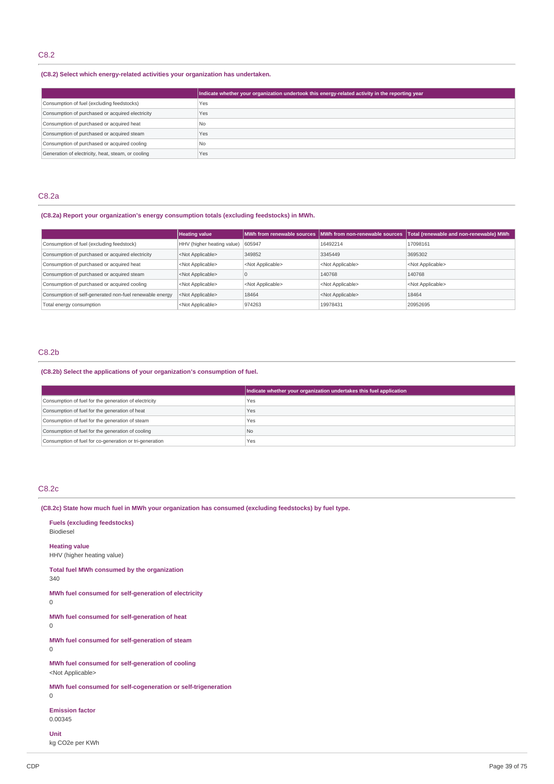# C8.2

### **(C8.2) Select which energy-related activities your organization has undertaken.**

|                                                    | Indicate whether your organization undertook this energy-related activity in the reporting year |
|----------------------------------------------------|-------------------------------------------------------------------------------------------------|
| Consumption of fuel (excluding feedstocks)         | Yes                                                                                             |
| Consumption of purchased or acquired electricity   | Yes                                                                                             |
| Consumption of purchased or acquired heat          | N <sub>0</sub>                                                                                  |
| Consumption of purchased or acquired steam         | Yes                                                                                             |
| Consumption of purchased or acquired cooling       | <b>No</b>                                                                                       |
| Generation of electricity, heat, steam, or cooling | Yes                                                                                             |

### C8.2a

# **(C8.2a) Report your organization's energy consumption totals (excluding feedstocks) in MWh.**

|                                                         | <b>Heating value</b>       |                           | MWh from renewable sources   MWh from non-renewable sources | Total (renewable and non-renewable) MWh |
|---------------------------------------------------------|----------------------------|---------------------------|-------------------------------------------------------------|-----------------------------------------|
| Consumption of fuel (excluding feedstock)               | HHV (higher heating value) | 605947                    | 16492214                                                    | 17098161                                |
| Consumption of purchased or acquired electricity        | <not applicable=""></not>  | 349852                    | 3345449                                                     | 3695302                                 |
| Consumption of purchased or acquired heat               | <not applicable=""></not>  | <not applicable=""></not> | <not applicable=""></not>                                   | <not applicable=""></not>               |
| Consumption of purchased or acquired steam              | <not applicable=""></not>  |                           | 140768                                                      | 140768                                  |
| Consumption of purchased or acquired cooling            | <not applicable=""></not>  | <not applicable=""></not> | <not applicable=""></not>                                   | <not applicable=""></not>               |
| Consumption of self-generated non-fuel renewable energy | <not applicable=""></not>  | 18464                     | <not applicable=""></not>                                   | 18464                                   |
| Total energy consumption                                | <not applicable=""></not>  | 974263                    | 19978431                                                    | 20952695                                |

### C8.2b

# **(C8.2b) Select the applications of your organization's consumption of fuel.**

|                                                         | Indicate whether your organization undertakes this fuel application |
|---------------------------------------------------------|---------------------------------------------------------------------|
| Consumption of fuel for the generation of electricity   | Yes                                                                 |
| Consumption of fuel for the generation of heat          | Yes                                                                 |
| Consumption of fuel for the generation of steam         | Yes                                                                 |
| Consumption of fuel for the generation of cooling       | N <sub>0</sub>                                                      |
| Consumption of fuel for co-generation or tri-generation | Yes                                                                 |

### C8.2c

**(C8.2c) State how much fuel in MWh your organization has consumed (excluding feedstocks) by fuel type.**

**Fuels (excluding feedstocks)** Biodiesel **Heating value** HHV (higher heating value) **Total fuel MWh consumed by the organization** 340 **MWh fuel consumed for self-generation of electricity** 0 **MWh fuel consumed for self-generation of heat**  $\Omega$ **MWh fuel consumed for self-generation of steam**  $\Omega$ **MWh fuel consumed for self-generation of cooling** <Not Applicable> **MWh fuel consumed for self-cogeneration or self-trigeneration** 0 **Emission factor** 0.00345 **Unit** kg CO2e per KWh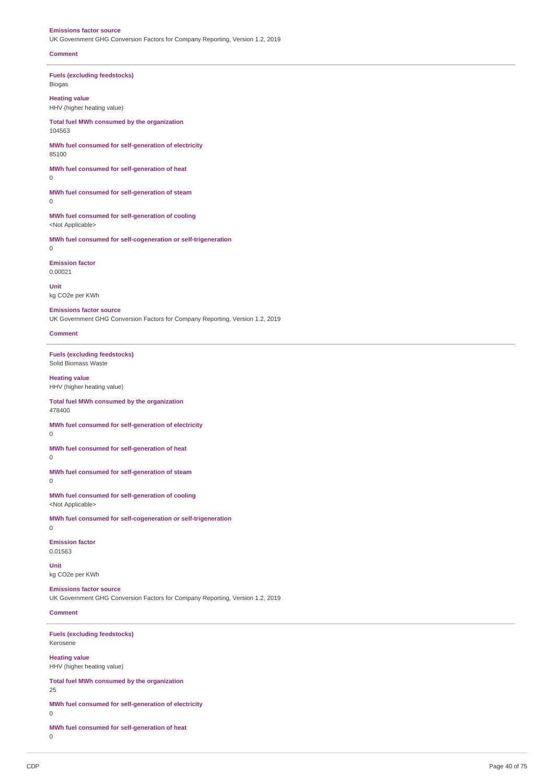#### **Emissions factor source**

UK Government GHG Conversion Factors for Company Reporting, Version 1.2, 2019

#### **Comment**

**Fuels (excluding feedstocks)** Biogas

**Heating value** HHV (higher heating value)

**Total fuel MWh consumed by the organization** 104563

**MWh fuel consumed for self-generation of electricity** 85100

**MWh fuel consumed for self-generation of heat**  $\overline{0}$ 

**MWh fuel consumed for self-generation of steam** 0

**MWh fuel consumed for self-generation of cooling** <Not Applicable>

**MWh fuel consumed for self-cogeneration or self-trigeneration**  $\overline{0}$ 

**Emission factor** 0.00021

**Unit** kg CO2e per KWh

**Emissions factor source**

UK Government GHG Conversion Factors for Company Reporting, Version 1.2, 2019

**Comment**

**Fuels (excluding feedstocks)** Solid Biomass Waste

**Heating value** HHV (higher heating value)

**Total fuel MWh consumed by the organization** 478400

**MWh fuel consumed for self-generation of electricity**

0

**MWh fuel consumed for self-generation of heat**  $\Omega$ 

**MWh fuel consumed for self-generation of steam**

0

0

**MWh fuel consumed for self-generation of cooling** <Not Applicable>

**MWh fuel consumed for self-cogeneration or self-trigeneration**

**Emission factor** 0.01563

**Unit** kg CO2e per KWh

**Emissions factor source** UK Government GHG Conversion Factors for Company Reporting, Version 1.2, 2019

**Comment**

**Fuels (excluding feedstocks)** Kerosene

**Heating value** HHV (higher heating value)

**Total fuel MWh consumed by the organization** 25

**MWh fuel consumed for self-generation of electricity**

0

**MWh fuel consumed for self-generation of heat** 0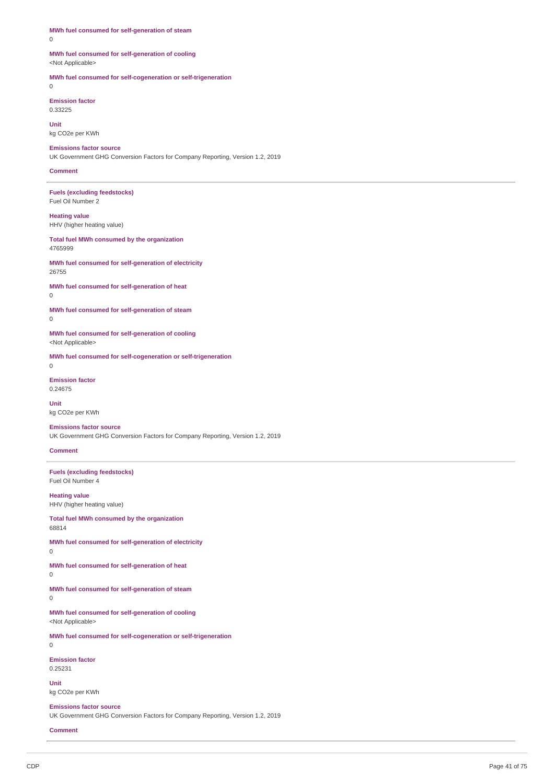**MWh fuel consumed for self-generation of steam** 0 **MWh fuel consumed for self-generation of cooling** <Not Applicable> **MWh fuel consumed for self-cogeneration or self-trigeneration** 0 **Emission factor** 0.33225 **Unit** kg CO2e per KWh **Emissions factor source** UK Government GHG Conversion Factors for Company Reporting, Version 1.2, 2019 **Comment Fuels (excluding feedstocks)** Fuel Oil Number 2 **Heating value** HHV (higher heating value) **Total fuel MWh consumed by the organization** 4765999 **MWh fuel consumed for self-generation of electricity** 26755 **MWh fuel consumed for self-generation of heat** 0 **MWh fuel consumed for self-generation of steam MWh fuel consumed for self-generation of cooling** <Not Applicable> **MWh fuel consumed for self-cogeneration or self-trigeneration Emission factor** 0.24675 **Unit** kg CO2e per KWh **Emissions factor source** UK Government GHG Conversion Factors for Company Reporting, Version 1.2, 2019 **Comment Fuels (excluding feedstocks)** Fuel Oil Number 4 **Heating value** HHV (higher heating value) **Total fuel MWh consumed by the organization** 68814 **MWh fuel consumed for self-generation of electricity**  $\Omega$ **MWh fuel consumed for self-generation of heat** 0 **MWh fuel consumed for self-generation of steam** 0 **MWh fuel consumed for self-generation of cooling** <Not Applicable> **MWh fuel consumed for self-cogeneration or self-trigeneration**  $\Omega$ **Emission factor** 0.25231 **Unit** kg CO2e per KWh **Emissions factor source** UK Government GHG Conversion Factors for Company Reporting, Version 1.2, 2019

**Comment**

 $\theta$ 

 $\Omega$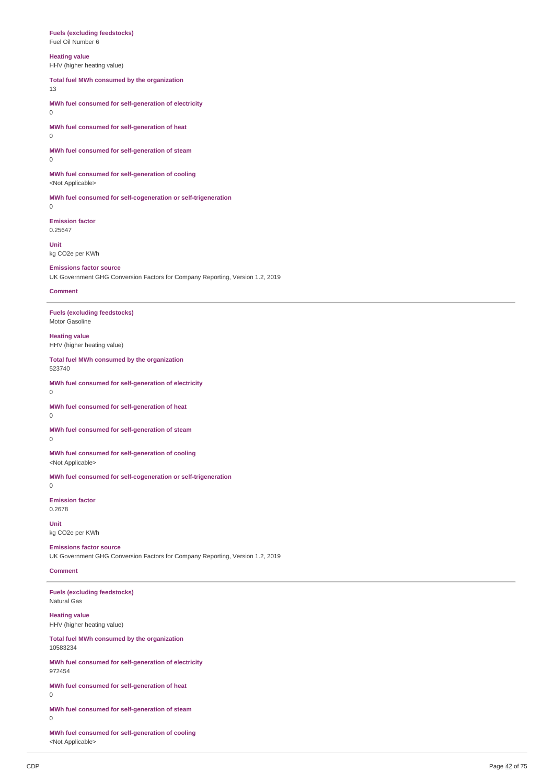### **Fuels (excluding feedstocks)**

# Fuel Oil Number 6

**Heating value**

HHV (higher heating value)

# **Total fuel MWh consumed by the organization**

13

**MWh fuel consumed for self-generation of electricity**  $\Omega$ 

**MWh fuel consumed for self-generation of heat**  $\overline{0}$ 

**MWh fuel consumed for self-generation of steam**

0

**MWh fuel consumed for self-generation of cooling** <Not Applicable>

**MWh fuel consumed for self-cogeneration or self-trigeneration**  $\Omega$ 

**Emission factor** 0.25647

**Unit** kg CO2e per KWh

**Emissions factor source** UK Government GHG Conversion Factors for Company Reporting, Version 1.2, 2019

#### **Comment**

**Fuels (excluding feedstocks)** Motor Gasoline

**Heating value** HHV (higher heating value)

**Total fuel MWh consumed by the organization** 523740

**MWh fuel consumed for self-generation of electricity** 0

**MWh fuel consumed for self-generation of heat** 0

**MWh fuel consumed for self-generation of steam**  $\theta$ 

**MWh fuel consumed for self-generation of cooling** <Not Applicable>

**MWh fuel consumed for self-cogeneration or self-trigeneration** 0

**Emission factor** 0.2678

**Unit** kg CO2e per KWh

**Emissions factor source**

UK Government GHG Conversion Factors for Company Reporting, Version 1.2, 2019

### **Comment**

**Fuels (excluding feedstocks)** Natural Gas

**Heating value** HHV (higher heating value)

**Total fuel MWh consumed by the organization** 10583234

**MWh fuel consumed for self-generation of electricity** 972454

**MWh fuel consumed for self-generation of heat** 0

**MWh fuel consumed for self-generation of steam** 0

**MWh fuel consumed for self-generation of cooling** <Not Applicable>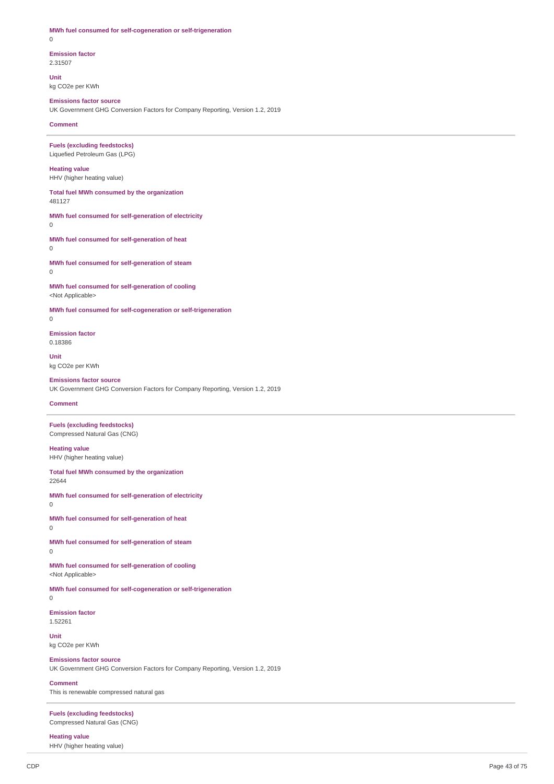**MWh fuel consumed for self-cogeneration or self-trigeneration** 0

**Emission factor** 2.31507

**Unit** kg CO2e per KWh

#### **Emissions factor source**

UK Government GHG Conversion Factors for Company Reporting, Version 1.2, 2019

**Comment**

**Fuels (excluding feedstocks)** Liquefied Petroleum Gas (LPG)

**Heating value** HHV (higher heating value)

**Total fuel MWh consumed by the organization** 481127

**MWh fuel consumed for self-generation of electricity**  $\Omega$ 

**MWh fuel consumed for self-generation of heat** 0

**MWh fuel consumed for self-generation of steam** 0

**MWh fuel consumed for self-generation of cooling** <Not Applicable>

**MWh fuel consumed for self-cogeneration or self-trigeneration**

 $\theta$ 

**Emission factor** 0.18386

**Unit** kg CO2e per KWh

### **Emissions factor source** UK Government GHG Conversion Factors for Company Reporting, Version 1.2, 2019

#### **Comment**

**Fuels (excluding feedstocks)** Compressed Natural Gas (CNG)

**Heating value** HHV (higher heating value)

**Total fuel MWh consumed by the organization** 22644

**MWh fuel consumed for self-generation of electricity** 0

**MWh fuel consumed for self-generation of heat** 0

**MWh fuel consumed for self-generation of steam**

 $\Omega$ 

**MWh fuel consumed for self-generation of cooling** <Not Applicable>

**MWh fuel consumed for self-cogeneration or self-trigeneration** 0

**Emission factor** 1.52261

**Unit** kg CO2e per KWh

**Emissions factor source** UK Government GHG Conversion Factors for Company Reporting, Version 1.2, 2019

**Comment** This is renewable compressed natural gas

**Fuels (excluding feedstocks)** Compressed Natural Gas (CNG)

**Heating value** HHV (higher heating value)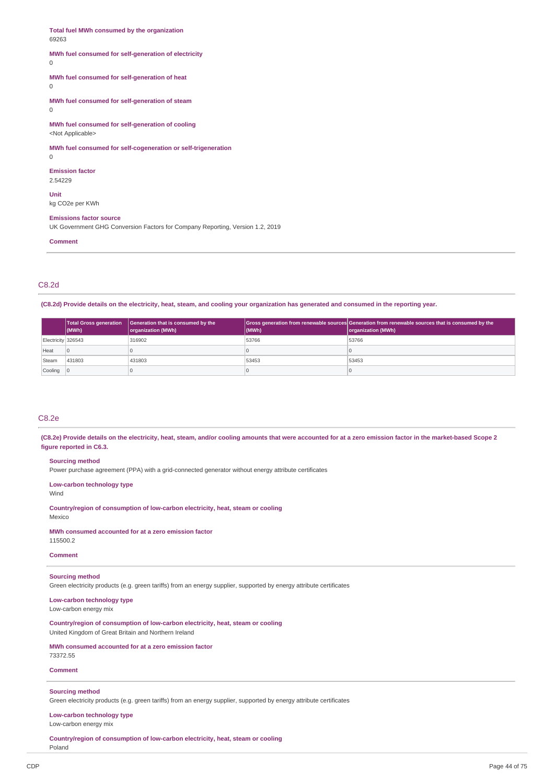**Total fuel MWh consumed by the organization** 69263 **MWh fuel consumed for self-generation of electricity**  $\theta$ **MWh fuel consumed for self-generation of heat**  $\overline{0}$ **MWh fuel consumed for self-generation of steam** 0 **MWh fuel consumed for self-generation of cooling** <Not Applicable> **MWh fuel consumed for self-cogeneration or self-trigeneration** 0 **Emission factor** 2.54229 **Unit** kg CO2e per KWh **Emissions factor source** UK Government GHG Conversion Factors for Company Reporting, Version 1.2, 2019 **Comment**

### C8.2d

(C8.2d) Provide details on the electricity, heat, steam, and cooling your organization has generated and consumed in the reporting year.

|                    | $ $ (MWh)      | Total Gross generation Generation that is consumed by the<br>organization (MWh) | (MWh) | Gross generation from renewable sources Generation from renewable sources that is consumed by the<br>  organization (MWh) |
|--------------------|----------------|---------------------------------------------------------------------------------|-------|---------------------------------------------------------------------------------------------------------------------------|
| Electricity 326543 |                | 316902                                                                          | 53766 | 53766                                                                                                                     |
| Heat               | $\overline{0}$ |                                                                                 |       |                                                                                                                           |
| Steam              | 431803         | 431803                                                                          | 53453 | 53453                                                                                                                     |
| Cooling            |                |                                                                                 |       |                                                                                                                           |

# C8.2e

(C8.2e) Provide details on the electricity, heat, steam, and/or cooling amounts that were accounted for at a zero emission factor in the market-based Scope 2 **figure reported in C6.3.**

#### **Sourcing method**

Power purchase agreement (PPA) with a grid-connected generator without energy attribute certificates

**Low-carbon technology type**

Wind

**Country/region of consumption of low-carbon electricity, heat, steam or cooling** Mexico

#### **MWh consumed accounted for at a zero emission factor**

115500.2

# **Comment**

# **Sourcing method**

Green electricity products (e.g. green tariffs) from an energy supplier, supported by energy attribute certificates

# **Low-carbon technology type**

Low-carbon energy mix

### **Country/region of consumption of low-carbon electricity, heat, steam or cooling** United Kingdom of Great Britain and Northern Ireland

**MWh consumed accounted for at a zero emission factor** 73372.55

**Comment**

#### **Sourcing method**

Green electricity products (e.g. green tariffs) from an energy supplier, supported by energy attribute certificates

**Low-carbon technology type** Low-carbon energy mix

**Country/region of consumption of low-carbon electricity, heat, steam or cooling** Poland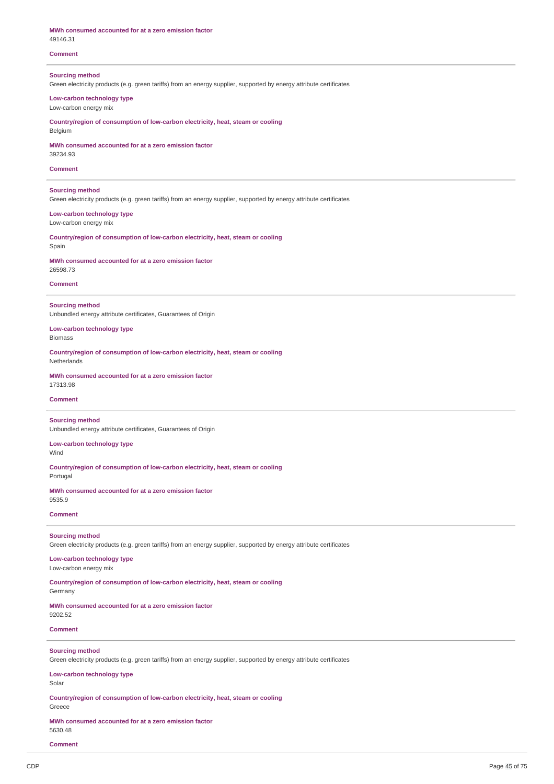| <b>Comment</b>                                                                                                                                |
|-----------------------------------------------------------------------------------------------------------------------------------------------|
| <b>Sourcing method</b><br>Green electricity products (e.g. green tariffs) from an energy supplier, supported by energy attribute certificates |
| Low-carbon technology type<br>Low-carbon energy mix                                                                                           |
| Country/region of consumption of low-carbon electricity, heat, steam or cooling<br>Belgium                                                    |
| MWh consumed accounted for at a zero emission factor<br>39234.93                                                                              |
| <b>Comment</b>                                                                                                                                |
| <b>Sourcing method</b><br>Green electricity products (e.g. green tariffs) from an energy supplier, supported by energy attribute certificates |
| Low-carbon technology type<br>Low-carbon energy mix                                                                                           |
| Country/region of consumption of low-carbon electricity, heat, steam or cooling<br>Spain                                                      |
| MWh consumed accounted for at a zero emission factor<br>26598.73                                                                              |
| <b>Comment</b>                                                                                                                                |
| <b>Sourcing method</b><br>Unbundled energy attribute certificates, Guarantees of Origin                                                       |
| Low-carbon technology type<br><b>Biomass</b>                                                                                                  |
| Country/region of consumption of low-carbon electricity, heat, steam or cooling<br>Netherlands                                                |
| MWh consumed accounted for at a zero emission factor<br>17313.98                                                                              |
| <b>Comment</b>                                                                                                                                |
| <b>Sourcing method</b><br>Unbundled energy attribute certificates, Guarantees of Origin                                                       |
|                                                                                                                                               |
| Low-carbon technology type<br>Wind                                                                                                            |
| Country/region of consumption of low-carbon electricity, heat, steam or cooling<br>Portugal                                                   |
| MWh consumed accounted for at a zero emission factor<br>9535.9                                                                                |
| <b>Comment</b>                                                                                                                                |
| <b>Sourcing method</b><br>Green electricity products (e.g. green tariffs) from an energy supplier, supported by energy attribute certificates |
| Low-carbon technology type<br>Low-carbon energy mix                                                                                           |
| Country/region of consumption of low-carbon electricity, heat, steam or cooling<br>Germany                                                    |
| MWh consumed accounted for at a zero emission factor<br>9202.52                                                                               |
| <b>Comment</b>                                                                                                                                |
| <b>Sourcing method</b><br>Green electricity products (e.g. green tariffs) from an energy supplier, supported by energy attribute certificates |
| Low-carbon technology type<br>Solar                                                                                                           |
| Country/region of consumption of low-carbon electricity, heat, steam or cooling<br>Greece                                                     |

**Comment**

**MWh consumed accounted for at a zero emission factor**

 $\overline{a}$ 

 $\overline{a}$ 

 $\overline{\phantom{a}}$ 

 $\overline{\phantom{a}}$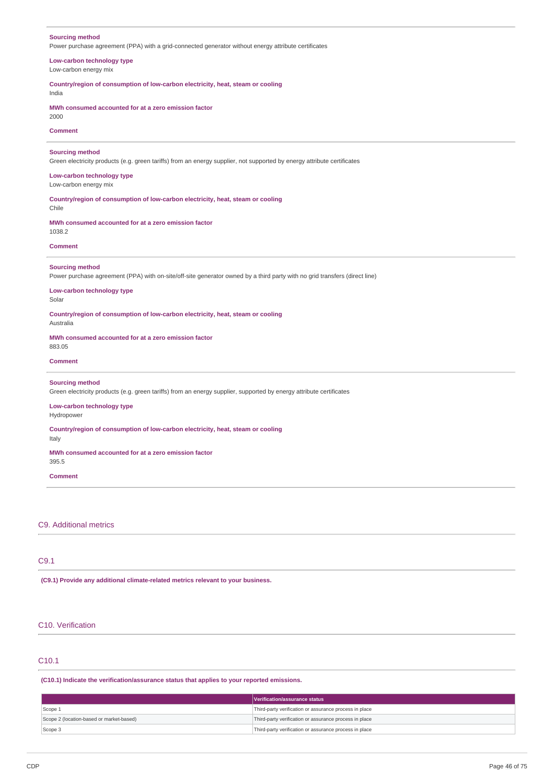| <b>Sourcing method</b><br>Power purchase agreement (PPA) with a grid-connected generator without energy attribute certificates                       |  |
|------------------------------------------------------------------------------------------------------------------------------------------------------|--|
| Low-carbon technology type<br>Low-carbon energy mix                                                                                                  |  |
| Country/region of consumption of low-carbon electricity, heat, steam or cooling<br>India                                                             |  |
| MWh consumed accounted for at a zero emission factor<br>2000                                                                                         |  |
| <b>Comment</b>                                                                                                                                       |  |
| <b>Sourcing method</b><br>Green electricity products (e.g. green tariffs) from an energy supplier, not supported by energy attribute certificates    |  |
| Low-carbon technology type<br>Low-carbon energy mix                                                                                                  |  |
| Country/region of consumption of low-carbon electricity, heat, steam or cooling<br>Chile                                                             |  |
| MWh consumed accounted for at a zero emission factor<br>1038.2                                                                                       |  |
| <b>Comment</b>                                                                                                                                       |  |
| <b>Sourcing method</b><br>Power purchase agreement (PPA) with on-site/off-site generator owned by a third party with no grid transfers (direct line) |  |
| Low-carbon technology type<br>Solar                                                                                                                  |  |
| Country/region of consumption of low-carbon electricity, heat, steam or cooling<br>Australia                                                         |  |
| MWh consumed accounted for at a zero emission factor<br>883.05                                                                                       |  |
| <b>Comment</b>                                                                                                                                       |  |
| <b>Sourcing method</b><br>Green electricity products (e.g. green tariffs) from an energy supplier, supported by energy attribute certificates        |  |
| Low-carbon technology type<br>Hydropower                                                                                                             |  |
| Country/region of consumption of low-carbon electricity, heat, steam or cooling<br>Italy                                                             |  |
| MWh consumed accounted for at a zero emission factor<br>395.5                                                                                        |  |
| <b>Comment</b>                                                                                                                                       |  |
|                                                                                                                                                      |  |
|                                                                                                                                                      |  |

# C9. Additional metrics

# C9.1

**(C9.1) Provide any additional climate-related metrics relevant to your business.**

# C10. Verification

# C10.1

**(C10.1) Indicate the verification/assurance status that applies to your reported emissions.**

|                                          | Verification/assurance status                          |
|------------------------------------------|--------------------------------------------------------|
| Scope 1                                  | Third-party verification or assurance process in place |
| Scope 2 (location-based or market-based) | Third-party verification or assurance process in place |
| Scope 3                                  | Third-party verification or assurance process in place |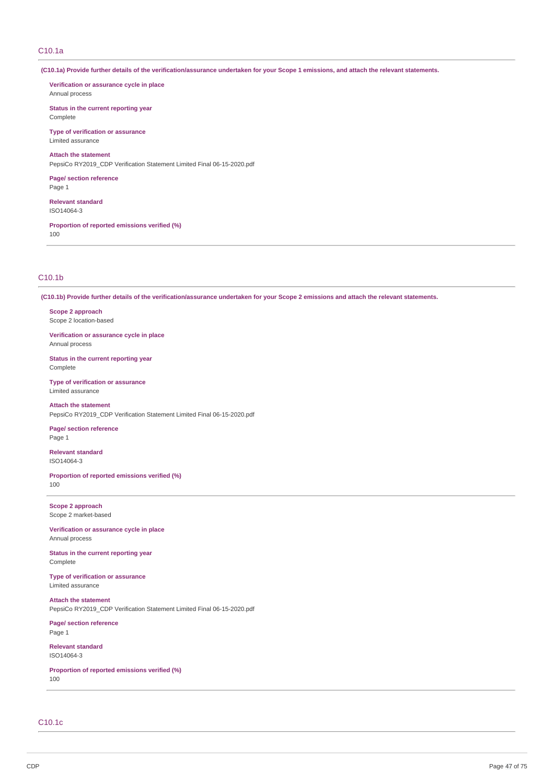# C10.1a

(C10.1a) Provide further details of the verification/assurance undertaken for your Scope 1 emissions, and attach the relevant statements.

**Verification or assurance cycle in place** Annual process

**Status in the current reporting year** Complete

**Type of verification or assurance** Limited assurance

**Attach the statement** PepsiCo RY2019\_CDP Verification Statement Limited Final 06-15-2020.pdf

**Page/ section reference** Page 1

**Relevant standard** ISO14064-3

**Proportion of reported emissions verified (%)** 100

### C10.1b

(C10.1b) Provide further details of the verification/assurance undertaken for your Scope 2 emissions and attach the relevant statements.

**Scope 2 approach** Scope 2 location-based

**Verification or assurance cycle in place** Annual process

**Status in the current reporting year** Complete

**Type of verification or assurance** Limited assurance

**Attach the statement** PepsiCo RY2019\_CDP Verification Statement Limited Final 06-15-2020.pdf

**Page/ section reference** Page 1

**Relevant standard** ISO14064-3

**Proportion of reported emissions verified (%)** 100

**Scope 2 approach** Scope 2 market-based

**Verification or assurance cycle in place** Annual process

**Status in the current reporting year** Complete

**Type of verification or assurance** Limited assurance

**Attach the statement** PepsiCo RY2019\_CDP Verification Statement Limited Final 06-15-2020.pdf

**Page/ section reference** Page 1

**Relevant standard** ISO14064-3

**Proportion of reported emissions verified (%)** 100

C10.1c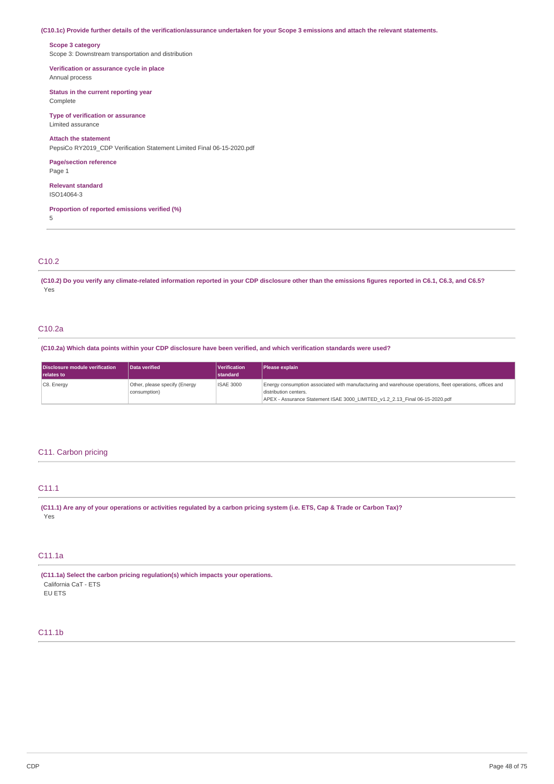### (C10.1c) Provide further details of the verification/assurance undertaken for your Scope 3 emissions and attach the relevant statements.

### **Scope 3 category**

Scope 3: Downstream transportation and distribution

**Verification or assurance cycle in place** Annual process

# **Status in the current reporting year**

Complete

#### **Type of verification or assurance** Limited assurance

# **Attach the statement**

PepsiCo RY2019\_CDP Verification Statement Limited Final 06-15-2020.pdf

### **Page/section reference** Page 1

### **Relevant standard** ISO14064-3

**Proportion of reported emissions verified (%)**

5

# C10.2

(C10.2) Do you verify any climate-related information reported in your CDP disclosure other than the emissions figures reported in C6.1, C6.3, and C6.5? Yes

# C10.2a

(C10.2a) Which data points within your CDP disclosure have been verified, and which verification standards were used?

| Disclosure module verification<br><b>relates to</b> | Data verified                                 | Verification<br><b>standard</b> | <b>Please explain</b>                                                                                                                                                                                            |
|-----------------------------------------------------|-----------------------------------------------|---------------------------------|------------------------------------------------------------------------------------------------------------------------------------------------------------------------------------------------------------------|
| C8. Energy                                          | Other, please specify (Energy<br>consumption) | <b>ISAE 3000</b>                | Energy consumption associated with manufacturing and warehouse operations, fleet operations, offices and<br>distribution centers.<br>APEX - Assurance Statement ISAE 3000 LIMITED v1.2 2.13 Final 06-15-2020.pdf |

# C11. Carbon pricing

### C11.1

(C11.1) Are any of your operations or activities regulated by a carbon pricing system (i.e. ETS, Cap & Trade or Carbon Tax)? Yes

# C11.1a

**(C11.1a) Select the carbon pricing regulation(s) which impacts your operations.** California CaT - ETS EU ETS

# C11.1b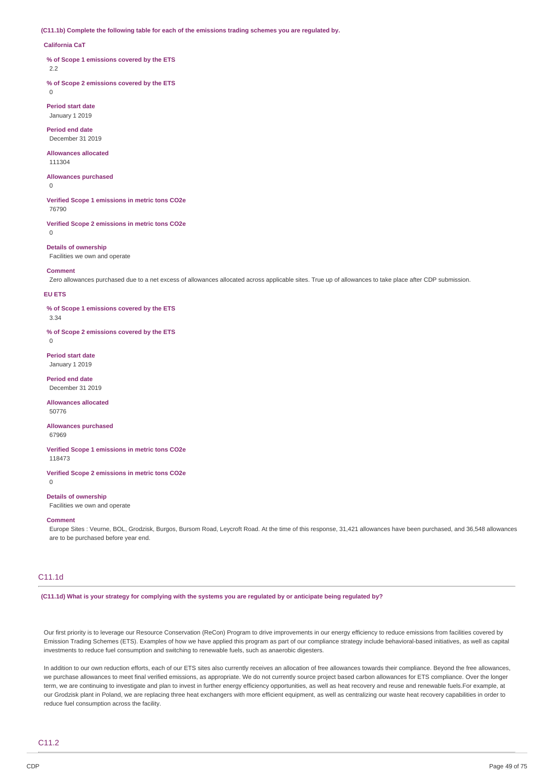**(C11.1b) Complete the following table for each of the emissions trading schemes you are regulated by.**

#### **California CaT**

**% of Scope 1 emissions covered by the ETS**

2.2

 $\Omega$ 

**% of Scope 2 emissions covered by the ETS**

**Period start date** January 1 2019

**Period end date** December 31 2019

**Allowances allocated** 111304

**Allowances purchased**

 $\Omega$ 

**Verified Scope 1 emissions in metric tons CO2e** 76790

**Verified Scope 2 emissions in metric tons CO2e**  $\overline{0}$ 

**Details of ownership** Facilities we own and operate

**Comment**

Zero allowances purchased due to a net excess of allowances allocated across applicable sites. True up of allowances to take place after CDP submission.

#### **EU ETS**

**% of Scope 1 emissions covered by the ETS**

3.34

**% of Scope 2 emissions covered by the ETS**  $\Omega$ 

**Period start date** January 1 2019

**Period end date** December 31 2019

**Allowances allocated** 50776

**Allowances purchased** 67969

**Verified Scope 1 emissions in metric tons CO2e** 118473

**Verified Scope 2 emissions in metric tons CO2e**

 $\Omega$ 

### **Details of ownership**

Facilities we own and operate

#### **Comment**

Europe Sites : Veurne, BOL, Grodzisk, Burgos, Bursom Road, Leycroft Road. At the time of this response, 31,421 allowances have been purchased, and 36,548 allowances are to be purchased before year end.

### C11.1d

(C11.1d) What is your strategy for complying with the systems you are regulated by or anticipate being regulated by?

Our first priority is to leverage our Resource Conservation (ReCon) Program to drive improvements in our energy efficiency to reduce emissions from facilities covered by Emission Trading Schemes (ETS). Examples of how we have applied this program as part of our compliance strategy include behavioral-based initiatives, as well as capital investments to reduce fuel consumption and switching to renewable fuels, such as anaerobic digesters.

In addition to our own reduction efforts, each of our ETS sites also currently receives an allocation of free allowances towards their compliance. Beyond the free allowances, we purchase allowances to meet final verified emissions, as appropriate. We do not currently source project based carbon allowances for ETS compliance. Over the longer term, we are continuing to investigate and plan to invest in further energy efficiency opportunities, as well as heat recovery and reuse and renewable fuels.For example, at our Grodzisk plant in Poland, we are replacing three heat exchangers with more efficient equipment, as well as centralizing our waste heat recovery capabilities in order to reduce fuel consumption across the facility.

### C11.2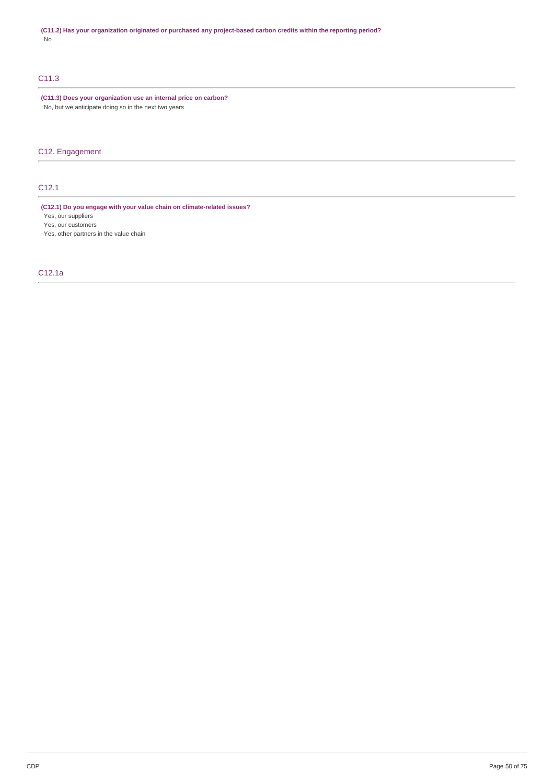**(C11.2) Has your organization originated or purchased any project-based carbon credits within the reporting period?** No

# C11.3

**(C11.3) Does your organization use an internal price on carbon?** No, but we anticipate doing so in the next two years

C12. Engagement

# C12.1

**(C12.1) Do you engage with your value chain on climate-related issues?**

Yes, our suppliers

Yes, our customers

Yes, other partners in the value chain

# C12.1a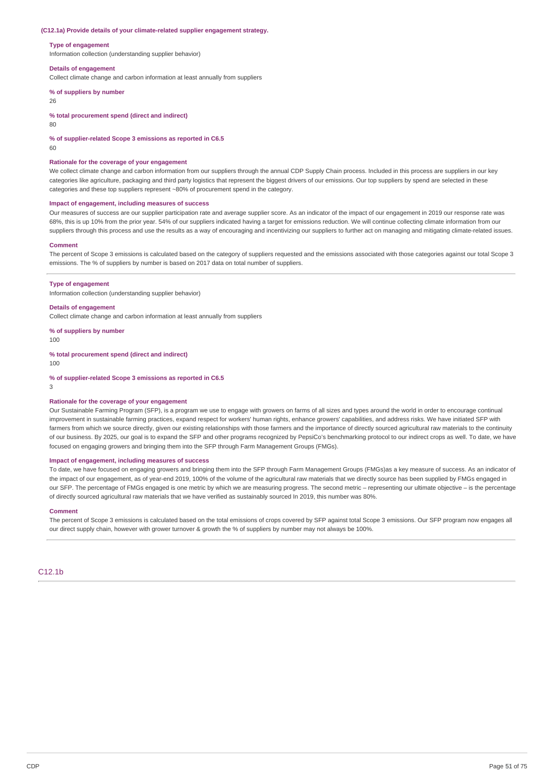#### **(C12.1a) Provide details of your climate-related supplier engagement strategy.**

#### **Type of engagement**

Information collection (understanding supplier behavior)

#### **Details of engagement**

Collect climate change and carbon information at least annually from suppliers

### **% of suppliers by number**

26

**% total procurement spend (direct and indirect)**

 $80$ 

**% of supplier-related Scope 3 emissions as reported in C6.5**

 $60$ 

#### **Rationale for the coverage of your engagement**

We collect climate change and carbon information from our suppliers through the annual CDP Supply Chain process. Included in this process are suppliers in our key categories like agriculture, packaging and third party logistics that represent the biggest drivers of our emissions. Our top suppliers by spend are selected in these categories and these top suppliers represent ~80% of procurement spend in the category.

#### **Impact of engagement, including measures of success**

Our measures of success are our supplier participation rate and average supplier score. As an indicator of the impact of our engagement in 2019 our response rate was 68%, this is up 10% from the prior year. 54% of our suppliers indicated having a target for emissions reduction. We will continue collecting climate information from our suppliers through this process and use the results as a way of encouraging and incentivizing our suppliers to further act on managing and mitigating climate-related issues.

#### **Comment**

The percent of Scope 3 emissions is calculated based on the category of suppliers requested and the emissions associated with those categories against our total Scope 3 emissions. The % of suppliers by number is based on 2017 data on total number of suppliers.

#### **Type of engagement**

Information collection (understanding supplier behavior)

#### **Details of engagement**

Collect climate change and carbon information at least annually from suppliers

**% of suppliers by number**

100

**% total procurement spend (direct and indirect)**

100

**% of supplier-related Scope 3 emissions as reported in C6.5**

3

### **Rationale for the coverage of your engagement**

Our Sustainable Farming Program (SFP), is a program we use to engage with growers on farms of all sizes and types around the world in order to encourage continual improvement in sustainable farming practices, expand respect for workers' human rights, enhance growers' capabilities, and address risks. We have initiated SFP with farmers from which we source directly, given our existing relationships with those farmers and the importance of directly sourced agricultural raw materials to the continuity of our business. By 2025, our goal is to expand the SFP and other programs recognized by PepsiCo's benchmarking protocol to our indirect crops as well. To date, we have focused on engaging growers and bringing them into the SFP through Farm Management Groups (FMGs).

#### **Impact of engagement, including measures of success**

To date, we have focused on engaging growers and bringing them into the SFP through Farm Management Groups (FMGs)as a key measure of success. As an indicator of the impact of our engagement, as of year-end 2019, 100% of the volume of the agricultural raw materials that we directly source has been supplied by FMGs engaged in our SFP. The percentage of FMGs engaged is one metric by which we are measuring progress. The second metric – representing our ultimate objective – is the percentage of directly sourced agricultural raw materials that we have verified as sustainably sourced In 2019, this number was 80%.

#### **Comment**

The percent of Scope 3 emissions is calculated based on the total emissions of crops covered by SFP against total Scope 3 emissions. Our SFP program now engages all our direct supply chain, however with grower turnover & growth the % of suppliers by number may not always be 100%.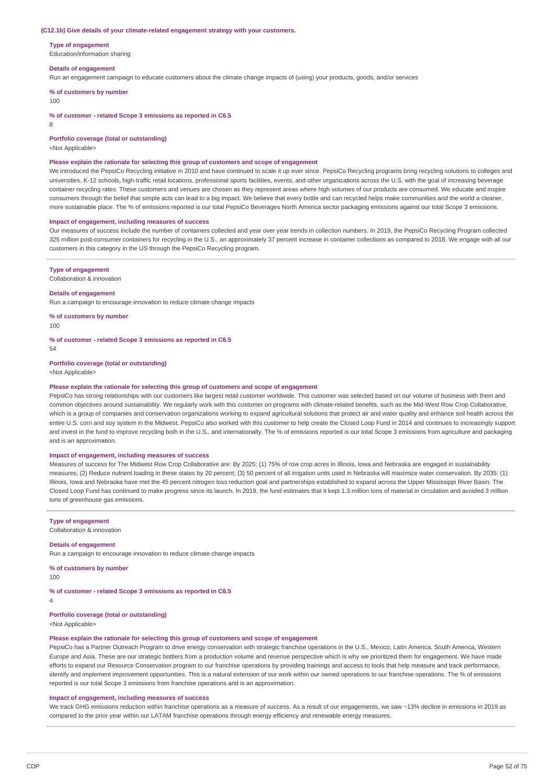#### **(C12.1b) Give details of your climate-related engagement strategy with your customers.**

#### **Type of engagement**

Education/information sharing

#### **Details of engagement**

Run an engagement campaign to educate customers about the climate change impacts of (using) your products, goods, and/or services

#### **% of customers by number**

100

#### **% of customer - related Scope 3 emissions as reported in C6.5**

8

### **Portfolio coverage (total or outstanding)**

<Not Applicable>

#### **Please explain the rationale for selecting this group of customers and scope of engagement**

We introduced the PepsiCo Recycling initiative in 2010 and have continued to scale it up ever since. PepsiCo Recycling programs bring recycling solutions to colleges and universities, K-12 schools, high-traffic retail locations, professional sports facilities, events, and other organizations across the U.S. with the goal of increasing beverage container recycling rates. These customers and venues are chosen as they represent areas where high volumes of our products are consumed. We educate and inspire consumers through the belief that simple acts can lead to a big impact. We believe that every bottle and can recycled helps make communities and the world a cleaner, more sustainable place. The % of emissions reported is our total PepsiCo Beverages North America sector packaging emissions against our total Scope 3 emissions.

#### **Impact of engagement, including measures of success**

Our measures of success include the number of containers collected and year over year trends in collection numbers. In 2019, the PepsiCo Recycling Program collected 325 million post-consumer containers for recycling in the U.S., an approximately 37 percent increase in container collections as compared to 2018. We engage with all our customers in this category in the US through the PepsiCo Recycling program.

### **Type of engagement**

Collaboration & innovation

#### **Details of engagement**

Run a campaign to encourage innovation to reduce climate change impacts

**% of customers by number**

 $100$ 

**% of customer - related Scope 3 emissions as reported in C6.5**

54

#### **Portfolio coverage (total or outstanding)**

<Not Applicable>

#### **Please explain the rationale for selecting this group of customers and scope of engagement**

PepsiCo has strong relationships with our customers like largest retail customer worldwide. This customer was selected based on our volume of business with them and common objectives around sustainability. We regularly work with this customer on programs with climate-related benefits, such as the Mid-West Row Crop Collaborative, which is a group of companies and conservation organizations working to expand agricultural solutions that protect air and water quality and enhance soil health across the entire U.S. corn and soy system in the Midwest. PepsiCo also worked with this customer to help create the Closed Loop Fund in 2014 and continues to increasingly support and invest in the fund to improve recycling both in the U.S., and internationally. The % of emissions reported is our total Scope 3 emissions from agriculture and packaging and is an approximation.

#### **Impact of engagement, including measures of success**

Measures of success for The Midwest Row Crop Collaborative are: By 2025: (1) 75% of row crop acres in Illinois, Iowa and Nebraska are engaged in sustainability measures; (2) Reduce nutrient loading in these states by 20 percent; (3) 50 percent of all irrigation units used in Nebraska will maximize water conservation. By 2035: (1) Illinois, Iowa and Nebraska have met the 45 percent nitrogen loss reduction goal and partnerships established to expand across the Upper Mississippi River Basin. The Closed Loop Fund has continued to make progress since its launch. In 2019, the fund estimates that it kept 1.3 million tons of material in circulation and avoided 3 million tons of greenhouse gas emissions.

### **Type of engagement**

Collaboration & innovation

### **Details of engagement**

Run a campaign to encourage innovation to reduce climate change impacts

**% of customers by number**

100

### **% of customer - related Scope 3 emissions as reported in C6.5**

4

# **Portfolio coverage (total or outstanding)**

<Not Applicable>

### **Please explain the rationale for selecting this group of customers and scope of engagement**

PepsiCo has a Partner Outreach Program to drive energy conservation with strategic franchise operations in the U.S., Mexico, Latin America, South America, Western Europe and Asia. These are our strategic bottlers from a production volume and revenue perspective which is why we prioritized them for engagement. We have made efforts to expand our Resource Conservation program to our franchise operations by providing trainings and access to tools that help measure and track performance, identify and implement improvement opportunities. This is a natural extension of our work within our owned operations to our franchise operations. The % of emissions reported is our total Scope 3 emissions from franchise operations and is an approximation.

### **Impact of engagement, including measures of success**

We track GHG emissions reduction within franchise operations as a measure of success. As a result of our engagements, we saw ~13% decline in emissions in 2019 as compared to the prior year within our LATAM franchise operations through energy efficiency and renewable energy measures.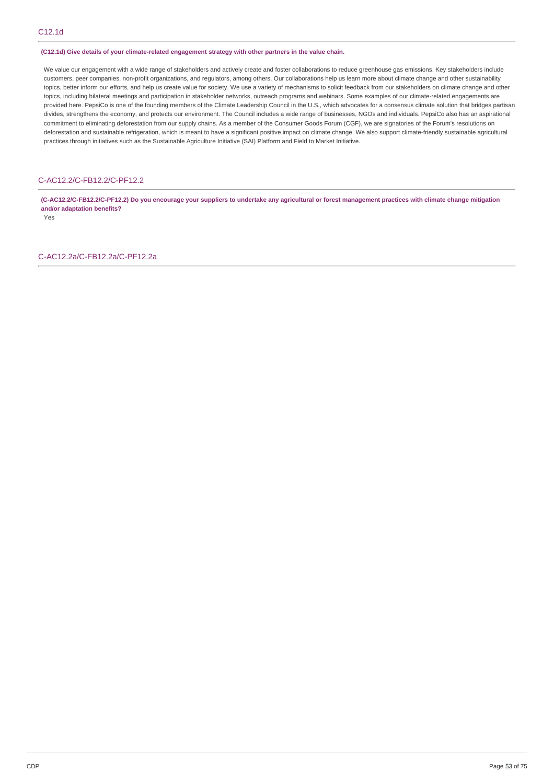**(C12.1d) Give details of your climate-related engagement strategy with other partners in the value chain.**

We value our engagement with a wide range of stakeholders and actively create and foster collaborations to reduce greenhouse gas emissions. Key stakeholders include customers, peer companies, non-profit organizations, and regulators, among others. Our collaborations help us learn more about climate change and other sustainability topics, better inform our efforts, and help us create value for society. We use a variety of mechanisms to solicit feedback from our stakeholders on climate change and other topics, including bilateral meetings and participation in stakeholder networks, outreach programs and webinars. Some examples of our climate-related engagements are provided here. PepsiCo is one of the founding members of the Climate Leadership Council in the U.S., which advocates for a consensus climate solution that bridges partisan divides, strengthens the economy, and protects our environment. The Council includes a wide range of businesses, NGOs and individuals. PepsiCo also has an aspirational commitment to eliminating deforestation from our supply chains. As a member of the Consumer Goods Forum (CGF), we are signatories of the Forum's resolutions on deforestation and sustainable refrigeration, which is meant to have a significant positive impact on climate change. We also support climate-friendly sustainable agricultural practices through initiatives such as the Sustainable Agriculture Initiative (SAI) Platform and Field to Market Initiative.

# C-AC12.2/C-FB12.2/C-PF12.2

(C-AC12.2/C-FB12.2/C-PF12.2) Do you encourage your suppliers to undertake any agricultural or forest management practices with climate change mitigation **and/or adaptation benefits?**

Yes

C-AC12.2a/C-FB12.2a/C-PF12.2a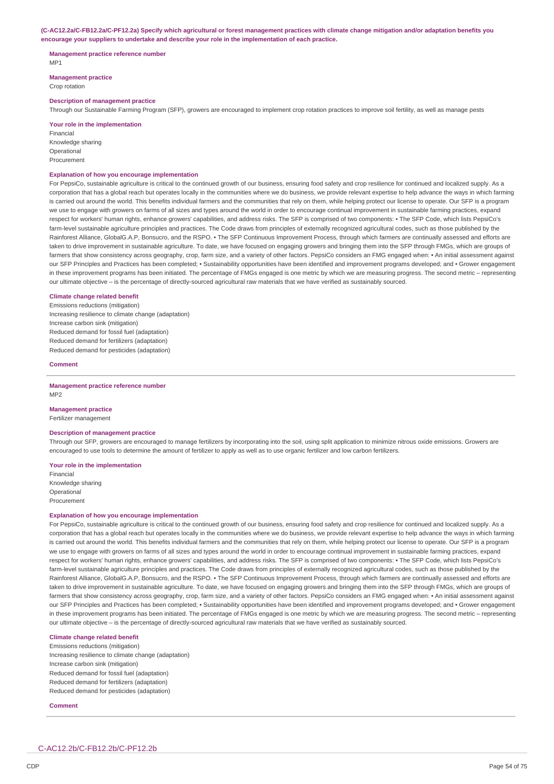(C-AC12.2a/C-FB12.2a/C-PF12.2a) Specify which agricultural or forest management practices with climate change mitigation and/or adaptation benefits you **encourage your suppliers to undertake and describe your role in the implementation of each practice.**

### **Management practice reference number**

MP1

**Management practice** Crop rotation

### **Description of management practice**

Through our Sustainable Farming Program (SFP), growers are encouraged to implement crop rotation practices to improve soil fertility, as well as manage pests

#### **Your role in the implementation**

Financial Knowledge sharing Operational Procurement

### **Explanation of how you encourage implementation**

For PepsiCo, sustainable agriculture is critical to the continued growth of our business, ensuring food safety and crop resilience for continued and localized supply. As a corporation that has a global reach but operates locally in the communities where we do business, we provide relevant expertise to help advance the ways in which farming is carried out around the world. This benefits individual farmers and the communities that rely on them, while helping protect our license to operate. Our SFP is a program we use to engage with growers on farms of all sizes and types around the world in order to encourage continual improvement in sustainable farming practices, expand respect for workers' human rights, enhance growers' capabilities, and address risks. The SFP is comprised of two components: • The SFP Code, which lists PepsiCo's farm-level sustainable agriculture principles and practices. The Code draws from principles of externally recognized agricultural codes, such as those published by the Rainforest Alliance, GlobalG.A.P, Bonsucro, and the RSPO. • The SFP Continuous Improvement Process, through which farmers are continually assessed and efforts are taken to drive improvement in sustainable agriculture. To date, we have focused on engaging growers and bringing them into the SFP through FMGs, which are groups of farmers that show consistency across geography, crop, farm size, and a variety of other factors. PepsiCo considers an FMG engaged when: • An initial assessment against our SFP Principles and Practices has been completed; • Sustainability opportunities have been identified and improvement programs developed; and • Grower engagement in these improvement programs has been initiated. The percentage of FMGs engaged is one metric by which we are measuring progress. The second metric – representing our ultimate objective – is the percentage of directly-sourced agricultural raw materials that we have verified as sustainably sourced.

#### **Climate change related benefit**

Emissions reductions (mitigation) Increasing resilience to climate change (adaptation) Increase carbon sink (mitigation) Reduced demand for fossil fuel (adaptation) Reduced demand for fertilizers (adaptation) Reduced demand for pesticides (adaptation)

#### **Comment**

#### **Management practice reference number** MP2

**Management practice** Fertilizer management

#### **Description of management practice**

Through our SFP, growers are encouraged to manage fertilizers by incorporating into the soil, using split application to minimize nitrous oxide emissions. Growers are encouraged to use tools to determine the amount of fertilizer to apply as well as to use organic fertilizer and low carbon fertilizers.

**Your role in the implementation**

Financial Knowledge sharing Operational Procurement

#### **Explanation of how you encourage implementation**

For PepsiCo, sustainable agriculture is critical to the continued growth of our business, ensuring food safety and crop resilience for continued and localized supply. As a corporation that has a global reach but operates locally in the communities where we do business, we provide relevant expertise to help advance the ways in which farming is carried out around the world. This benefits individual farmers and the communities that rely on them, while helping protect our license to operate. Our SFP is a program we use to engage with growers on farms of all sizes and types around the world in order to encourage continual improvement in sustainable farming practices, expand respect for workers' human rights, enhance growers' capabilities, and address risks. The SFP is comprised of two components: • The SFP Code, which lists PepsiCo's farm-level sustainable agriculture principles and practices. The Code draws from principles of externally recognized agricultural codes, such as those published by the Rainforest Alliance, GlobalG.A.P. Bonsucro, and the RSPO. • The SFP Continuous Improvement Process, through which farmers are continually assessed and efforts are taken to drive improvement in sustainable agriculture. To date, we have focused on engaging growers and bringing them into the SFP through FMGs, which are groups of farmers that show consistency across geography, crop, farm size, and a variety of other factors. PepsiCo considers an FMG engaged when: • An initial assessment against our SFP Principles and Practices has been completed; • Sustainability opportunities have been identified and improvement programs developed; and • Grower engagement in these improvement programs has been initiated. The percentage of FMGs engaged is one metric by which we are measuring progress. The second metric – representing our ultimate objective – is the percentage of directly-sourced agricultural raw materials that we have verified as sustainably sourced.

### **Climate change related benefit**

Emissions reductions (mitigation) Increasing resilience to climate change (adaptation) Increase carbon sink (mitigation) Reduced demand for fossil fuel (adaptation) Reduced demand for fertilizers (adaptation) Reduced demand for pesticides (adaptation)

#### **Comment**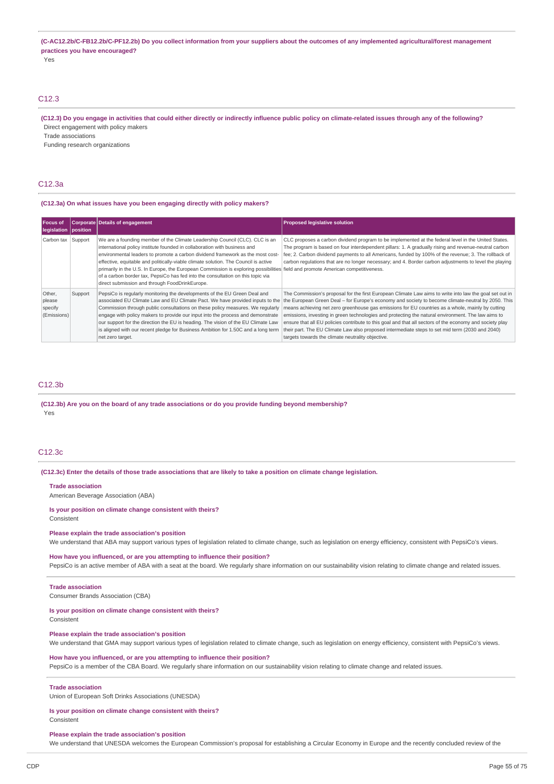(C-AC12.2b/C-FB12.2b/C-PF12.2b) Do you collect information from your suppliers about the outcomes of any implemented agricultural/forest management **practices you have encouraged?**

Yes

# C12.3

(C12.3) Do you engage in activities that could either directly or indirectly influence public policy on climate-related issues through any of the following? Direct engagement with policy makers

Trade associations

Funding research organizations

### C12.3a

### **(C12.3a) On what issues have you been engaging directly with policy makers?**

| <b>Focus of</b><br>legislation position    |         | <b>Corporate Details of engagement</b>                                                                                                                                                                                                                                                                                                                                                                                                                                                                                                                                                                    | <b>Proposed legislative solution</b>                                                                                                                                                                                                                                                                                                                                                                                                                                                                                                                                                                                                                                                        |
|--------------------------------------------|---------|-----------------------------------------------------------------------------------------------------------------------------------------------------------------------------------------------------------------------------------------------------------------------------------------------------------------------------------------------------------------------------------------------------------------------------------------------------------------------------------------------------------------------------------------------------------------------------------------------------------|---------------------------------------------------------------------------------------------------------------------------------------------------------------------------------------------------------------------------------------------------------------------------------------------------------------------------------------------------------------------------------------------------------------------------------------------------------------------------------------------------------------------------------------------------------------------------------------------------------------------------------------------------------------------------------------------|
| Carbon tax                                 | Support | We are a founding member of the Climate Leadership Council (CLC). CLC is an<br>international policy institute founded in collaboration with business and<br>environmental leaders to promote a carbon dividend framework as the most cost-<br>effective, equitable and politically-viable climate solution. The Council is active<br>primarily in the U.S. In Europe, the European Commission is exploring possibilities field and promote American competitiveness.<br>of a carbon border tax, PepsiCo has fed into the consultation on this topic via<br>direct submission and through FoodDrinkEurope. | CLC proposes a carbon dividend program to be implemented at the federal level in the United States.<br>The program is based on four interdependent pillars: 1. A gradually rising and revenue-neutral carbon<br>fee; 2. Carbon dividend payments to all Americans, funded by 100% of the revenue; 3. The rollback of<br>carbon regulations that are no longer necessary; and 4. Border carbon adjustments to level the playing                                                                                                                                                                                                                                                              |
| Other,<br>please<br>specify<br>(Emissions) | Support | PepsiCo is regularly monitoring the developments of the EU Green Deal and<br>associated EU Climate Law and EU Climate Pact. We have provided inputs to the<br>Commission through public consultations on these policy measures. We regularly<br>engage with policy makers to provide our input into the process and demonstrate<br>our support for the direction the EU is heading. The vision of the EU Climate Law<br>is aligned with our recent pledge for Business Ambition for 1.50C and a long term<br>net zero target.                                                                             | The Commission's proposal for the first European Climate Law aims to write into law the goal set out in<br>the European Green Deal - for Europe's economy and society to become climate-neutral by 2050. This<br>means achieving net zero greenhouse gas emissions for EU countries as a whole, mainly by cutting<br>emissions, investing in green technologies and protecting the natural environment. The law aims to<br>ensure that all EU policies contribute to this goal and that all sectors of the economy and society play<br>their part. The EU Climate Law also proposed intermediate steps to set mid term (2030 and 2040)<br>targets towards the climate neutrality objective. |

# C12.3b

**(C12.3b) Are you on the board of any trade associations or do you provide funding beyond membership?** Yes

### C12.3c

(C12.3c) Enter the details of those trade associations that are likely to take a position on climate change legislation.

### **Trade association**

Consistent

American Beverage Association (ABA)

#### **Is your position on climate change consistent with theirs?**

# **Please explain the trade association's position**

We understand that ABA may support various types of legislation related to climate change, such as legislation on energy efficiency, consistent with PepsiCo's views.

#### **How have you influenced, or are you attempting to influence their position?**

PepsiCo is an active member of ABA with a seat at the board. We regularly share information on our sustainability vision relating to climate change and related issues.

**Trade association**

Consumer Brands Association (CBA)

#### **Is your position on climate change consistent with theirs?** Consistent

We understand that GMA may support various types of legislation related to climate change, such as legislation on energy efficiency, consistent with PepsiCo's views.

#### **How have you influenced, or are you attempting to influence their position?**

PepsiCo is a member of the CBA Board. We regularly share information on our sustainability vision relating to climate change and related issues.

### **Trade association**

Union of European Soft Drinks Associations (UNESDA)

**Please explain the trade association's position**

#### **Is your position on climate change consistent with theirs?** Consistent

### **Please explain the trade association's position**

We understand that UNESDA welcomes the European Commission's proposal for establishing a Circular Economy in Europe and the recently concluded review of the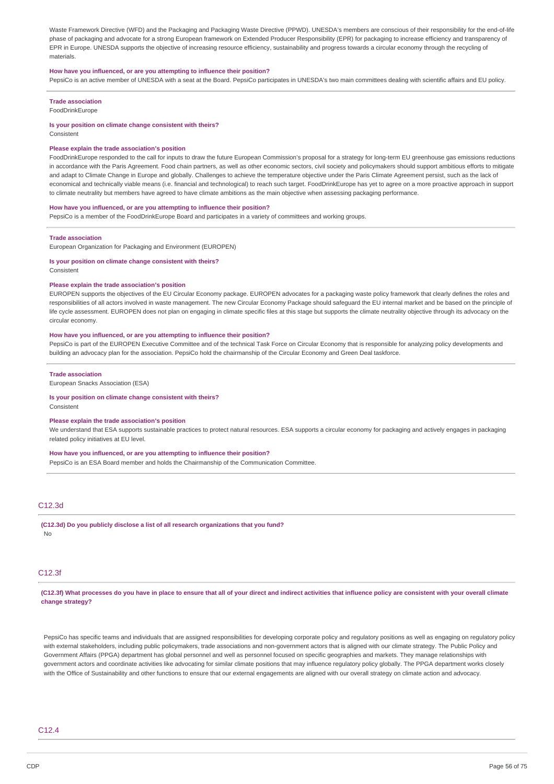Waste Framework Directive (WFD) and the Packaging and Packaging Waste Directive (PPWD). UNESDA's members are conscious of their responsibility for the end-of-life phase of packaging and advocate for a strong European framework on Extended Producer Responsibility (EPR) for packaging to increase efficiency and transparency of EPR in Europe. UNESDA supports the objective of increasing resource efficiency, sustainability and progress towards a circular economy through the recycling of materials.

#### **How have you influenced, or are you attempting to influence their position?**

PepsiCo is an active member of UNESDA with a seat at the Board. PepsiCo participates in UNESDA's two main committees dealing with scientific affairs and EU policy.

**Trade association**

FoodDrinkEurope

#### **Is your position on climate change consistent with theirs?**

Consistent

### **Please explain the trade association's position**

FoodDrinkEurope responded to the call for inputs to draw the future European Commission's proposal for a strategy for long-term EU greenhouse gas emissions reductions in accordance with the Paris Agreement. Food chain partners, as well as other economic sectors, civil society and policymakers should support ambitious efforts to mitigate and adapt to Climate Change in Europe and globally. Challenges to achieve the temperature objective under the Paris Climate Agreement persist, such as the lack of economical and technically viable means (i.e. financial and technological) to reach such target. FoodDrinkEurope has yet to agree on a more proactive approach in support to climate neutrality but members have agreed to have climate ambitions as the main objective when assessing packaging performance.

#### **How have you influenced, or are you attempting to influence their position?**

PepsiCo is a member of the FoodDrinkEurope Board and participates in a variety of committees and working groups.

**Trade association**

European Organization for Packaging and Environment (EUROPEN)

#### **Is your position on climate change consistent with theirs?**

Consistent

#### **Please explain the trade association's position**

EUROPEN supports the objectives of the EU Circular Economy package. EUROPEN advocates for a packaging waste policy framework that clearly defines the roles and responsibilities of all actors involved in waste management. The new Circular Economy Package should safeguard the EU internal market and be based on the principle of life cycle assessment. EUROPEN does not plan on engaging in climate specific files at this stage but supports the climate neutrality objective through its advocacy on the circular economy.

### **How have you influenced, or are you attempting to influence their position?**

PepsiCo is part of the EUROPEN Executive Committee and of the technical Task Force on Circular Economy that is responsible for analyzing policy developments and building an advocacy plan for the association. PepsiCo hold the chairmanship of the Circular Economy and Green Deal taskforce.

### **Trade association**

European Snacks Association (ESA)

#### **Is your position on climate change consistent with theirs? Consistent**

### **Please explain the trade association's position**

We understand that ESA supports sustainable practices to protect natural resources. ESA supports a circular economy for packaging and actively engages in packaging related policy initiatives at EU level.

# **How have you influenced, or are you attempting to influence their position?**

PepsiCo is an ESA Board member and holds the Chairmanship of the Communication Committee.

# C12.3d

**(C12.3d) Do you publicly disclose a list of all research organizations that you fund?** No

### C12.3f

(C12.3f) What processes do you have in place to ensure that all of your direct and indirect activities that influence policy are consistent with your overall climate **change strategy?**

PepsiCo has specific teams and individuals that are assigned responsibilities for developing corporate policy and regulatory positions as well as engaging on regulatory policy with external stakeholders, including public policymakers, trade associations and non-government actors that is aligned with our climate strategy. The Public Policy and Government Affairs (PPGA) department has global personnel and well as personnel focused on specific geographies and markets. They manage relationships with government actors and coordinate activities like advocating for similar climate positions that may influence regulatory policy globally. The PPGA department works closely with the Office of Sustainability and other functions to ensure that our external engagements are aligned with our overall strategy on climate action and advocacy

### $C<sub>12.4</sub>$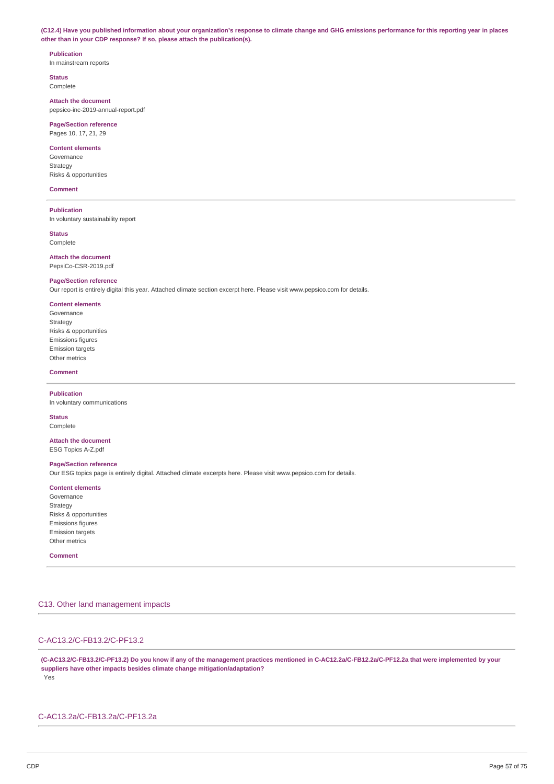(C12.4) Have you published information about your organization's response to climate change and GHG emissions performance for this reporting year in places **other than in your CDP response? If so, please attach the publication(s).**

### **Publication** In mainstream reports

**Status** Complete

**Attach the document** pepsico-inc-2019-annual-report.pdf

### **Page/Section reference** Pages 10, 17, 21, 29

### **Content elements**

Governance Strategy Risks & opportunities

### **Comment**

**Publication** In voluntary sustainability report

**Status**

Complete

### **Attach the document**

PepsiCo-CSR-2019.pdf

## **Page/Section reference**

Our report is entirely digital this year. Attached climate section excerpt here. Please visit www.pepsico.com for details.

#### **Content elements**

Governance Strategy Risks & opportunities Emissions figures Emission targets Other metrics

#### **Comment**

**Publication**

In voluntary communications

### **Status**

Complete

**Attach the document** ESG Topics A-Z.pdf

### **Page/Section reference**

Our ESG topics page is entirely digital. Attached climate excerpts here. Please visit www.pepsico.com for details.

### **Content elements**

Governance **Strategy** Risks & opportunities Emissions figures Emission targets Other metrics

### **Comment**

# C13. Other land management impacts

# C-AC13.2/C-FB13.2/C-PF13.2

(C-AC13.2/C-FB13.2/C-PF13.2) Do you know if any of the management practices mentioned in C-AC12.2a/C-FB12.2a/C-PF12.2a that were implemented by your **suppliers have other impacts besides climate change mitigation/adaptation?** Yes

# C-AC13.2a/C-FB13.2a/C-PF13.2a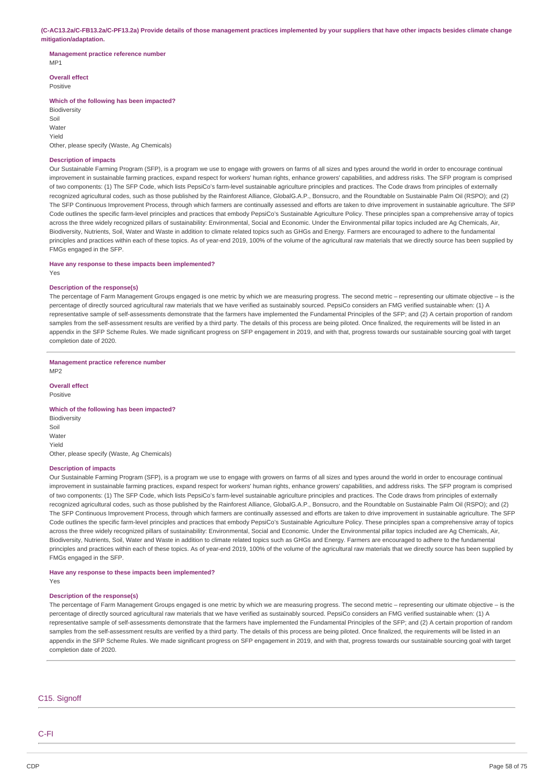#### (C-AC13.2a/C-FB13.2a/C-PF13.2a) Provide details of those management practices implemented by your suppliers that have other impacts besides climate change **mitigation/adaptation.**

#### **Management practice reference number** M<sub>P1</sub>

**Overall effect**

Positive

### **Which of the following has been impacted?**

**Biodiversity** Soil Water Yield Other, please specify (Waste, Ag Chemicals)

### **Description of impacts**

Our Sustainable Farming Program (SFP), is a program we use to engage with growers on farms of all sizes and types around the world in order to encourage continual improvement in sustainable farming practices, expand respect for workers' human rights, enhance growers' capabilities, and address risks. The SFP program is comprised of two components: (1) The SFP Code, which lists PepsiCo's farm-level sustainable agriculture principles and practices. The Code draws from principles of externally recognized agricultural codes, such as those published by the Rainforest Alliance, GlobalG.A.P., Bonsucro, and the Roundtable on Sustainable Palm Oil (RSPO); and (2) The SFP Continuous Improvement Process, through which farmers are continually assessed and efforts are taken to drive improvement in sustainable agriculture. The SFP Code outlines the specific farm-level principles and practices that embody PepsiCo's Sustainable Agriculture Policy. These principles span a comprehensive array of topics across the three widely recognized pillars of sustainability: Environmental, Social and Economic. Under the Environmental pillar topics included are Ag Chemicals, Air, Biodiversity, Nutrients, Soil, Water and Waste in addition to climate related topics such as GHGs and Energy. Farmers are encouraged to adhere to the fundamental principles and practices within each of these topics. As of year-end 2019, 100% of the volume of the agricultural raw materials that we directly source has been supplied by FMGs engaged in the SFP.

#### **Have any response to these impacts been implemented?**

Yes

#### **Description of the response(s)**

The percentage of Farm Management Groups engaged is one metric by which we are measuring progress. The second metric – representing our ultimate objective – is the percentage of directly sourced agricultural raw materials that we have verified as sustainably sourced. PepsiCo considers an FMG verified sustainable when: (1) A representative sample of self-assessments demonstrate that the farmers have implemented the Fundamental Principles of the SFP; and (2) A certain proportion of random samples from the self-assessment results are verified by a third party. The details of this process are being piloted. Once finalized, the requirements will be listed in an appendix in the SFP Scheme Rules. We made significant progress on SFP engagement in 2019, and with that, progress towards our sustainable sourcing goal with target completion date of 2020.

#### **Management practice reference number**

MP2

### **Overall effect**

Positive

#### **Which of the following has been impacted?**

**Biodiversity** Soil Water Yield Other, please specify (Waste, Ag Chemicals)

#### **Description of impacts**

Our Sustainable Farming Program (SFP), is a program we use to engage with growers on farms of all sizes and types around the world in order to encourage continual improvement in sustainable farming practices, expand respect for workers' human rights, enhance growers' capabilities, and address risks. The SFP program is comprised of two components: (1) The SFP Code, which lists PepsiCo's farm-level sustainable agriculture principles and practices. The Code draws from principles of externally recognized agricultural codes, such as those published by the Rainforest Alliance, GlobalG.A.P., Bonsucro, and the Roundtable on Sustainable Palm Oil (RSPO); and (2) The SFP Continuous Improvement Process, through which farmers are continually assessed and efforts are taken to drive improvement in sustainable agriculture. The SFP Code outlines the specific farm-level principles and practices that embody PepsiCo's Sustainable Agriculture Policy. These principles span a comprehensive array of topics across the three widely recognized pillars of sustainability: Environmental, Social and Economic. Under the Environmental pillar topics included are Ag Chemicals, Air, Biodiversity, Nutrients, Soil, Water and Waste in addition to climate related topics such as GHGs and Energy. Farmers are encouraged to adhere to the fundamental principles and practices within each of these topics. As of year-end 2019, 100% of the volume of the agricultural raw materials that we directly source has been supplied by FMGs engaged in the SFP.

#### **Have any response to these impacts been implemented?**

Yes

# **Description of the response(s)**

The percentage of Farm Management Groups engaged is one metric by which we are measuring progress. The second metric – representing our ultimate objective – is the percentage of directly sourced agricultural raw materials that we have verified as sustainably sourced. PepsiCo considers an FMG verified sustainable when: (1) A representative sample of self-assessments demonstrate that the farmers have implemented the Fundamental Principles of the SFP; and (2) A certain proportion of random samples from the self-assessment results are verified by a third party. The details of this process are being piloted. Once finalized, the requirements will be listed in an appendix in the SFP Scheme Rules. We made significant progress on SFP engagement in 2019, and with that, progress towards our sustainable sourcing goal with target completion date of 2020.

### C15. Signoff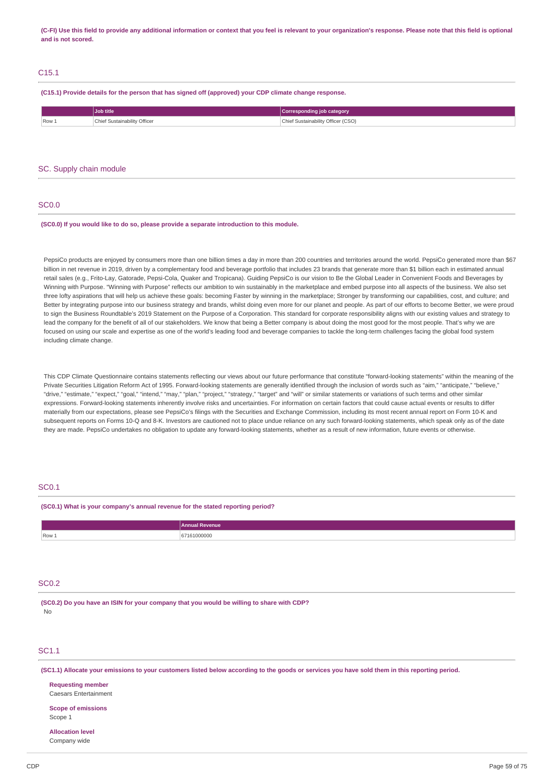(C-FI) Use this field to provide any additional information or context that you feel is relevant to your organization's response. Please note that this field is optional **and is not scored.**

### C15.1

**(C15.1) Provide details for the person that has signed off (approved) your CDP climate change response.**

|         | Job title                    | Corresponding job category         |
|---------|------------------------------|------------------------------------|
| $Row_1$ | Chief Sustainability Officer | Chief Sustainability Officer (CSO) |

### SC. Supply chain module

### SC0.0

#### **(SC0.0) If you would like to do so, please provide a separate introduction to this module.**

PepsiCo products are enjoyed by consumers more than one billion times a day in more than 200 countries and territories around the world. PepsiCo generated more than \$67 billion in net revenue in 2019, driven by a complementary food and beverage portfolio that includes 23 brands that generate more than \$1 billion each in estimated annual retail sales (e.g., Frito-Lay, Gatorade, Pepsi-Cola, Quaker and Tropicana). Guiding PepsiCo is our vision to Be the Global Leader in Convenient Foods and Beverages by Winning with Purpose. "Winning with Purpose" reflects our ambition to win sustainably in the marketplace and embed purpose into all aspects of the business. We also set three lofty aspirations that will help us achieve these goals: becoming Faster by winning in the marketplace; Stronger by transforming our capabilities, cost, and culture; and Better by integrating purpose into our business strategy and brands, whilst doing even more for our planet and people. As part of our efforts to become Better, we were proud to sign the Business Roundtable's 2019 Statement on the Purpose of a Corporation. This standard for corporate responsibility aligns with our existing values and strategy to lead the company for the benefit of all of our stakeholders. We know that being a Better company is about doing the most good for the most people. That's why we are focused on using our scale and expertise as one of the world's leading food and beverage companies to tackle the long-term challenges facing the global food system including climate change.

This CDP Climate Questionnaire contains statements reflecting our views about our future performance that constitute "forward-looking statements" within the meaning of the Private Securities Litigation Reform Act of 1995. Forward-looking statements are generally identified through the inclusion of words such as "aim," "anticipate," "believe," "drive," "estimate," "expect," "goal," "intend," "may," "plan," "project," "strategy," "target" and "will" or similar statements or variations of such terms and other similar expressions. Forward-looking statements inherently involve risks and uncertainties. For information on certain factors that could cause actual events or results to differ materially from our expectations, please see PepsiCo's filings with the Securities and Exchange Commission, including its most recent annual report on Form 10-K and subsequent reports on Forms 10-Q and 8-K. Investors are cautioned not to place undue reliance on any such forward-looking statements, which speak only as of the date they are made. PepsiCo undertakes no obligation to update any forward-looking statements, whether as a result of new information, future events or otherwise.

### SC<sub>0.1</sub>

#### **(SC0.1) What is your company's annual revenue for the stated reporting period?**

|       | venue<br>.  |
|-------|-------------|
| Row 1 | ,,,,,,<br>. |

### SC<sub>0.2</sub>

**(SC0.2) Do you have an ISIN for your company that you would be willing to share with CDP?** No

### SC1.1

(SC1.1) Allocate your emissions to your customers listed below according to the goods or services you have sold them in this reporting period.

**Requesting member** Caesars Entertainment **Scope of emissions**

**Allocation level**

Scope 1

Company wide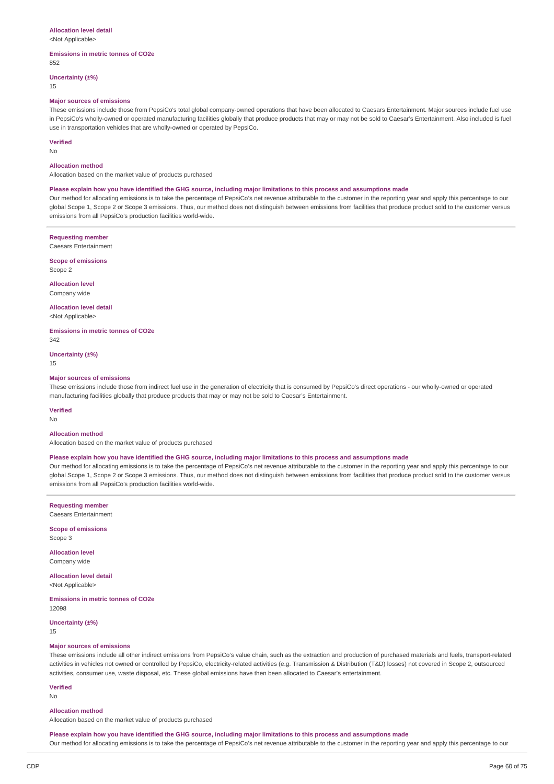#### **Allocation level detail**

<Not Applicable>

#### **Emissions in metric tonnes of CO2e** 852

**Uncertainty (±%)**

15

### **Major sources of emissions**

These emissions include those from PepsiCo's total global company-owned operations that have been allocated to Caesars Entertainment. Major sources include fuel use in PepsiCo's wholly-owned or operated manufacturing facilities globally that produce products that may or may not be sold to Caesar's Entertainment. Also included is fuel use in transportation vehicles that are wholly-owned or operated by PepsiCo.

#### **Verified**

No

#### **Allocation method**

Allocation based on the market value of products purchased

### Please explain how you have identified the GHG source, including major limitations to this process and assumptions made

Our method for allocating emissions is to take the percentage of PepsiCo's net revenue attributable to the customer in the reporting year and apply this percentage to our global Scope 1, Scope 2 or Scope 3 emissions. Thus, our method does not distinguish between emissions from facilities that produce product sold to the customer versus emissions from all PepsiCo's production facilities world-wide.

#### **Requesting member**

Caesars Entertainment

**Scope of emissions** Scope 2

**Allocation level** Company wide

# **Allocation level detail**

<Not Applicable>

**Emissions in metric tonnes of CO2e** 342

**Uncertainty (±%)** 15

### **Major sources of emissions**

These emissions include those from indirect fuel use in the generation of electricity that is consumed by PepsiCo's direct operations - our wholly-owned or operated manufacturing facilities globally that produce products that may or may not be sold to Caesar's Entertainment.

#### **Verified**

No

# **Allocation method**

Allocation based on the market value of products purchased

### Please explain how you have identified the GHG source, including major limitations to this process and assumptions made

Our method for allocating emissions is to take the percentage of PepsiCo's net revenue attributable to the customer in the reporting year and apply this percentage to our global Scope 1, Scope 2 or Scope 3 emissions. Thus, our method does not distinguish between emissions from facilities that produce product sold to the customer versus emissions from all PepsiCo's production facilities world-wide.

# **Requesting member**

Caesars Entertainment

**Scope of emissions** Scope 3

**Allocation level** Company wide

### **Allocation level detail** <Not Applicable>

**Emissions in metric tonnes of CO2e** 12098

**Uncertainty (±%)**

15

### **Major sources of emissions**

These emissions include all other indirect emissions from PepsiCo's value chain, such as the extraction and production of purchased materials and fuels, transport-related activities in vehicles not owned or controlled by PepsiCo, electricity-related activities (e.g. Transmission & Distribution (T&D) losses) not covered in Scope 2, outsourced activities, consumer use, waste disposal, etc. These global emissions have then been allocated to Caesar's entertainment.

**Verified**

No

### **Allocation method**

Allocation based on the market value of products purchased

#### Please explain how you have identified the GHG source, including major limitations to this process and assumptions made

Our method for allocating emissions is to take the percentage of PepsiCo's net revenue attributable to the customer in the reporting year and apply this percentage to our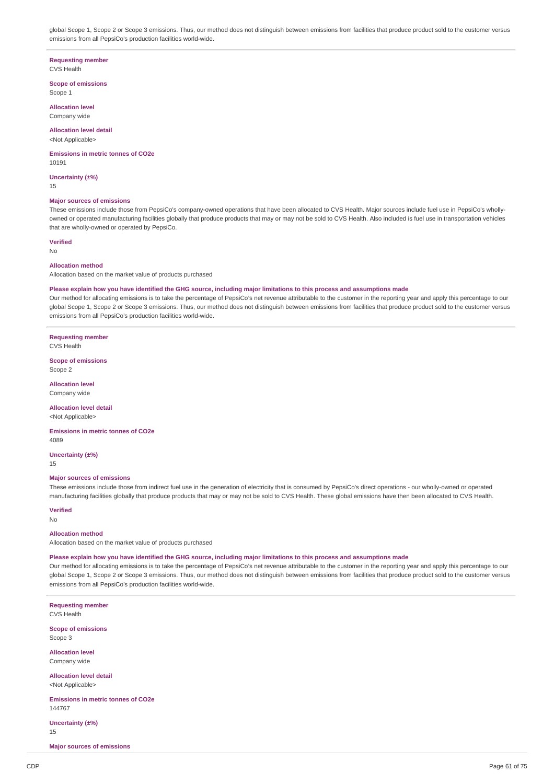global Scope 1, Scope 2 or Scope 3 emissions. Thus, our method does not distinguish between emissions from facilities that produce product sold to the customer versus emissions from all PepsiCo's production facilities world-wide.

### **Requesting member**

CVS Health

**Scope of emissions** Scope 1

**Allocation level** Company wide

### **Allocation level detail** <Not Applicable>

**Emissions in metric tonnes of CO2e**

**Uncertainty (±%)**

15

10191

### **Major sources of emissions**

These emissions include those from PepsiCo's company-owned operations that have been allocated to CVS Health. Major sources include fuel use in PepsiCo's whollyowned or operated manufacturing facilities globally that produce products that may or may not be sold to CVS Health. Also included is fuel use in transportation vehicles that are wholly-owned or operated by PepsiCo.

**Verified**

# No

### **Allocation method**

Allocation based on the market value of products purchased

### Please explain how you have identified the GHG source, including major limitations to this process and assumptions made

Our method for allocating emissions is to take the percentage of PepsiCo's net revenue attributable to the customer in the reporting year and apply this percentage to our global Scope 1, Scope 2 or Scope 3 emissions. Thus, our method does not distinguish between emissions from facilities that produce product sold to the customer versus emissions from all PepsiCo's production facilities world-wide.

**Requesting member** CVS Health

**Scope of emissions** Scope 2

**Allocation level** Company wide

**Allocation level detail** <Not Applicable>

**Emissions in metric tonnes of CO2e** 4089

**Uncertainty (±%)** 15

### **Major sources of emissions**

These emissions include those from indirect fuel use in the generation of electricity that is consumed by PepsiCo's direct operations - our wholly-owned or operated manufacturing facilities globally that produce products that may or may not be sold to CVS Health. These global emissions have then been allocated to CVS Health.

#### **Verified** No

#### **Allocation method**

Allocation based on the market value of products purchased

### Please explain how you have identified the GHG source, including major limitations to this process and assumptions made

Our method for allocating emissions is to take the percentage of PepsiCo's net revenue attributable to the customer in the reporting year and apply this percentage to our global Scope 1, Scope 2 or Scope 3 emissions. Thus, our method does not distinguish between emissions from facilities that produce product sold to the customer versus emissions from all PepsiCo's production facilities world-wide.

**Requesting member** CVS Health **Scope of emissions** Scope 3 **Allocation level** Company wide **Allocation level detail** <Not Applicable> **Emissions in metric tonnes of CO2e** 144767 **Uncertainty (±%)**

15

**Major sources of emissions**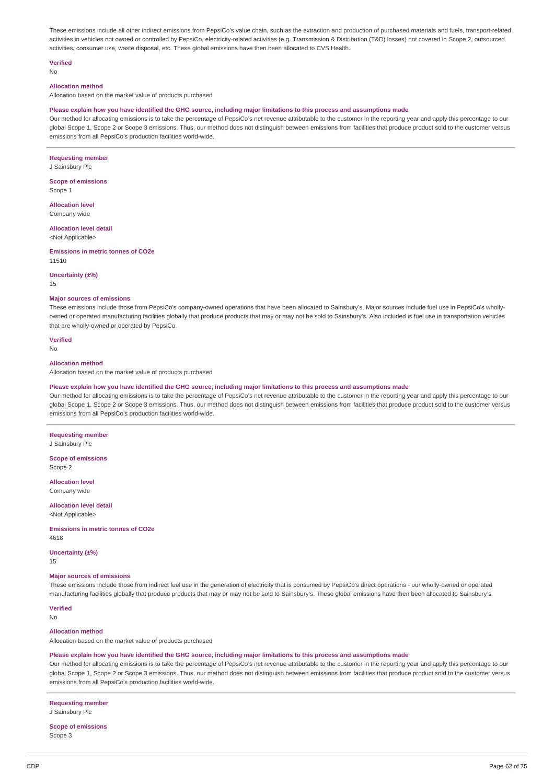These emissions include all other indirect emissions from PepsiCo's value chain, such as the extraction and production of purchased materials and fuels, transport-related activities in vehicles not owned or controlled by PepsiCo, electricity-related activities (e.g. Transmission & Distribution (T&D) losses) not covered in Scope 2, outsourced activities, consumer use, waste disposal, etc. These global emissions have then been allocated to CVS Health.

#### **Verified**

No

### **Allocation method**

Allocation based on the market value of products purchased

### Please explain how you have identified the GHG source, including major limitations to this process and assumptions made

Our method for allocating emissions is to take the percentage of PepsiCo's net revenue attributable to the customer in the reporting year and apply this percentage to our global Scope 1, Scope 2 or Scope 3 emissions. Thus, our method does not distinguish between emissions from facilities that produce product sold to the customer versus emissions from all PepsiCo's production facilities world-wide.

### **Requesting member**

J Sainsbury Plc

**Scope of emissions** Scope 1

**Allocation level** Company wide

**Allocation level detail** <Not Applicable>

**Emissions in metric tonnes of CO2e** 11510

### **Uncertainty (±%)**

15

#### **Major sources of emissions**

These emissions include those from PepsiCo's company-owned operations that have been allocated to Sainsbury's. Major sources include fuel use in PepsiCo's whollyowned or operated manufacturing facilities globally that produce products that may or may not be sold to Sainsbury's. Also included is fuel use in transportation vehicles that are wholly-owned or operated by PepsiCo.

**Verified** No

#### **Allocation method**

Allocation based on the market value of products purchased

#### Please explain how you have identified the GHG source, including major limitations to this process and assumptions made

Our method for allocating emissions is to take the percentage of PepsiCo's net revenue attributable to the customer in the reporting year and apply this percentage to our global Scope 1, Scope 2 or Scope 3 emissions. Thus, our method does not distinguish between emissions from facilities that produce product sold to the customer versus emissions from all PepsiCo's production facilities world-wide.

#### **Requesting member**

J Sainsbury Plc

**Scope of emissions** Scope 2

**Allocation level** Company wide

**Allocation level detail** <Not Applicable>

**Emissions in metric tonnes of CO2e** 4618

**Uncertainty (±%)**

15

#### **Major sources of emissions**

These emissions include those from indirect fuel use in the generation of electricity that is consumed by PepsiCo's direct operations - our wholly-owned or operated manufacturing facilities globally that produce products that may or may not be sold to Sainsbury's. These global emissions have then been allocated to Sainsbury's.

**Verified** No

#### **Allocation method**

Allocation based on the market value of products purchased

### Please explain how you have identified the GHG source, including major limitations to this process and assumptions made

Our method for allocating emissions is to take the percentage of PepsiCo's net revenue attributable to the customer in the reporting year and apply this percentage to our global Scope 1, Scope 2 or Scope 3 emissions. Thus, our method does not distinguish between emissions from facilities that produce product sold to the customer versus emissions from all PepsiCo's production facilities world-wide.

# **Requesting member**

J Sainsbury Plc

### **Scope of emissions** Scope 3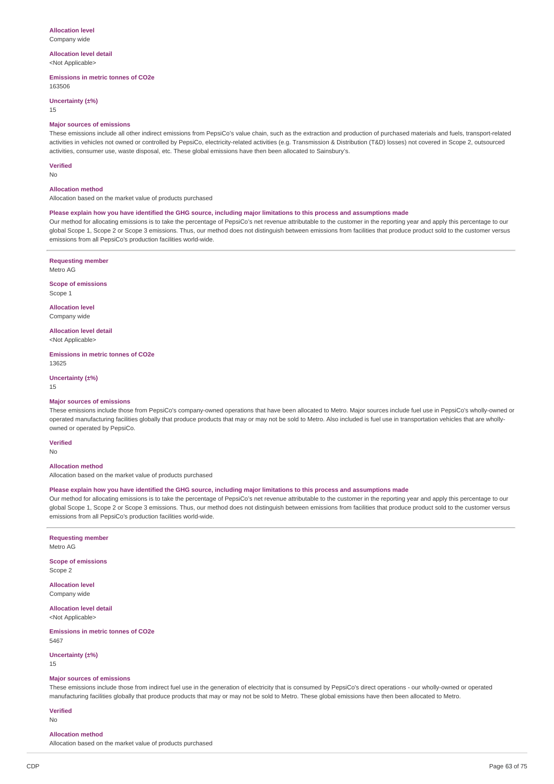# **Allocation level**

Company wide

### **Allocation level detail** <Not Applicable>

#### **Emissions in metric tonnes of CO2e** 163506

**Uncertainty (±%)**

15

#### **Major sources of emissions**

These emissions include all other indirect emissions from PepsiCo's value chain, such as the extraction and production of purchased materials and fuels, transport-related activities in vehicles not owned or controlled by PepsiCo, electricity-related activities (e.g. Transmission & Distribution (T&D) losses) not covered in Scope 2, outsourced activities, consumer use, waste disposal, etc. These global emissions have then been allocated to Sainsbury's.

**Verified**

# No

### **Allocation method**

Allocation based on the market value of products purchased

### Please explain how you have identified the GHG source, including major limitations to this process and assumptions made

Our method for allocating emissions is to take the percentage of PepsiCo's net revenue attributable to the customer in the reporting year and apply this percentage to our global Scope 1, Scope 2 or Scope 3 emissions. Thus, our method does not distinguish between emissions from facilities that produce product sold to the customer versus emissions from all PepsiCo's production facilities world-wide.

#### **Requesting member** Metro AG

**Scope of emissions**

**Allocation level** Company wide

Scope 1

**Allocation level detail** <Not Applicable>

**Emissions in metric tonnes of CO2e** 13625

# **Uncertainty (±%)**

15

#### **Major sources of emissions**

These emissions include those from PepsiCo's company-owned operations that have been allocated to Metro. Major sources include fuel use in PepsiCo's wholly-owned or operated manufacturing facilities globally that produce products that may or may not be sold to Metro. Also included is fuel use in transportation vehicles that are whollyowned or operated by PepsiCo.

**Verified**

### No

### **Allocation method**

Allocation based on the market value of products purchased

#### Please explain how you have identified the GHG source, including major limitations to this process and assumptions made

Our method for allocating emissions is to take the percentage of PepsiCo's net revenue attributable to the customer in the reporting year and apply this percentage to our global Scope 1, Scope 2 or Scope 3 emissions. Thus, our method does not distinguish between emissions from facilities that produce product sold to the customer versus emissions from all PepsiCo's production facilities world-wide.

### **Requesting member** Metro AG

**Scope of emissions** Scope 2

**Allocation level** Company wide

**Allocation level detail** <Not Applicable>

**Emissions in metric tonnes of CO2e** 5467

### **Uncertainty (±%)**

15

#### **Major sources of emissions**

These emissions include those from indirect fuel use in the generation of electricity that is consumed by PepsiCo's direct operations - our wholly-owned or operated manufacturing facilities globally that produce products that may or may not be sold to Metro. These global emissions have then been allocated to Metro.

### **Verified**

No

#### **Allocation method**

Allocation based on the market value of products purchased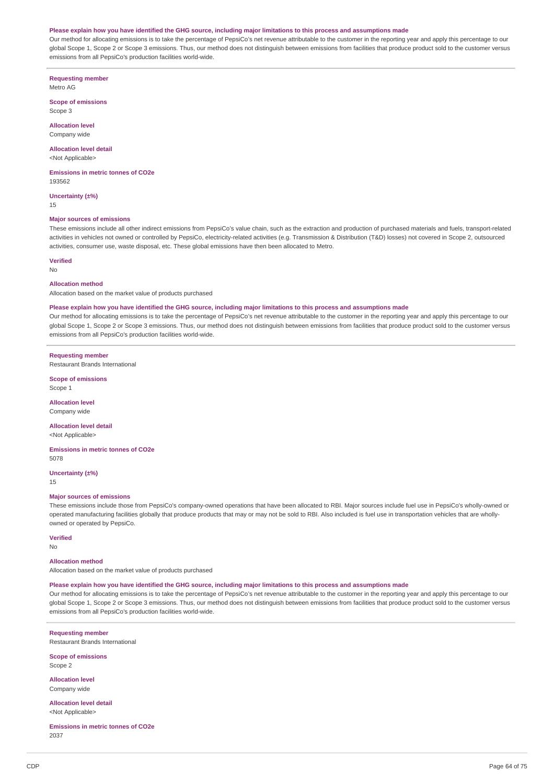#### Please explain how you have identified the GHG source, including major limitations to this process and assumptions made

Our method for allocating emissions is to take the percentage of PepsiCo's net revenue attributable to the customer in the reporting year and apply this percentage to our global Scope 1, Scope 2 or Scope 3 emissions. Thus, our method does not distinguish between emissions from facilities that produce product sold to the customer versus emissions from all PepsiCo's production facilities world-wide.

**Requesting member** Metro AG

**Scope of emissions** Scope 3

**Allocation level** Company wide

**Allocation level detail** <Not Applicable>

**Emissions in metric tonnes of CO2e** 193562

**Uncertainty (±%)** 15

#### **Major sources of emissions**

These emissions include all other indirect emissions from PepsiCo's value chain, such as the extraction and production of purchased materials and fuels, transport-related activities in vehicles not owned or controlled by PepsiCo, electricity-related activities (e.g. Transmission & Distribution (T&D) losses) not covered in Scope 2, outsourced activities, consumer use, waste disposal, etc. These global emissions have then been allocated to Metro.

**Verified**

No

#### **Allocation method**

Allocation based on the market value of products purchased

#### Please explain how you have identified the GHG source, including major limitations to this process and assumptions made

Our method for allocating emissions is to take the percentage of PepsiCo's net revenue attributable to the customer in the reporting year and apply this percentage to our global Scope 1, Scope 2 or Scope 3 emissions. Thus, our method does not distinguish between emissions from facilities that produce product sold to the customer versus emissions from all PepsiCo's production facilities world-wide.

**Requesting member** Restaurant Brands International

**Scope of emissions** Scope 1

**Allocation level**

Company wide

**Allocation level detail** <Not Applicable>

**Emissions in metric tonnes of CO2e** 5078

**Uncertainty (±%)**

15

#### **Major sources of emissions**

These emissions include those from PepsiCo's company-owned operations that have been allocated to RBI. Major sources include fuel use in PepsiCo's wholly-owned or operated manufacturing facilities globally that produce products that may or may not be sold to RBI. Also included is fuel use in transportation vehicles that are whollyowned or operated by PepsiCo.

**Verified** No

#### **Allocation method**

Allocation based on the market value of products purchased

Please explain how you have identified the GHG source, including major limitations to this process and assumptions made

Our method for allocating emissions is to take the percentage of PepsiCo's net revenue attributable to the customer in the reporting year and apply this percentage to our global Scope 1, Scope 2 or Scope 3 emissions. Thus, our method does not distinguish between emissions from facilities that produce product sold to the customer versus emissions from all PepsiCo's production facilities world-wide.

**Requesting member** Restaurant Brands International

**Scope of emissions** Scope 2

**Allocation level** Company wide

**Allocation level detail** <Not Applicable>

**Emissions in metric tonnes of CO2e** 2037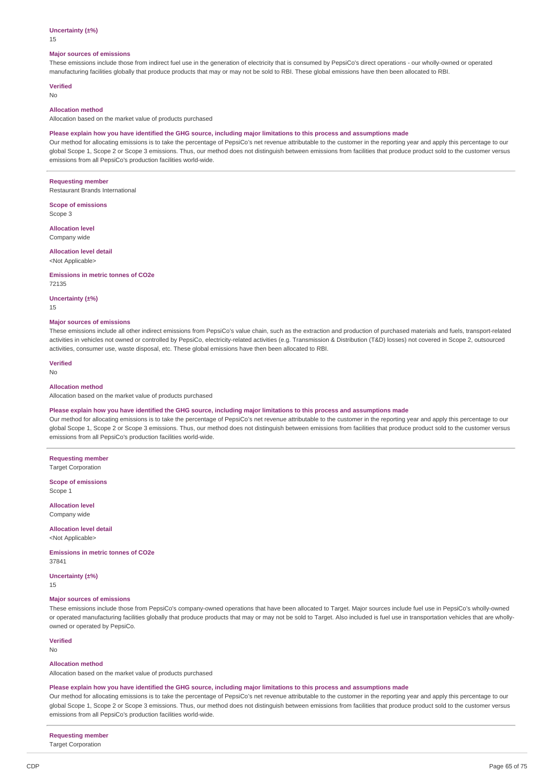### **Uncertainty (±%)**

15

#### **Major sources of emissions**

These emissions include those from indirect fuel use in the generation of electricity that is consumed by PepsiCo's direct operations - our wholly-owned or operated manufacturing facilities globally that produce products that may or may not be sold to RBI. These global emissions have then been allocated to RBI.

### **Verified**

No

# **Allocation method**

Allocation based on the market value of products purchased

### Please explain how you have identified the GHG source, including major limitations to this process and assumptions made

Our method for allocating emissions is to take the percentage of PepsiCo's net revenue attributable to the customer in the reporting year and apply this percentage to our global Scope 1, Scope 2 or Scope 3 emissions. Thus, our method does not distinguish between emissions from facilities that produce product sold to the customer versus emissions from all PepsiCo's production facilities world-wide.

#### **Requesting member**

Restaurant Brands International

**Scope of emissions** Scope 3

**Allocation level** Company wide

### **Allocation level detail**

<Not Applicable>

**Emissions in metric tonnes of CO2e** 72135

### **Uncertainty (±%)**

15

#### **Major sources of emissions**

These emissions include all other indirect emissions from PepsiCo's value chain, such as the extraction and production of purchased materials and fuels, transport-related activities in vehicles not owned or controlled by PepsiCo, electricity-related activities (e.g. Transmission & Distribution (T&D) losses) not covered in Scope 2, outsourced activities, consumer use, waste disposal, etc. These global emissions have then been allocated to RBI.

# **Verified**

No

#### **Allocation method**

Allocation based on the market value of products purchased

#### Please explain how you have identified the GHG source, including major limitations to this process and assumptions made

Our method for allocating emissions is to take the percentage of PepsiCo's net revenue attributable to the customer in the reporting year and apply this percentage to our global Scope 1, Scope 2 or Scope 3 emissions. Thus, our method does not distinguish between emissions from facilities that produce product sold to the customer versus emissions from all PepsiCo's production facilities world-wide.

**Requesting member** Target Corporation

**Scope of emissions** Scope 1

**Allocation level** Company wide

#### **Allocation level detail** <Not Applicable>

**Emissions in metric tonnes of CO2e** 37841

# **Uncertainty (±%)**

15

### **Major sources of emissions**

These emissions include those from PepsiCo's company-owned operations that have been allocated to Target. Major sources include fuel use in PepsiCo's wholly-owned or operated manufacturing facilities globally that produce products that may or may not be sold to Target. Also included is fuel use in transportation vehicles that are whollyowned or operated by PepsiCo.

# **Verified**

No

#### **Allocation method**

Allocation based on the market value of products purchased

### Please explain how you have identified the GHG source, including major limitations to this process and assumptions made

Our method for allocating emissions is to take the percentage of PepsiCo's net revenue attributable to the customer in the reporting year and apply this percentage to our global Scope 1, Scope 2 or Scope 3 emissions. Thus, our method does not distinguish between emissions from facilities that produce product sold to the customer versus emissions from all PepsiCo's production facilities world-wide.

**Requesting member**

Target Corporation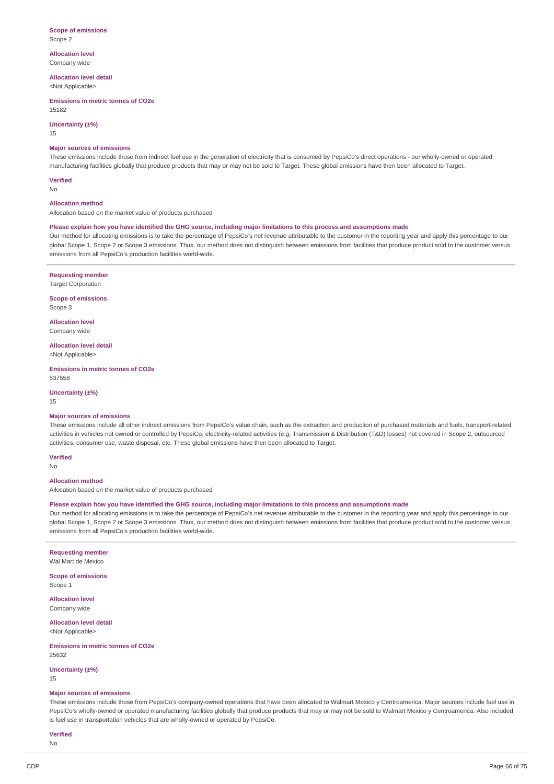### **Scope of emissions** Scope 2

**Allocation level** Company wide

**Allocation level detail**

<Not Applicable>

**Emissions in metric tonnes of CO2e** 15182

### **Uncertainty (±%)**

15

#### **Major sources of emissions**

These emissions include those from indirect fuel use in the generation of electricity that is consumed by PepsiCo's direct operations - our wholly-owned or operated manufacturing facilities globally that produce products that may or may not be sold to Target. These global emissions have then been allocated to Target.

**Verified** No

### **Allocation method**

Allocation based on the market value of products purchased

### Please explain how you have identified the GHG source, including major limitations to this process and assumptions made

Our method for allocating emissions is to take the percentage of PepsiCo's net revenue attributable to the customer in the reporting year and apply this percentage to our global Scope 1, Scope 2 or Scope 3 emissions. Thus, our method does not distinguish between emissions from facilities that produce product sold to the customer versus emissions from all PepsiCo's production facilities world-wide.

**Requesting member** Target Corporation

**Scope of emissions** Scope 3

**Allocation level** Company wide

**Allocation level detail** <Not Applicable>

**Emissions in metric tonnes of CO2e** 537558

**Uncertainty (±%)** 15

#### **Major sources of emissions**

These emissions include all other indirect emissions from PepsiCo's value chain, such as the extraction and production of purchased materials and fuels, transport-related activities in vehicles not owned or controlled by PepsiCo, electricity-related activities (e.g. Transmission & Distribution (T&D) losses) not covered in Scope 2, outsourced activities, consumer use, waste disposal, etc. These global emissions have then been allocated to Target.

**Verified**

# No

# **Allocation method**

Allocation based on the market value of products purchased

### Please explain how you have identified the GHG source, including major limitations to this process and assumptions made

Our method for allocating emissions is to take the percentage of PepsiCo's net revenue attributable to the customer in the reporting year and apply this percentage to our global Scope 1, Scope 2 or Scope 3 emissions. Thus, our method does not distinguish between emissions from facilities that produce product sold to the customer versus emissions from all PepsiCo's production facilities world-wide.

### **Requesting member** Wal Mart de Mexico

**Scope of emissions** Scope 1

**Allocation level** Company wide

**Allocation level detail** <Not Applicable>

### **Emissions in metric tonnes of CO2e** 25632

**Uncertainty (±%)**

15

### **Major sources of emissions**

These emissions include those from PepsiCo's company-owned operations that have been allocated to Walmart Mexico y Centroamerica. Major sources include fuel use in PepsiCo's wholly-owned or operated manufacturing facilities globally that produce products that may or may not be sold to Walmart Mexico y Centroamerica. Also included is fuel use in transportation vehicles that are wholly-owned or operated by PepsiCo.

**Verified**

No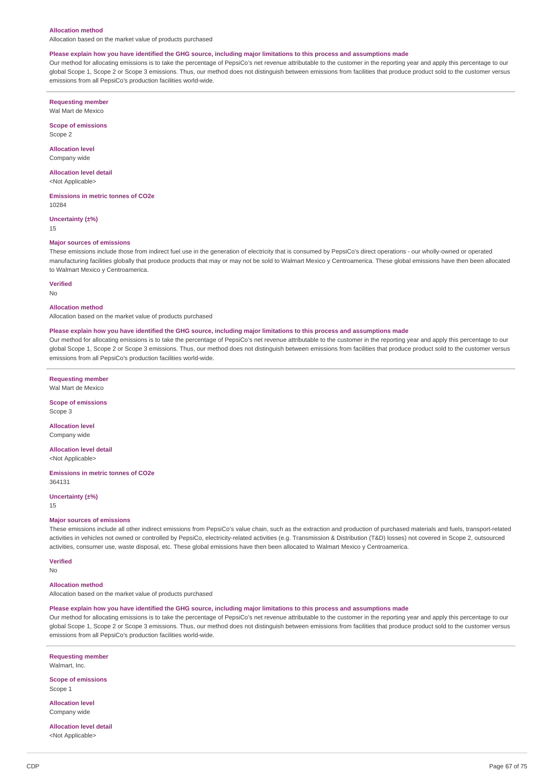#### **Allocation method**

Allocation based on the market value of products purchased

### Please explain how you have identified the GHG source, including major limitations to this process and assumptions made

Our method for allocating emissions is to take the percentage of PepsiCo's net revenue attributable to the customer in the reporting year and apply this percentage to our global Scope 1, Scope 2 or Scope 3 emissions. Thus, our method does not distinguish between emissions from facilities that produce product sold to the customer versus emissions from all PepsiCo's production facilities world-wide.

**Requesting member** Wal Mart de Mexico

**Scope of emissions**

Scope 2

**Allocation level** Company wide

**Allocation level detail**

<Not Applicable>

**Emissions in metric tonnes of CO2e** 10284

**Uncertainty (±%)**

15

#### **Major sources of emissions**

These emissions include those from indirect fuel use in the generation of electricity that is consumed by PepsiCo's direct operations - our wholly-owned or operated manufacturing facilities globally that produce products that may or may not be sold to Walmart Mexico y Centroamerica. These global emissions have then been allocated to Walmart Mexico y Centroamerica.

### **Verified**

No

#### **Allocation method**

Allocation based on the market value of products purchased

### Please explain how you have identified the GHG source, including major limitations to this process and assumptions made

Our method for allocating emissions is to take the percentage of PepsiCo's net revenue attributable to the customer in the reporting year and apply this percentage to our global Scope 1, Scope 2 or Scope 3 emissions. Thus, our method does not distinguish between emissions from facilities that produce product sold to the customer versus emissions from all PepsiCo's production facilities world-wide.

**Requesting member**

Wal Mart de Mexico

**Scope of emissions** Scope 3

**Allocation level** Company wide

**Allocation level detail** <Not Applicable>

**Emissions in metric tonnes of CO2e** 364131

**Uncertainty (±%)** 15

#### **Major sources of emissions**

These emissions include all other indirect emissions from PepsiCo's value chain, such as the extraction and production of purchased materials and fuels, transport-related activities in vehicles not owned or controlled by PepsiCo, electricity-related activities (e.g. Transmission & Distribution (T&D) losses) not covered in Scope 2, outsourced activities, consumer use, waste disposal, etc. These global emissions have then been allocated to Walmart Mexico y Centroamerica.

### **Verified**

No

### **Allocation method**

Allocation based on the market value of products purchased

Please explain how you have identified the GHG source, including major limitations to this process and assumptions made

Our method for allocating emissions is to take the percentage of PepsiCo's net revenue attributable to the customer in the reporting year and apply this percentage to our global Scope 1, Scope 2 or Scope 3 emissions. Thus, our method does not distinguish between emissions from facilities that produce product sold to the customer versus emissions from all PepsiCo's production facilities world-wide.

**Requesting member** Walmart, Inc.

**Scope of emissions** Scope 1

**Allocation level** Company wide

**Allocation level detail** <Not Applicable>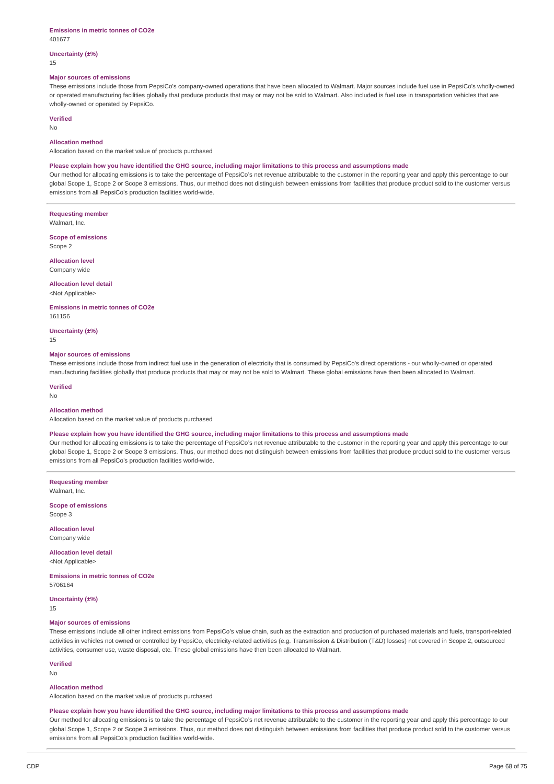#### **Emissions in metric tonnes of CO2e** 401677

#### **Uncertainty (±%)** 15

#### **Major sources of emissions**

These emissions include those from PepsiCo's company-owned operations that have been allocated to Walmart. Major sources include fuel use in PepsiCo's wholly-owned or operated manufacturing facilities globally that produce products that may or may not be sold to Walmart. Also included is fuel use in transportation vehicles that are wholly-owned or operated by PepsiCo.

### **Verified**

No

#### **Allocation method**

Allocation based on the market value of products purchased

### Please explain how you have identified the GHG source, including major limitations to this process and assumptions made

Our method for allocating emissions is to take the percentage of PepsiCo's net revenue attributable to the customer in the reporting year and apply this percentage to our global Scope 1, Scope 2 or Scope 3 emissions. Thus, our method does not distinguish between emissions from facilities that produce product sold to the customer versus emissions from all PepsiCo's production facilities world-wide.

### **Requesting member**

Walmart, Inc.

**Scope of emissions** Scope 2

**Allocation level** Company wide

### **Allocation level detail**

<Not Applicable>

# **Emissions in metric tonnes of CO2e**

161156

**Uncertainty (±%)** 15

### **Major sources of emissions**

These emissions include those from indirect fuel use in the generation of electricity that is consumed by PepsiCo's direct operations - our wholly-owned or operated manufacturing facilities globally that produce products that may or may not be sold to Walmart. These global emissions have then been allocated to Walmart.

#### **Verified**

No

#### **Allocation method**

Allocation based on the market value of products purchased

### Please explain how you have identified the GHG source, including major limitations to this process and assumptions made

Our method for allocating emissions is to take the percentage of PepsiCo's net revenue attributable to the customer in the reporting year and apply this percentage to our global Scope 1, Scope 2 or Scope 3 emissions. Thus, our method does not distinguish between emissions from facilities that produce product sold to the customer versus emissions from all PepsiCo's production facilities world-wide.

**Requesting member** Walmart, Inc.

**Scope of emissions** Scope 3

**Allocation level**

Company wide

**Allocation level detail**

<Not Applicable>

**Emissions in metric tonnes of CO2e** 5706164

**Uncertainty (±%)**

15

#### **Major sources of emissions**

These emissions include all other indirect emissions from PepsiCo's value chain, such as the extraction and production of purchased materials and fuels, transport-related activities in vehicles not owned or controlled by PepsiCo, electricity-related activities (e.g. Transmission & Distribution (T&D) losses) not covered in Scope 2, outsourced activities, consumer use, waste disposal, etc. These global emissions have then been allocated to Walmart.

**Verified**

No

### **Allocation method**

Allocation based on the market value of products purchased

### Please explain how you have identified the GHG source, including major limitations to this process and assumptions made

Our method for allocating emissions is to take the percentage of PepsiCo's net revenue attributable to the customer in the reporting year and apply this percentage to our global Scope 1, Scope 2 or Scope 3 emissions. Thus, our method does not distinguish between emissions from facilities that produce product sold to the customer versus emissions from all PepsiCo's production facilities world-wide.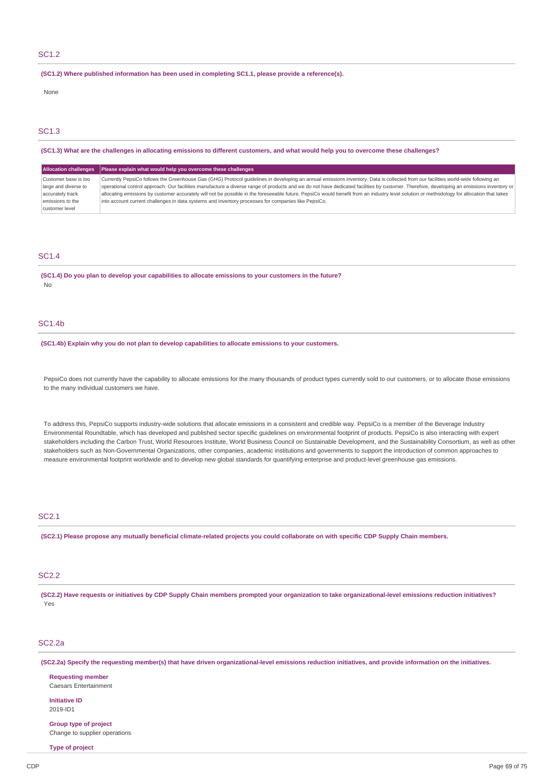### SC1.2

**(SC1.2) Where published information has been used in completing SC1.1, please provide a reference(s).**

None

# SC1.3

#### (SC1.3) What are the challenges in allocating emissions to different customers, and what would help you to overcome these challenges?

|                      | Allocation challenges Please explain what would help you overcome these challenges                                                                                                         |
|----------------------|--------------------------------------------------------------------------------------------------------------------------------------------------------------------------------------------|
| Customer base is too | Currently PepsiCo follows the Greenhouse Gas (GHG) Protocol quidelines in developing an annual emissions inventory. Data is collected from our facilities world-wide following an          |
| large and diverse to | operational control approach. Our facilities manufacture a diverse range of products and we do not have dedicated facilities by customer. Therefore, developing an emissions inventory or  |
| accurately track     | allocating emissions by customer accurately will not be possible in the foreseeable future. PepsiCo would benefit from an industry level solution or methodology for allocation that takes |
| emissions to the     | into account current challenges in data systems and inventory processes for companies like PepsiCo.                                                                                        |
| customer level       |                                                                                                                                                                                            |

### SC1.4

**(SC1.4) Do you plan to develop your capabilities to allocate emissions to your customers in the future?** No

### SC1.4b

### **(SC1.4b) Explain why you do not plan to develop capabilities to allocate emissions to your customers.**

PepsiCo does not currently have the capability to allocate emissions for the many thousands of product types currently sold to our customers, or to allocate those emissions to the many individual customers we have.

To address this, PepsiCo supports industry-wide solutions that allocate emissions in a consistent and credible way. PepsiCo is a member of the Beverage Industry Environmental Roundtable, which has developed and published sector specific guidelines on environmental footprint of products. PepsiCo is also interacting with expert stakeholders including the Carbon Trust, World Resources Institute, World Business Council on Sustainable Development, and the Sustainability Consortium, as well as other stakeholders such as Non-Governmental Organizations, other companies, academic institutions and governments to support the introduction of common approaches to measure environmental footprint worldwide and to develop new global standards for quantifying enterprise and product-level greenhouse gas emissions.

# SC2.1

(SC2.1) Please propose any mutually beneficial climate-related projects you could collaborate on with specific CDP Supply Chain members.

# SC2.2

(SC2.2) Have requests or initiatives by CDP Supply Chain members prompted your organization to take organizational-level emissions reduction initiatives? Yes

# SC2.2a

(SC2.2a) Specify the requesting member(s) that have driven organizational-level emissions reduction initiatives, and provide information on the initiatives.

**Requesting member** Caesars Entertainment

### **Initiative ID** 2019-ID1

**Group type of project** Change to supplier operations

**Type of project**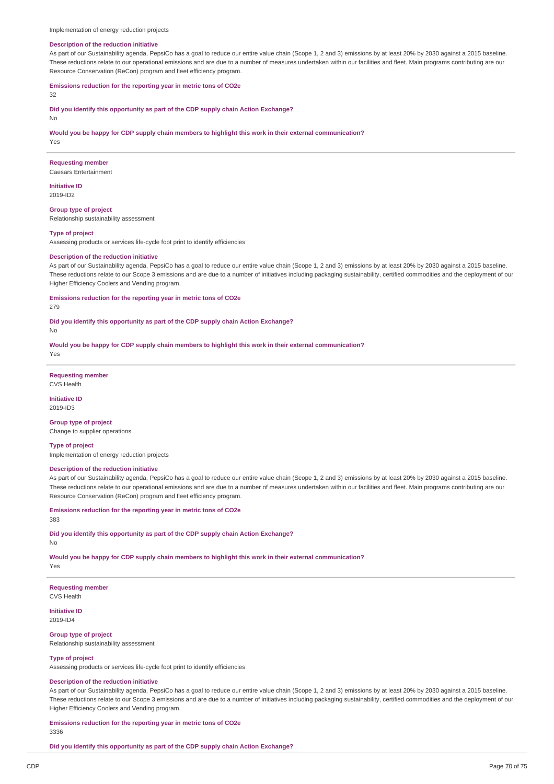Implementation of energy reduction projects

### **Description of the reduction initiative**

As part of our Sustainability agenda, PepsiCo has a goal to reduce our entire value chain (Scope 1, 2 and 3) emissions by at least 20% by 2030 against a 2015 baseline. These reductions relate to our operational emissions and are due to a number of measures undertaken within our facilities and fleet. Main programs contributing are our Resource Conservation (ReCon) program and fleet efficiency program.

### **Emissions reduction for the reporting year in metric tons of CO2e**

32

**Did you identify this opportunity as part of the CDP supply chain Action Exchange?** No

**Would you be happy for CDP supply chain members to highlight this work in their external communication?**

Yes

**Requesting member** Caesars Entertainment

**Initiative ID** 2019-ID2

**Group type of project** Relationship sustainability assessment

#### **Type of project**

Assessing products or services life-cycle foot print to identify efficiencies

#### **Description of the reduction initiative**

As part of our Sustainability agenda, PepsiCo has a goal to reduce our entire value chain (Scope 1, 2 and 3) emissions by at least 20% by 2030 against a 2015 baseline. These reductions relate to our Scope 3 emissions and are due to a number of initiatives including packaging sustainability, certified commodities and the deployment of our Higher Efficiency Coolers and Vending program.

**Emissions reduction for the reporting year in metric tons of CO2e**

279

**Did you identify this opportunity as part of the CDP supply chain Action Exchange?**

No

**Would you be happy for CDP supply chain members to highlight this work in their external communication?** Yes

**Requesting member** CVS Health

**Initiative ID** 2019-ID3

**Group type of project** Change to supplier operations

**Type of project** Implementation of energy reduction projects

### **Description of the reduction initiative**

As part of our Sustainability agenda, PepsiCo has a goal to reduce our entire value chain (Scope 1, 2 and 3) emissions by at least 20% by 2030 against a 2015 baseline. These reductions relate to our operational emissions and are due to a number of measures undertaken within our facilities and fleet. Main programs contributing are our Resource Conservation (ReCon) program and fleet efficiency program.

**Emissions reduction for the reporting year in metric tons of CO2e** 383

**Did you identify this opportunity as part of the CDP supply chain Action Exchange?** No

**Would you be happy for CDP supply chain members to highlight this work in their external communication?** Yes

**Requesting member** CVS Health

**Initiative ID**

2019-ID4

**Group type of project** Relationship sustainability assessment

### **Type of project**

Assessing products or services life-cycle foot print to identify efficiencies

### **Description of the reduction initiative**

As part of our Sustainability agenda, PepsiCo has a goal to reduce our entire value chain (Scope 1, 2 and 3) emissions by at least 20% by 2030 against a 2015 baseline. These reductions relate to our Scope 3 emissions and are due to a number of initiatives including packaging sustainability, certified commodities and the deployment of our Higher Efficiency Coolers and Vending program.

**Emissions reduction for the reporting year in metric tons of CO2e** 3336

**Did you identify this opportunity as part of the CDP supply chain Action Exchange?**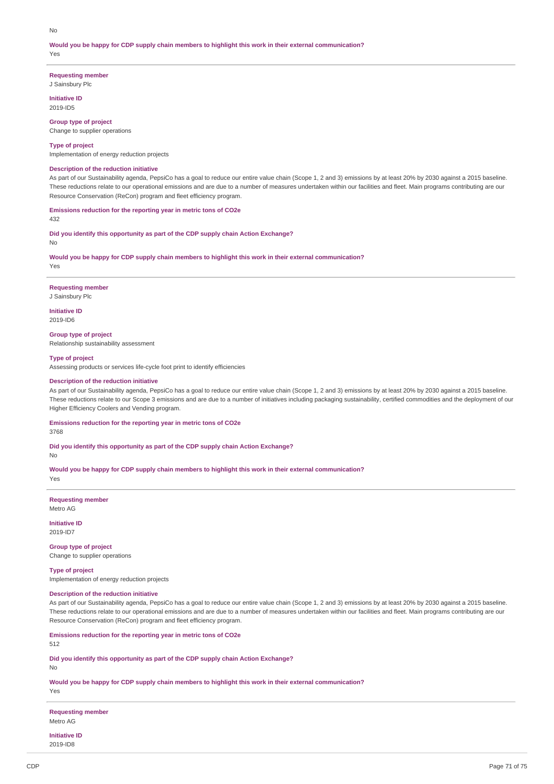#### No

**Would you be happy for CDP supply chain members to highlight this work in their external communication?** Yes

**Requesting member**

J Sainsbury Plc

**Initiative ID** 2019-ID5

**Group type of project**

Change to supplier operations

### **Type of project**

Implementation of energy reduction projects

### **Description of the reduction initiative**

As part of our Sustainability agenda, PepsiCo has a goal to reduce our entire value chain (Scope 1, 2 and 3) emissions by at least 20% by 2030 against a 2015 baseline. These reductions relate to our operational emissions and are due to a number of measures undertaken within our facilities and fleet. Main programs contributing are our Resource Conservation (ReCon) program and fleet efficiency program.

### **Emissions reduction for the reporting year in metric tons of CO2e**

432

**Did you identify this opportunity as part of the CDP supply chain Action Exchange?** No

**Would you be happy for CDP supply chain members to highlight this work in their external communication?**

Yes

**Requesting member** J Sainsbury Plc

**Initiative ID** 2019-ID6

**Group type of project** Relationship sustainability assessment

**Type of project**

Assessing products or services life-cycle foot print to identify efficiencies

### **Description of the reduction initiative**

As part of our Sustainability agenda, PepsiCo has a goal to reduce our entire value chain (Scope 1, 2 and 3) emissions by at least 20% by 2030 against a 2015 baseline. These reductions relate to our Scope 3 emissions and are due to a number of initiatives including packaging sustainability, certified commodities and the deployment of our Higher Efficiency Coolers and Vending program.

**Emissions reduction for the reporting year in metric tons of CO2e**

3768

No

**Did you identify this opportunity as part of the CDP supply chain Action Exchange?**

**Would you be happy for CDP supply chain members to highlight this work in their external communication?**

Yes

**Requesting member** Metro AG

**Initiative ID** 2019-ID7

**Group type of project** Change to supplier operations

**Type of project** Implementation of energy reduction projects

### **Description of the reduction initiative**

As part of our Sustainability agenda, PepsiCo has a goal to reduce our entire value chain (Scope 1, 2 and 3) emissions by at least 20% by 2030 against a 2015 baseline. These reductions relate to our operational emissions and are due to a number of measures undertaken within our facilities and fleet. Main programs contributing are our Resource Conservation (ReCon) program and fleet efficiency program.

**Emissions reduction for the reporting year in metric tons of CO2e**

512

**Did you identify this opportunity as part of the CDP supply chain Action Exchange?** No

**Would you be happy for CDP supply chain members to highlight this work in their external communication?** Yes

**Requesting member** Metro AG

**Initiative ID** 2019-ID8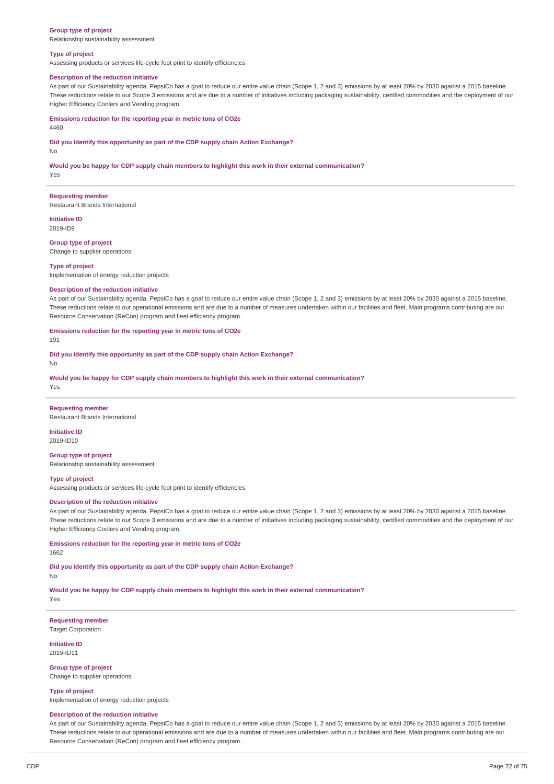### **Group type of project**

Relationship sustainability assessment

### **Type of project**

Assessing products or services life-cycle foot print to identify efficiencies

#### **Description of the reduction initiative**

As part of our Sustainability agenda, PepsiCo has a goal to reduce our entire value chain (Scope 1, 2 and 3) emissions by at least 20% by 2030 against a 2015 baseline. These reductions relate to our Scope 3 emissions and are due to a number of initiatives including packaging sustainability, certified commodities and the deployment of our Higher Efficiency Coolers and Vending program.

**Emissions reduction for the reporting year in metric tons of CO2e** 4460

**Did you identify this opportunity as part of the CDP supply chain Action Exchange?**

No

**Would you be happy for CDP supply chain members to highlight this work in their external communication?**

Yes

### **Requesting member**

Restaurant Brands International

**Initiative ID** 2019-ID9

**Group type of project** Change to supplier operations

### **Type of project**

Implementation of energy reduction projects

### **Description of the reduction initiative**

As part of our Sustainability agenda, PepsiCo has a goal to reduce our entire value chain (Scope 1, 2 and 3) emissions by at least 20% by 2030 against a 2015 baseline. These reductions relate to our operational emissions and are due to a number of measures undertaken within our facilities and fleet. Main programs contributing are our Resource Conservation (ReCon) program and fleet efficiency program.

### **Emissions reduction for the reporting year in metric tons of CO2e**

191

**Did you identify this opportunity as part of the CDP supply chain Action Exchange?** No

**Would you be happy for CDP supply chain members to highlight this work in their external communication?**

Yes

### **Requesting member**

Restaurant Brands International

**Initiative ID** 2019-ID10

### **Group type of project** Relationship sustainability assessment

#### **Type of project**

Assessing products or services life-cycle foot print to identify efficiencies

#### **Description of the reduction initiative**

As part of our Sustainability agenda, PepsiCo has a goal to reduce our entire value chain (Scope 1, 2 and 3) emissions by at least 20% by 2030 against a 2015 baseline. These reductions relate to our Scope 3 emissions and are due to a number of initiatives including packaging sustainability, certified commodities and the deployment of our Higher Efficiency Coolers and Vending program.

**Emissions reduction for the reporting year in metric tons of CO2e** 1662

**Did you identify this opportunity as part of the CDP supply chain Action Exchange?** No

**Would you be happy for CDP supply chain members to highlight this work in their external communication?** Yes

**Requesting member** Target Corporation

**Initiative ID** 2019-ID11

**Group type of project** Change to supplier operations

**Type of project** Implementation of energy reduction projects

#### **Description of the reduction initiative**

As part of our Sustainability agenda, PepsiCo has a goal to reduce our entire value chain (Scope 1, 2 and 3) emissions by at least 20% by 2030 against a 2015 baseline. These reductions relate to our operational emissions and are due to a number of measures undertaken within our facilities and fleet. Main programs contributing are our Resource Conservation (ReCon) program and fleet efficiency program.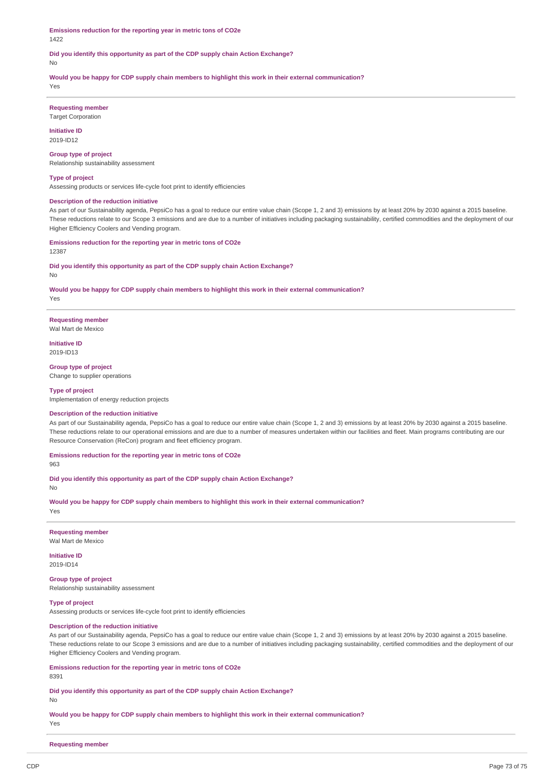**Emissions reduction for the reporting year in metric tons of CO2e** 1422

#### **Did you identify this opportunity as part of the CDP supply chain Action Exchange?**

No

#### **Would you be happy for CDP supply chain members to highlight this work in their external communication?**

Yes

# **Requesting member**

Target Corporation

**Initiative ID** 2019-ID12

### **Group type of project**

Relationship sustainability assessment

### **Type of project**

Assessing products or services life-cycle foot print to identify efficiencies

## **Description of the reduction initiative**

As part of our Sustainability agenda, PepsiCo has a goal to reduce our entire value chain (Scope 1, 2 and 3) emissions by at least 20% by 2030 against a 2015 baseline. These reductions relate to our Scope 3 emissions and are due to a number of initiatives including packaging sustainability, certified commodities and the deployment of our Higher Efficiency Coolers and Vending program.

#### **Emissions reduction for the reporting year in metric tons of CO2e**

12387

**Did you identify this opportunity as part of the CDP supply chain Action Exchange?** No

# **Would you be happy for CDP supply chain members to highlight this work in their external communication?**

Yes

# **Requesting member**

Wal Mart de Mexico

**Initiative ID** 2019-ID13

**Group type of project** Change to supplier operations

#### **Type of project**

Implementation of energy reduction projects

#### **Description of the reduction initiative**

As part of our Sustainability agenda, PepsiCo has a goal to reduce our entire value chain (Scope 1, 2 and 3) emissions by at least 20% by 2030 against a 2015 baseline. These reductions relate to our operational emissions and are due to a number of measures undertaken within our facilities and fleet. Main programs contributing are our Resource Conservation (ReCon) program and fleet efficiency program.

## **Emissions reduction for the reporting year in metric tons of CO2e**

963

No

**Did you identify this opportunity as part of the CDP supply chain Action Exchange?**

**Would you be happy for CDP supply chain members to highlight this work in their external communication?** Yes

**Requesting member** Wal Mart de Mexico

**Initiative ID** 2019-ID14

# **Group type of project**

Relationship sustainability assessment

#### **Type of project**

Assessing products or services life-cycle foot print to identify efficiencies

#### **Description of the reduction initiative**

As part of our Sustainability agenda, PepsiCo has a goal to reduce our entire value chain (Scope 1, 2 and 3) emissions by at least 20% by 2030 against a 2015 baseline. These reductions relate to our Scope 3 emissions and are due to a number of initiatives including packaging sustainability, certified commodities and the deployment of our Higher Efficiency Coolers and Vending program.

### **Emissions reduction for the reporting year in metric tons of CO2e**

8391

**Did you identify this opportunity as part of the CDP supply chain Action Exchange?**

#### No

**Would you be happy for CDP supply chain members to highlight this work in their external communication?** Yes

#### **Requesting member**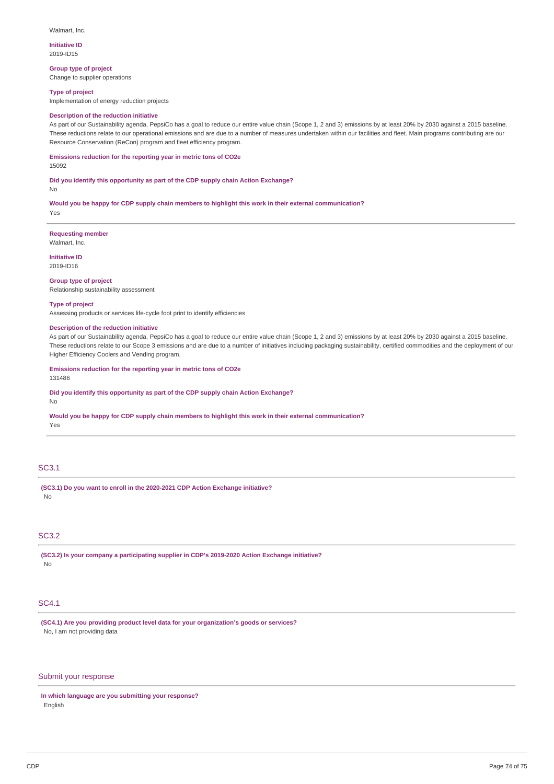#### **Initiative ID** 2019-ID15

## **Group type of project**

Change to supplier operations

#### **Type of project**

Implementation of energy reduction projects

#### **Description of the reduction initiative**

As part of our Sustainability agenda, PepsiCo has a goal to reduce our entire value chain (Scope 1, 2 and 3) emissions by at least 20% by 2030 against a 2015 baseline. These reductions relate to our operational emissions and are due to a number of measures undertaken within our facilities and fleet. Main programs contributing are our Resource Conservation (ReCon) program and fleet efficiency program.

# **Emissions reduction for the reporting year in metric tons of CO2e**

# 15092

No

**Did you identify this opportunity as part of the CDP supply chain Action Exchange?**

**Would you be happy for CDP supply chain members to highlight this work in their external communication?** Yes

**Requesting member** Walmart, Inc.

**Initiative ID** 2019-ID16

#### **Group type of project**

Relationship sustainability assessment

#### **Type of project**

Assessing products or services life-cycle foot print to identify efficiencies

#### **Description of the reduction initiative**

As part of our Sustainability agenda, PepsiCo has a goal to reduce our entire value chain (Scope 1, 2 and 3) emissions by at least 20% by 2030 against a 2015 baseline. These reductions relate to our Scope 3 emissions and are due to a number of initiatives including packaging sustainability, certified commodities and the deployment of our Higher Efficiency Coolers and Vending program.

**Emissions reduction for the reporting year in metric tons of CO2e**

131486

**Did you identify this opportunity as part of the CDP supply chain Action Exchange?**

No

## **Would you be happy for CDP supply chain members to highlight this work in their external communication?**

Yes

# SC3.1

**(SC3.1) Do you want to enroll in the 2020-2021 CDP Action Exchange initiative?** No

## SC3.2

**(SC3.2) Is your company a participating supplier in CDP's 2019-2020 Action Exchange initiative?** No

### SC4.1

**(SC4.1) Are you providing product level data for your organization's goods or services?** No, I am not providing data

## Submit your response

**In which language are you submitting your response?** English